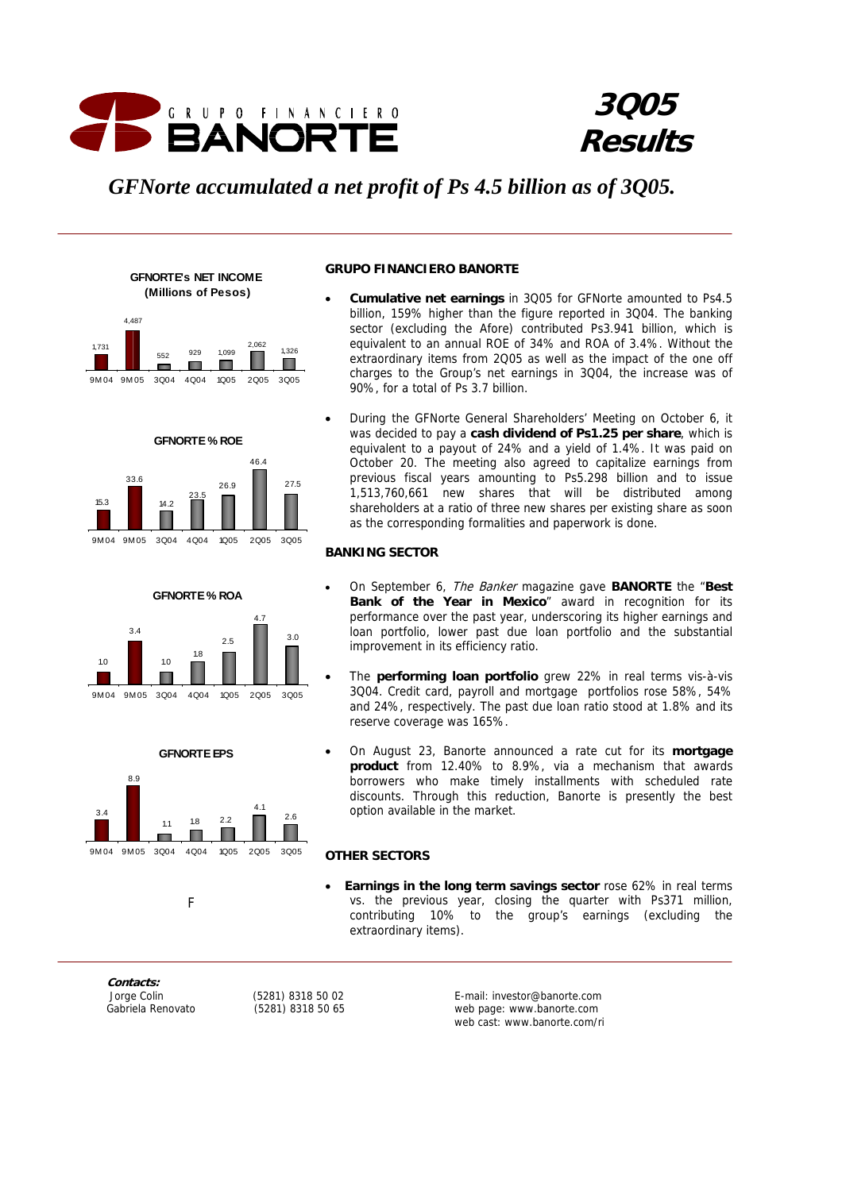

# **3Q05 Results**

# *GFNorte accumulated a net profit of Ps 4.5 billion as of 3Q05.*





**GFNORTE % ROE** 







**GRUPO FINANCIERO BANORTE** 

- **Cumulative net earnings** in 3Q05 for GFNorte amounted to Ps4.5 billion, 159% higher than the figure reported in 3Q04. The banking sector (excluding the Afore) contributed Ps3.941 billion, which is equivalent to an annual ROE of 34% and ROA of 3.4%. Without the extraordinary items from 2Q05 as well as the impact of the one off charges to the Group's net earnings in 3Q04, the increase was of 90%, for a total of Ps 3.7 billion.
- During the GFNorte General Shareholders' Meeting on October 6, it was decided to pay a **cash dividend of Ps1.25 per share**, which is equivalent to a payout of 24% and a yield of 1.4%. It was paid on October 20. The meeting also agreed to capitalize earnings from previous fiscal years amounting to Ps5.298 billion and to issue 1,513,760,661 new shares that will be distributed among shareholders at a ratio of three new shares per existing share as soon as the corresponding formalities and paperwork is done.

# **BANKING SECTOR**

- On September 6, The Banker magazine gave **BANORTE** the "**Best Bank of the Year in Mexico**" award in recognition for its performance over the past year, underscoring its higher earnings and loan portfolio, lower past due loan portfolio and the substantial improvement in its efficiency ratio.
- The **performing loan portfolio** grew 22% in real terms vis-à-vis 3Q04. Credit card, payroll and mortgage portfolios rose 58%, 54% and 24%, respectively. The past due loan ratio stood at 1.8% and its reserve coverage was 165%.
- On August 23, Banorte announced a rate cut for its **mortgage product** from 12.40% to 8.9%, via a mechanism that awards borrowers who make timely installments with scheduled rate discounts. Through this reduction, Banorte is presently the best option available in the market.

# **OTHER SECTORS**

**Earnings in the long term savings sector** rose 62% in real terms vs. the previous year, closing the quarter with Ps371 million, contributing 10% to the group's earnings (excluding the extraordinary items).

**Contacts:** 

Fig. 1. The Contract of Fig.

 Jorge Colin (5281) 8318 50 02 E-mail: investor@banorte.com Gabriela Renovato (5281) 8318 50 65 web page: www.banorte.com web cast: www.banorte.com/ri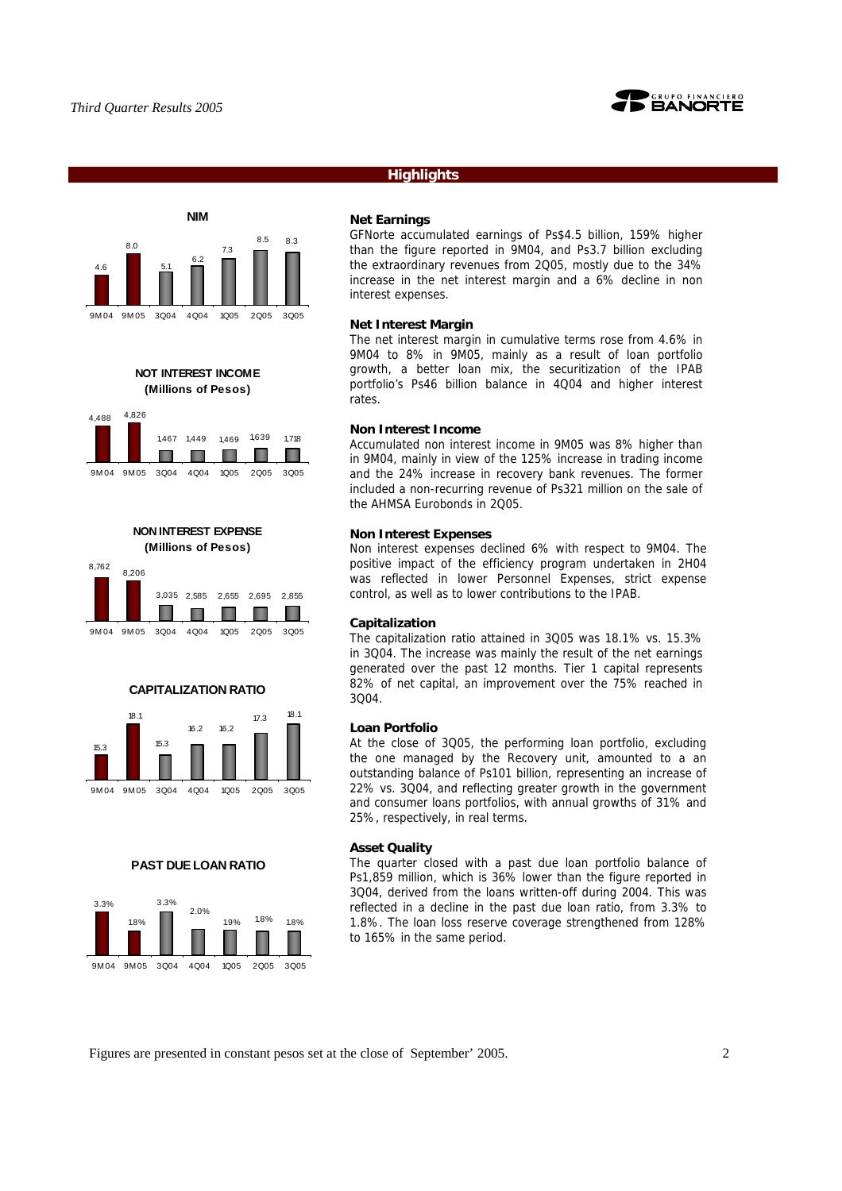

# **Highlights**



**NOT INTEREST INCOME (Millions of Pesos)**











### **PAST DUE LOAN RATIO**



### **Net Earnings**

GFNorte accumulated earnings of Ps\$4.5 billion, 159% higher than the figure reported in 9M04, and Ps3.7 billion excluding the extraordinary revenues from 2Q05, mostly due to the 34% increase in the net interest margin and a 6% decline in non interest expenses.

### **Net Interest Margin**

The net interest margin in cumulative terms rose from 4.6% in 9M04 to 8% in 9M05, mainly as a result of loan portfolio growth, a better loan mix, the securitization of the IPAB portfolio's Ps46 billion balance in 4Q04 and higher interest rates.

### **Non Interest Income**

Accumulated non interest income in 9M05 was 8% higher than in 9M04, mainly in view of the 125% increase in trading income and the 24% increase in recovery bank revenues. The former included a non-recurring revenue of Ps321 million on the sale of the AHMSA Eurobonds in 2Q05.

### **Non Interest Expenses**

Non interest expenses declined 6% with respect to 9M04. The positive impact of the efficiency program undertaken in 2H04 was reflected in lower Personnel Expenses, strict expense control, as well as to lower contributions to the IPAB.

### **Capitalization**

The capitalization ratio attained in 3Q05 was 18.1% vs. 15.3% in 3Q04. The increase was mainly the result of the net earnings generated over the past 12 months. Tier 1 capital represents 82% of net capital, an improvement over the 75% reached in 3Q04.

# **Loan Portfolio**

At the close of 3Q05, the performing loan portfolio, excluding the one managed by the Recovery unit, amounted to a an outstanding balance of Ps101 billion, representing an increase of 22% vs. 3Q04, and reflecting greater growth in the government and consumer loans portfolios, with annual growths of 31% and 25%, respectively, in real terms.

### **Asset Quality**

The quarter closed with a past due loan portfolio balance of Ps1,859 million, which is 36% lower than the figure reported in 3Q04, derived from the loans written-off during 2004. This was reflected in a decline in the past due loan ratio, from 3.3% to 1.8%. The loan loss reserve coverage strengthened from 128% to 165% in the same period.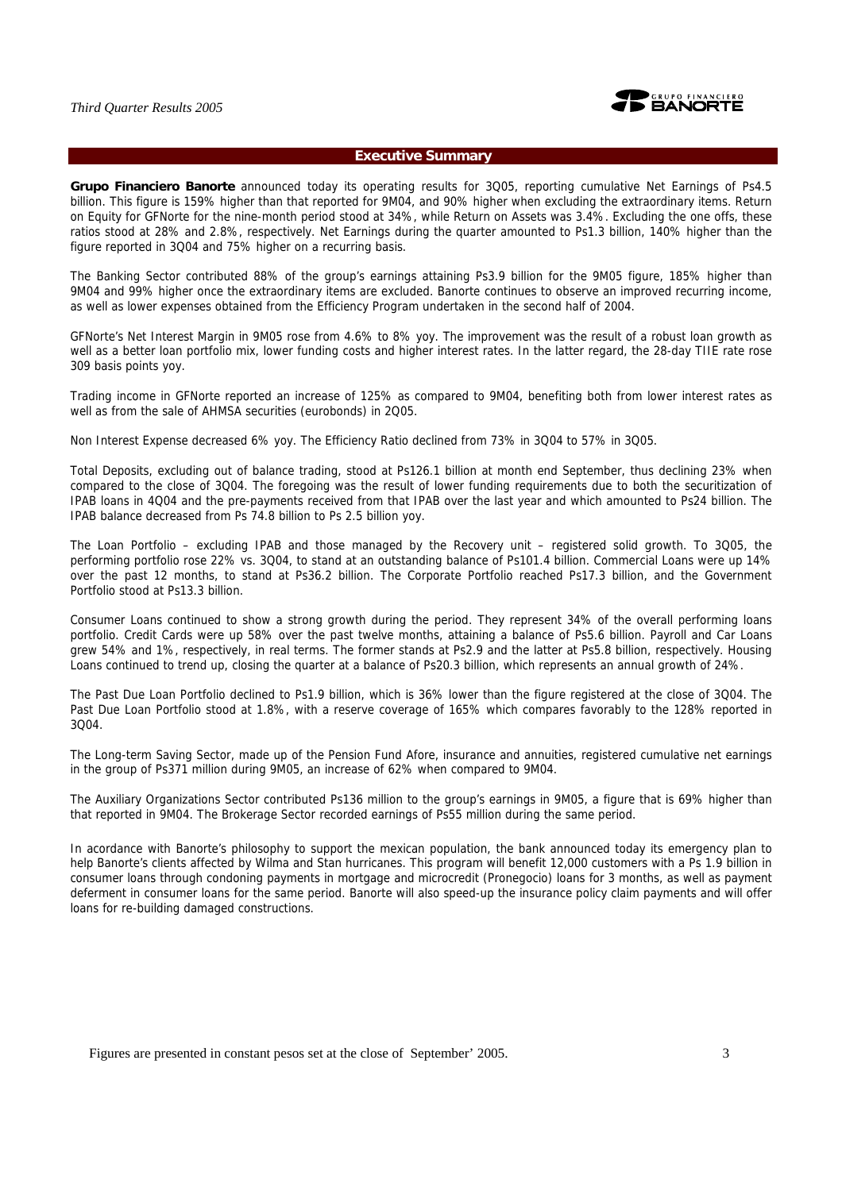

# **Executive Summary**

**Grupo Financiero Banorte** announced today its operating results for 3Q05, reporting cumulative Net Earnings of Ps4.5 billion. This figure is 159% higher than that reported for 9M04, and 90% higher when excluding the extraordinary items. Return on Equity for GFNorte for the nine-month period stood at 34%, while Return on Assets was 3.4%. Excluding the one offs, these ratios stood at 28% and 2.8%, respectively. Net Earnings during the quarter amounted to Ps1.3 billion, 140% higher than the figure reported in 3Q04 and 75% higher on a recurring basis.

The Banking Sector contributed 88% of the group's earnings attaining Ps3.9 billion for the 9M05 figure, 185% higher than 9M04 and 99% higher once the extraordinary items are excluded. Banorte continues to observe an improved recurring income, as well as lower expenses obtained from the Efficiency Program undertaken in the second half of 2004.

GFNorte's Net Interest Margin in 9M05 rose from 4.6% to 8% yoy. The improvement was the result of a robust loan growth as well as a better loan portfolio mix, lower funding costs and higher interest rates. In the latter regard, the 28-day TIIE rate rose 309 basis points yoy.

Trading income in GFNorte reported an increase of 125% as compared to 9M04, benefiting both from lower interest rates as well as from the sale of AHMSA securities (eurobonds) in 2Q05.

Non Interest Expense decreased 6% yoy. The Efficiency Ratio declined from 73% in 3Q04 to 57% in 3Q05.

Total Deposits, excluding out of balance trading, stood at Ps126.1 billion at month end September, thus declining 23% when compared to the close of 3Q04. The foregoing was the result of lower funding requirements due to both the securitization of IPAB loans in 4Q04 and the pre-payments received from that IPAB over the last year and which amounted to Ps24 billion. The IPAB balance decreased from Ps 74.8 billion to Ps 2.5 billion yoy.

The Loan Portfolio – excluding IPAB and those managed by the Recovery unit – registered solid growth. To 3Q05, the performing portfolio rose 22% vs. 3Q04, to stand at an outstanding balance of Ps101.4 billion. Commercial Loans were up 14% over the past 12 months, to stand at Ps36.2 billion. The Corporate Portfolio reached Ps17.3 billion, and the Government Portfolio stood at Ps13.3 billion.

Consumer Loans continued to show a strong growth during the period. They represent 34% of the overall performing loans portfolio. Credit Cards were up 58% over the past twelve months, attaining a balance of Ps5.6 billion. Payroll and Car Loans grew 54% and 1%, respectively, in real terms. The former stands at Ps2.9 and the latter at Ps5.8 billion, respectively. Housing Loans continued to trend up, closing the quarter at a balance of Ps20.3 billion, which represents an annual growth of 24%.

The Past Due Loan Portfolio declined to Ps1.9 billion, which is 36% lower than the figure registered at the close of 3Q04. The Past Due Loan Portfolio stood at 1.8%, with a reserve coverage of 165% which compares favorably to the 128% reported in 3Q04.

The Long-term Saving Sector, made up of the Pension Fund Afore, insurance and annuities, registered cumulative net earnings in the group of Ps371 million during 9M05, an increase of 62% when compared to 9M04.

The Auxiliary Organizations Sector contributed Ps136 million to the group's earnings in 9M05, a figure that is 69% higher than that reported in 9M04. The Brokerage Sector recorded earnings of Ps55 million during the same period.

In acordance with Banorte's philosophy to support the mexican population, the bank announced today its emergency plan to help Banorte's clients affected by Wilma and Stan hurricanes. This program will benefit 12,000 customers with a Ps 1.9 billion in consumer loans through condoning payments in mortgage and microcredit (Pronegocio) loans for 3 months, as well as payment deferment in consumer loans for the same period. Banorte will also speed-up the insurance policy claim payments and will offer loans for re-building damaged constructions.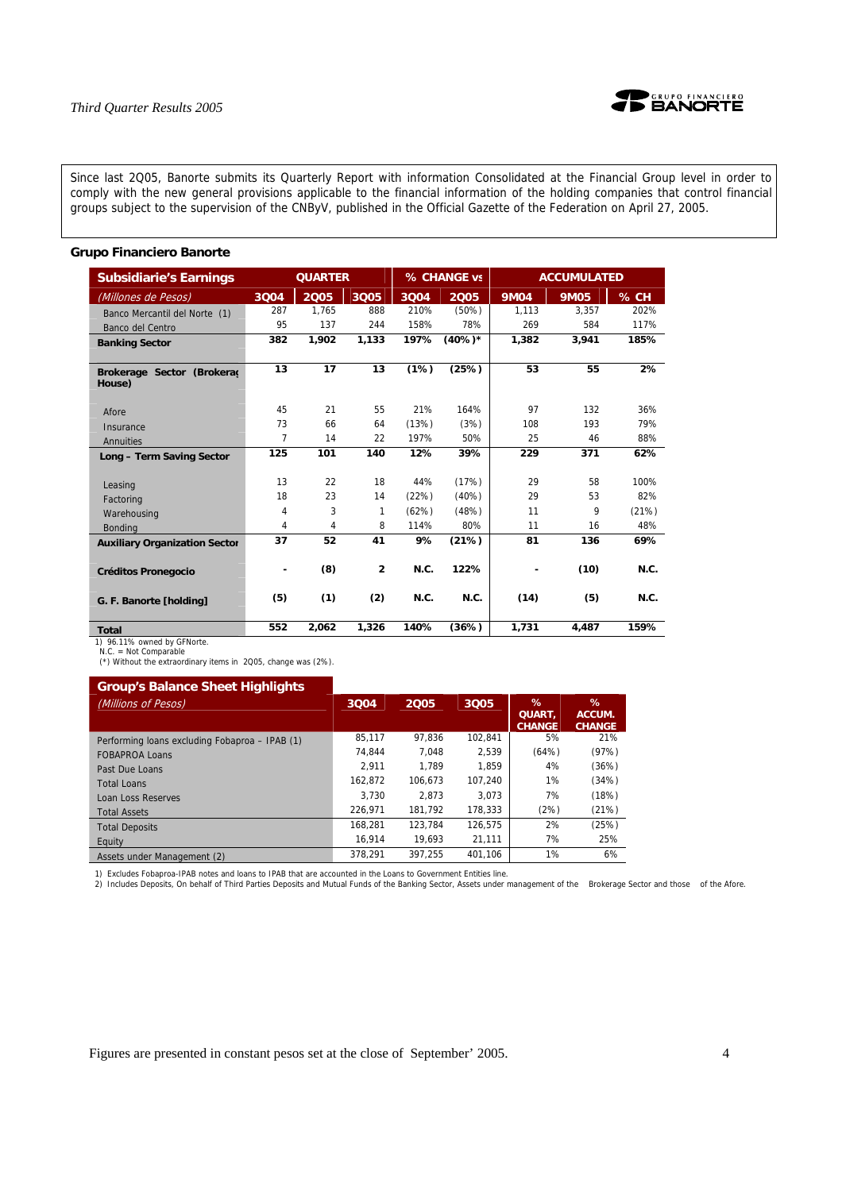

Since last 2Q05, Banorte submits its Quarterly Report with information Consolidated at the Financial Group level in order to comply with the new general provisions applicable to the financial information of the holding companies that control financial groups subject to the supervision of the CNByV, published in the Official Gazette of the Federation on April 27, 2005.

# **Grupo Financiero Banorte**

| <b>Subsidiarie's Earnings</b>          |      | <b>QUARTER</b> |                |       | % CHANGE vs |             | <b>ACCUMULATED</b> |       |
|----------------------------------------|------|----------------|----------------|-------|-------------|-------------|--------------------|-------|
| (Millones de Pesos)                    | 3004 | 2005           | 3Q05           | 3004  | 2005        | <b>9M04</b> | <b>9M05</b>        | % CH  |
| Banco Mercantil del Norte (1)          | 287  | 1.765          | 888            | 210%  | (50%)       | 1.113       | 3.357              | 202%  |
| Banco del Centro                       | 95   | 137            | 244            | 158%  | 78%         | 269         | 584                | 117%  |
| <b>Banking Sector</b>                  | 382  | 1.902          | 1.133          | 197%  | $(40\%)*$   | 1,382       | 3.941              | 185%  |
| Brokerage Sector (Brokerad<br>House)   | 13   | 17             | 13             | (1%)  | (25%)       | 53          | 55                 | 2%    |
| Afore                                  | 45   | 21             | 55             | 21%   | 164%        | 97          | 132                | 36%   |
| Insurance                              | 73   | 66             | 64             | (13%) | (3%)        | 108         | 193                | 79%   |
| Annuities                              | 7    | 14             | 22             | 197%  | 50%         | 25          | 46                 | 88%   |
| Long - Term Saving Sector              | 125  | 101            | 140            | 12%   | 39%         | 229         | 371                | 62%   |
| Leasing                                | 13   | 22             | 18             | 44%   | (17%)       | 29          | 58                 | 100%  |
| Factoring                              | 18   | 23             | 14             | (22%) | (40%)       | 29          | 53                 | 82%   |
| Warehousing                            | 4    | 3              | 1              | (62%) | (48%)       | 11          | 9                  | (21%) |
| <b>Bonding</b>                         | 4    | 4              | 8              | 114%  | 80%         | 11          | 16                 | 48%   |
| <b>Auxiliary Organization Sector</b>   | 37   | 52             | 41             | 9%    | (21%)       | 81          | 136                | 69%   |
| <b>Créditos Pronegocio</b>             | ۰    | (8)            | $\overline{2}$ | N.C.  | 122%        |             | (10)               | N.C.  |
| G. F. Banorte [holding]                | (5)  | (1)            | (2)            | N.C.  | N.C.        | (14)        | (5)                | N.C.  |
| <b>Total</b><br>$100.410$ and $100.00$ | 552  | 2.062          | 1,326          | 140%  | (36%)       | 1.731       | 4.487              | 159%  |

1) 96.11% owned by GFNorte. N.C. = Not Comparable

(\*) Without the extraordinary items in 2Q05, change was (2%).

| <b>Group's Balance Sheet Highlights</b>        |         |         |         |                                        |                              |
|------------------------------------------------|---------|---------|---------|----------------------------------------|------------------------------|
| (Millions of Pesos)                            | 3004    | 2005    | 3005    | $\%$<br><b>QUART.</b><br><b>CHANGE</b> | %<br>ACCUM.<br><b>CHANGE</b> |
| Performing loans excluding Fobaproa - IPAB (1) | 85.117  | 97.836  | 102.841 | 5%                                     | 21%                          |
| <b>FOBAPROA Loans</b>                          | 74.844  | 7.048   | 2.539   | (64%)                                  | (97%)                        |
| Past Due Loans                                 | 2.911   | 1.789   | 1.859   | 4%                                     | (36%)                        |
| <b>Total Loans</b>                             | 162.872 | 106.673 | 107.240 | 1%                                     | (34%)                        |
| Loan Loss Reserves                             | 3.730   | 2.873   | 3.073   | 7%                                     | (18%)                        |
| <b>Total Assets</b>                            | 226.971 | 181.792 | 178.333 | (2%)                                   | (21%)                        |
| <b>Total Deposits</b>                          | 168.281 | 123.784 | 126.575 | 2%                                     | (25%)                        |
| Equity                                         | 16.914  | 19.693  | 21.111  | 7%                                     | 25%                          |
| Assets under Management (2)                    | 378.291 | 397.255 | 401.106 | 1%                                     | 6%                           |

1) Excludes Fobaproa-IPAB notes and loans to IPAB that are accounted in the Loans to Government Entities line.<br>2) Includes Deposits, On behalf of Third Parties Deposits and Mutual Funds of the Banking Sector, Assets under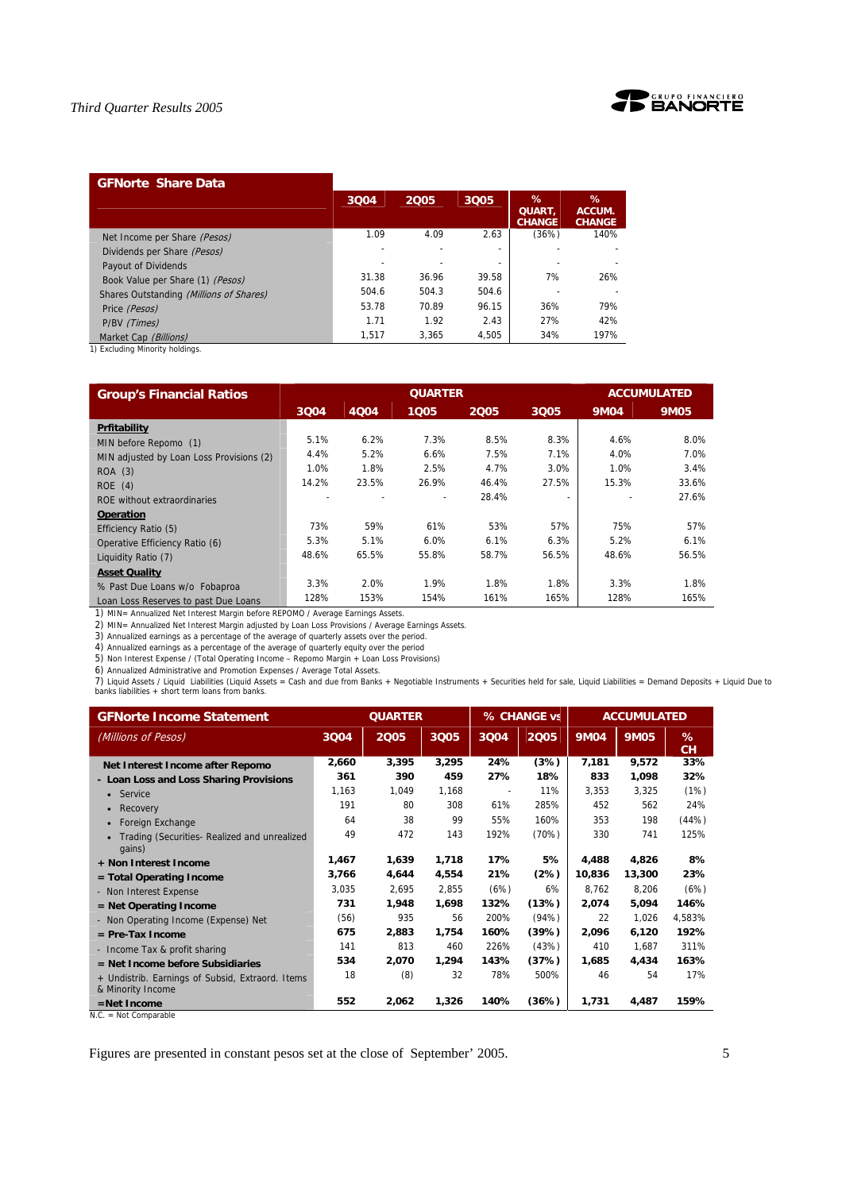

# **GFNorte Share Data**

|                                         | 3004  | 2005  | 3Q05                     | %<br>QUART,<br><b>CHANGE</b> | ℅<br>ACCUM.<br><b>CHANGE</b> |
|-----------------------------------------|-------|-------|--------------------------|------------------------------|------------------------------|
| Net Income per Share (Pesos)            | 1.09  | 4.09  | 2.63                     | (36%)                        | 140%                         |
| Dividends per Share (Pesos)             |       |       | -                        |                              |                              |
| Payout of Dividends                     |       |       | $\overline{\phantom{a}}$ |                              |                              |
| Book Value per Share (1) (Pesos)        | 31.38 | 36.96 | 39.58                    | 7%                           | 26%                          |
| Shares Outstanding (Millions of Shares) | 504.6 | 504.3 | 504.6                    |                              |                              |
| Price (Pesos)                           | 53.78 | 70.89 | 96.15                    | 36%                          | 79%                          |
| P/BV (Times)                            | 1.71  | 1.92  | 2.43                     | 27%                          | 42%                          |
| Market Cap (Billions)                   | 1.517 | 3.365 | 4.505                    | 34%                          | 197%                         |

1) Excluding Minority holdings.

| <b>Group's Financial Ratios</b>          |       |       | <b>QUARTER</b> |       |       |             | <b>ACCUMULATED</b> |
|------------------------------------------|-------|-------|----------------|-------|-------|-------------|--------------------|
|                                          | 3004  | 4Q04  | 1005           | 2005  | 3005  | <b>9M04</b> | <b>9M05</b>        |
| Prfitability                             |       |       |                |       |       |             |                    |
| MIN before Repomo (1)                    | 5.1%  | 6.2%  | 7.3%           | 8.5%  | 8.3%  | 4.6%        | 8.0%               |
| MIN adjusted by Loan Loss Provisions (2) | 4.4%  | 5.2%  | 6.6%           | 7.5%  | 7.1%  | 4.0%        | 7.0%               |
| ROA (3)                                  | 1.0%  | 1.8%  | 2.5%           | 4.7%  | 3.0%  | 1.0%        | 3.4%               |
| ROE(4)                                   | 14.2% | 23.5% | 26.9%          | 46.4% | 27.5% | 15.3%       | 33.6%              |
| ROE without extraordinaries              |       |       |                | 28.4% |       |             | 27.6%              |
| <b>Operation</b>                         |       |       |                |       |       |             |                    |
| Efficiency Ratio (5)                     | 73%   | 59%   | 61%            | 53%   | 57%   | 75%         | 57%                |
| Operative Efficiency Ratio (6)           | 5.3%  | 5.1%  | 6.0%           | 6.1%  | 6.3%  | 5.2%        | 6.1%               |
| Liquidity Ratio (7)                      | 48.6% | 65.5% | 55.8%          | 58.7% | 56.5% | 48.6%       | 56.5%              |
| <b>Asset Quality</b>                     |       |       |                |       |       |             |                    |
| % Past Due Loans w/o Fobaproa            | 3.3%  | 2.0%  | 1.9%           | 1.8%  | 1.8%  | 3.3%        | 1.8%               |
| Loan Loss Reserves to past Due Loans     | 128%  | 153%  | 154%           | 161%  | 165%  | 128%        | 165%               |

1) MIN= Annualized Net Interest Margin before REPOMO / Average Earnings Assets.

2) MIN= Annualized Net Interest Margin adjusted by Loan Loss Provisions / Average Earnings Assets.<br>3) Annualized earnings as a percentage of the average of quarterly assets over the period.<br>4) Annualized earnings as a perc

5) Non Interest Expense / (Total Operating Income – Repomo Margin + Loan Loss Provisions)

6) Annualized Administrative and Promotion Expenses / Average Total Assets.

7) Liquid Assets / Liquid Liabilities (Liquid Assets = Cash and due from Banks + Negotiable Instruments + Securities held for sale, Liquid Liabilities = Demand Deposits + Liquid Due to<br>banks liabilities + short term loans

| <b>GFNorte Income Statement</b>                                       |       | <b>QUARTER</b> |       |                          | % CHANGE vs |             | <b>ACCUMULATED</b> |                |
|-----------------------------------------------------------------------|-------|----------------|-------|--------------------------|-------------|-------------|--------------------|----------------|
| (Millions of Pesos)                                                   | 3004  | 2005           | 3005  | 3Q04                     | 2005        | <b>9M04</b> | <b>9M05</b>        | %<br><b>CH</b> |
| Net Interest Income after Repomo                                      | 2,660 | 3,395          | 3,295 | 24%                      | (3%)        | 7,181       | 9,572              | 33%            |
| - Loan Loss and Loss Sharing Provisions                               | 361   | 390            | 459   | 27%                      | 18%         | 833         | 1,098              | 32%            |
| Service<br>$\bullet$                                                  | 1.163 | 1,049          | 1.168 | $\overline{\phantom{a}}$ | 11%         | 3,353       | 3,325              | (1%)           |
| Recovery<br>$\bullet$                                                 | 191   | 80             | 308   | 61%                      | 285%        | 452         | 562                | 24%            |
| Foreign Exchange                                                      | 64    | 38             | 99    | 55%                      | 160%        | 353         | 198                | (44%)          |
| Trading (Securities- Realized and unrealized<br>gains)                | 49    | 472            | 143   | 192%                     | (70%)       | 330         | 741                | 125%           |
| + Non Interest Income                                                 | 1,467 | 1,639          | 1,718 | 17%                      | 5%          | 4,488       | 4,826              | 8%             |
| $=$ Total Operating Income                                            | 3,766 | 4,644          | 4,554 | 21%                      | (2%)        | 10,836      | 13,300             | 23%            |
| - Non Interest Expense                                                | 3,035 | 2,695          | 2.855 | (6%)                     | 6%          | 8.762       | 8,206              | (6%)           |
| $=$ Net Operating Income                                              | 731   | 1,948          | 1,698 | 132%                     | (13%)       | 2,074       | 5,094              | 146%           |
| - Non Operating Income (Expense) Net                                  | (56)  | 935            | 56    | 200%                     | (94%)       | 22          | 1.026              | 4.583%         |
| $=$ Pre-Tax Income                                                    | 675   | 2,883          | 1,754 | 160%                     | (39%)       | 2,096       | 6,120              | 192%           |
| - Income Tax & profit sharing                                         | 141   | 813            | 460   | 226%                     | (43%)       | 410         | 1.687              | 311%           |
| $=$ Net Income before Subsidiaries                                    | 534   | 2,070          | 1,294 | 143%                     | (37%)       | 1,685       | 4,434              | 163%           |
| + Undistrib. Earnings of Subsid, Extraord. Items<br>& Minority Income | 18    | (8)            | 32    | 78%                      | 500%        | 46          | 54                 | 17%            |
| =Net Income                                                           | 552   | 2,062          | 1,326 | 140%                     | (36%)       | 1,731       | 4,487              | 159%           |

N.C. = Not Comparable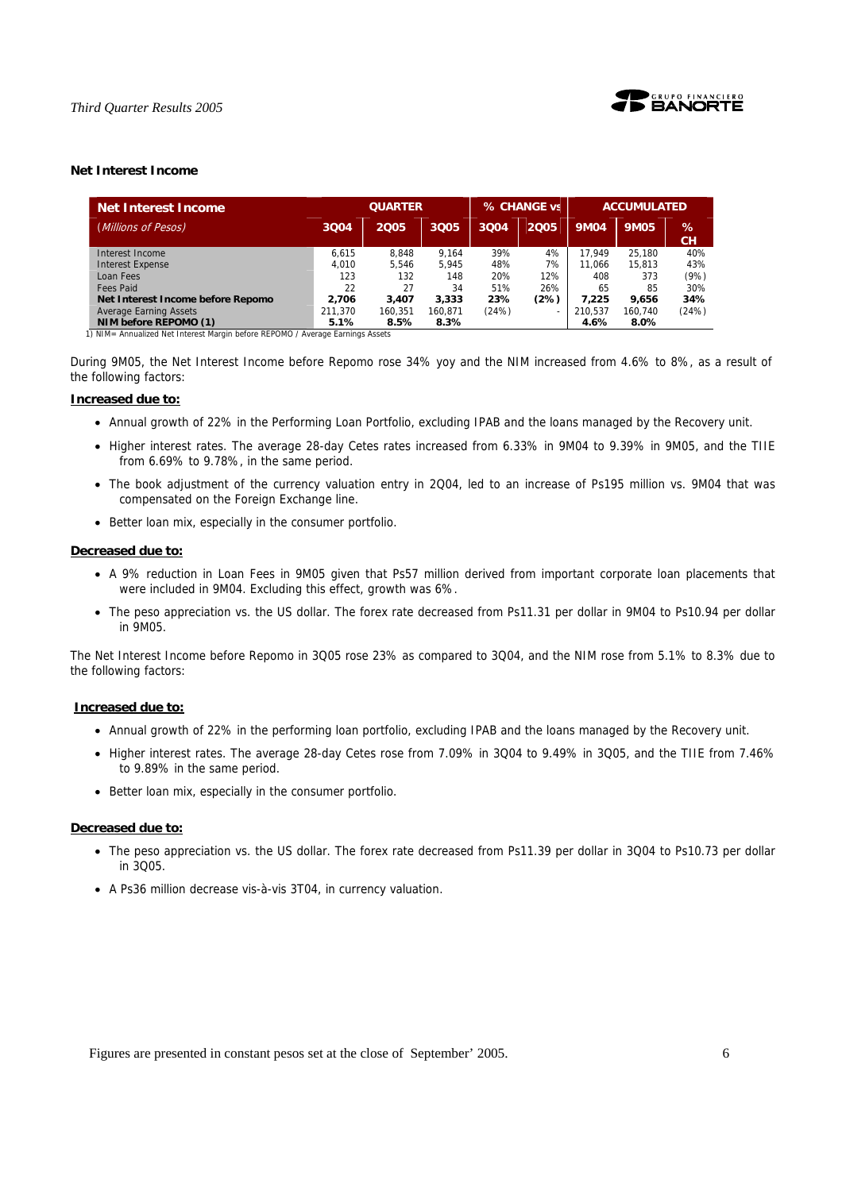

# **Net Interest Income**

| <b>Net Interest Income</b>        |         | <b>QUARTER</b> |         |       | % CHANGE vs              |             | <b>ACCUMULATED</b> |                   |  |
|-----------------------------------|---------|----------------|---------|-------|--------------------------|-------------|--------------------|-------------------|--|
| (Millions of Pesos)               | 3004    | 2005           | 3Q05    | 3Q04  | 2005                     | <b>9M04</b> | <b>9M05</b>        | $\%$<br><b>CH</b> |  |
| Interest Income                   | 6.615   | 8.848          | 9.164   | 39%   | 4%                       | 17.949      | 25.180             | 40%               |  |
| <b>Interest Expense</b>           | 4.010   | 5.546          | 5.945   | 48%   | 7%                       | 11.066      | 15.813             | 43%               |  |
| Loan Fees                         | 123     | 132            | 148     | 20%   | 12%                      | 408         | 373                | (9%)              |  |
| Fees Paid                         | 22      | 27             | 34      | 51%   | 26%                      | 65          | 85                 | 30%               |  |
| Net Interest Income before Repomo | 2.706   | 3.407          | 3.333   | 23%   | (2%)                     | 7.225       | 9.656              | 34%               |  |
| Average Earning Assets            | 211.370 | 160.351        | 160.871 | (24%) | $\overline{\phantom{a}}$ | 210.537     | 160.740            | (24%)             |  |
| NIM before REPOMO (1)             | 5.1%    | 8.5%           | 8.3%    |       |                          | 4.6%        | $8.0\%$            |                   |  |

1) NIM= Annualized Net Interest Margin before REPOMO / Average Earnings Assets

During 9M05, the Net Interest Income before Repomo rose 34% yoy and the NIM increased from 4.6% to 8%, as a result of the following factors:

### **Increased due to:**

- Annual growth of 22% in the Performing Loan Portfolio, excluding IPAB and the loans managed by the Recovery unit.
- Higher interest rates. The average 28-day Cetes rates increased from 6.33% in 9M04 to 9.39% in 9M05, and the TIIE from 6.69% to 9.78%, in the same period.
- The book adjustment of the currency valuation entry in 2Q04, led to an increase of Ps195 million vs. 9M04 that was compensated on the Foreign Exchange line.
- Better loan mix, especially in the consumer portfolio.

# **Decreased due to:**

- A 9% reduction in Loan Fees in 9M05 given that Ps57 million derived from important corporate loan placements that were included in 9M04. Excluding this effect, growth was 6%.
- The peso appreciation vs. the US dollar. The forex rate decreased from Ps11.31 per dollar in 9M04 to Ps10.94 per dollar in 9M05.

The Net Interest Income before Repomo in 3Q05 rose 23% as compared to 3Q04, and the NIM rose from 5.1% to 8.3% due to the following factors:

# **Increased due to:**

- Annual growth of 22% in the performing loan portfolio, excluding IPAB and the loans managed by the Recovery unit.
- Higher interest rates. The average 28-day Cetes rose from 7.09% in 3Q04 to 9.49% in 3Q05, and the TIIE from 7.46% to 9.89% in the same period.
- Better loan mix, especially in the consumer portfolio.

# **Decreased due to:**

- The peso appreciation vs. the US dollar. The forex rate decreased from Ps11.39 per dollar in 3Q04 to Ps10.73 per dollar in 3Q05.
- A Ps36 million decrease vis-à-vis 3T04, in currency valuation.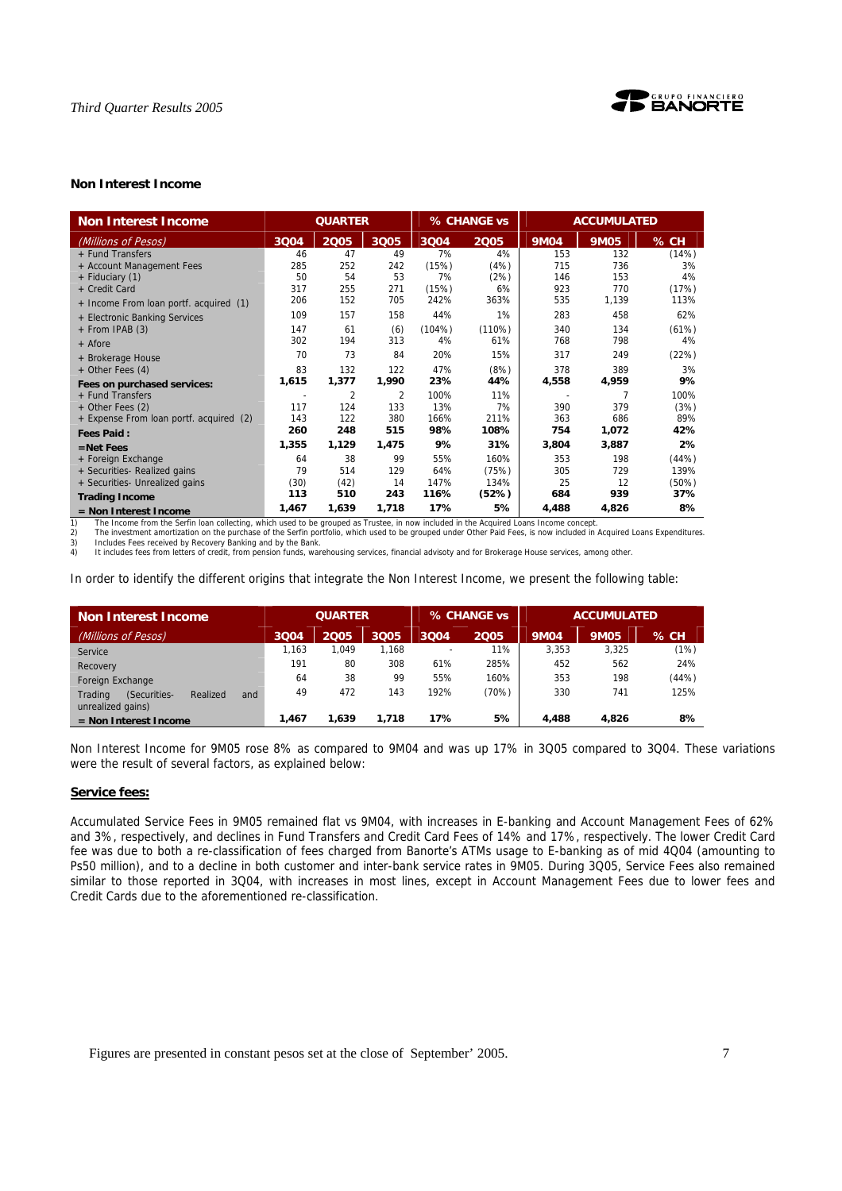

# **Non Interest Income**

| <b>Non Interest Income</b>              | <b>QUARTER</b> |                |                | % CHANGE vs |        | <b>ACCUMULATED</b> |             |          |
|-----------------------------------------|----------------|----------------|----------------|-------------|--------|--------------------|-------------|----------|
| (Millions of Pesos)                     | 3004           | 2005           | 3Q05           | 3Q04        | 2005   | <b>9M04</b>        | <b>9M05</b> | % CH     |
| + Fund Transfers                        | 46             | 47             | 49             | 7%          | 4%     | 153                | 132         | (14%)    |
| + Account Management Fees               | 285            | 252            | 242            | (15%)       | (4%)   | 715                | 736         | 3%       |
| + Fiduciary (1)                         | 50             | 54             | 53             | 7%          | (2%)   | 146                | 153         | 4%       |
| + Credit Card                           | 317            | 255            | 271            | (15%)       | 6%     | 923                | 770         | (17%)    |
| + Income From loan portf. acquired (1)  | 206            | 152            | 705            | 242%        | 363%   | 535                | 1,139       | 113%     |
| + Electronic Banking Services           | 109            | 157            | 158            | 44%         | 1%     | 283                | 458         | 62%      |
| + From IPAB (3)                         | 147            | 61             | (6)            | (104%)      | (110%) | 340                | 134         | (61%)    |
| + Afore                                 | 302            | 194            | 313            | 4%          | 61%    | 768                | 798         | 4%       |
| + Brokerage House                       | 70             | 73             | 84             | 20%         | 15%    | 317                | 249         | (22%)    |
| + Other Fees (4)                        | 83             | 132            | 122            | 47%         | (8%)   | 378                | 389         | 3%       |
| Fees on purchased services:             | 1,615          | 1,377          | 1,990          | 23%         | 44%    | 4,558              | 4,959       | 9%       |
| + Fund Transfers                        | ٠              | $\overline{2}$ | $\overline{2}$ | 100%        | 11%    |                    |             | 100%     |
| + Other Fees (2)                        | 117            | 124            | 133            | 13%         | 7%     | 390                | 379         | (3%)     |
| + Expense From loan portf. acquired (2) | 143            | 122            | 380            | 166%        | 211%   | 363                | 686         | 89%      |
| <b>Fees Paid:</b>                       | 260            | 248            | 515            | 98%         | 108%   | 754                | 1,072       | 42%      |
| $=$ Net Fees                            | 1,355          | 1,129          | 1,475          | 9%          | 31%    | 3,804              | 3,887       | 2%       |
| + Foreign Exchange                      | 64             | 38             | 99             | 55%         | 160%   | 353                | 198         | (44%)    |
| + Securities- Realized gains            | 79             | 514            | 129            | 64%         | (75%)  | 305                | 729         | 139%     |
| + Securities- Unrealized gains          | (30)           | (42)           | 14             | 147%        | 134%   | 25                 | 12          | $(50\%)$ |
| <b>Trading Income</b>                   | 113            | 510            | 243            | 116%        | (52%)  | 684                | 939         | 37%      |
| = Non Interest Income                   | 1,467          | 1,639          | 1,718          | 17%         | 5%     | 4,488              | 4,826       | 8%       |

1) The Income from the Serfin loan collecting, which used to be grouped as Trustee, in now included in the Acquired Loans Income concept.<br>2) The investment amortization on the purchase of the Serfin portfolio, which used t

3) Includes Fees received by Recovery Banking and by the Bank. 4) It includes fees from letters of credit, from pension funds, warehousing services, financial advisoty and for Brokerage House services, among other.

In order to identify the different origins that integrate the Non Interest Income, we present the following table:

| Non Interest Income                                             | <b>QUARTER</b> |       |       |                          | % CHANGE vs | <b>ACCUMULATED</b> |             |        |
|-----------------------------------------------------------------|----------------|-------|-------|--------------------------|-------------|--------------------|-------------|--------|
| (Millions of Pesos)                                             | 3Q04           | 2005  | 3Q05  | 3004                     | 2005        | <b>9M04</b>        | <b>9M05</b> | $%$ CH |
| Service                                                         | 1.163          | 1.049 | 1.168 | $\overline{\phantom{0}}$ | 11%         | 3.353              | 3.325       | (1%)   |
| Recovery                                                        | 191            | 80    | 308   | 61%                      | 285%        | 452                | 562         | 24%    |
| Foreign Exchange                                                | 64             | 38    | 99    | 55%                      | 160%        | 353                | 198         | (44%)  |
| Trading<br>(Securities-<br>Realized<br>and<br>unrealized gains) | 49             | 472   | 143   | 192%                     | (70%)       | 330                | 741         | 125%   |
| $=$ Non Interest Income                                         | 1.467          | 1.639 | 1,718 | 17%                      | 5%          | 4.488              | 4.826       | 8%     |

Non Interest Income for 9M05 rose 8% as compared to 9M04 and was up 17% in 3Q05 compared to 3Q04. These variations were the result of several factors, as explained below:

### **Service fees:**

Accumulated Service Fees in 9M05 remained flat vs 9M04, with increases in E-banking and Account Management Fees of 62% and 3%, respectively, and declines in Fund Transfers and Credit Card Fees of 14% and 17%, respectively. The lower Credit Card fee was due to both a re-classification of fees charged from Banorte's ATMs usage to E-banking as of mid 4Q04 (amounting to Ps50 million), and to a decline in both customer and inter-bank service rates in 9M05. During 3Q05, Service Fees also remained similar to those reported in 3Q04, with increases in most lines, except in Account Management Fees due to lower fees and Credit Cards due to the aforementioned re-classification.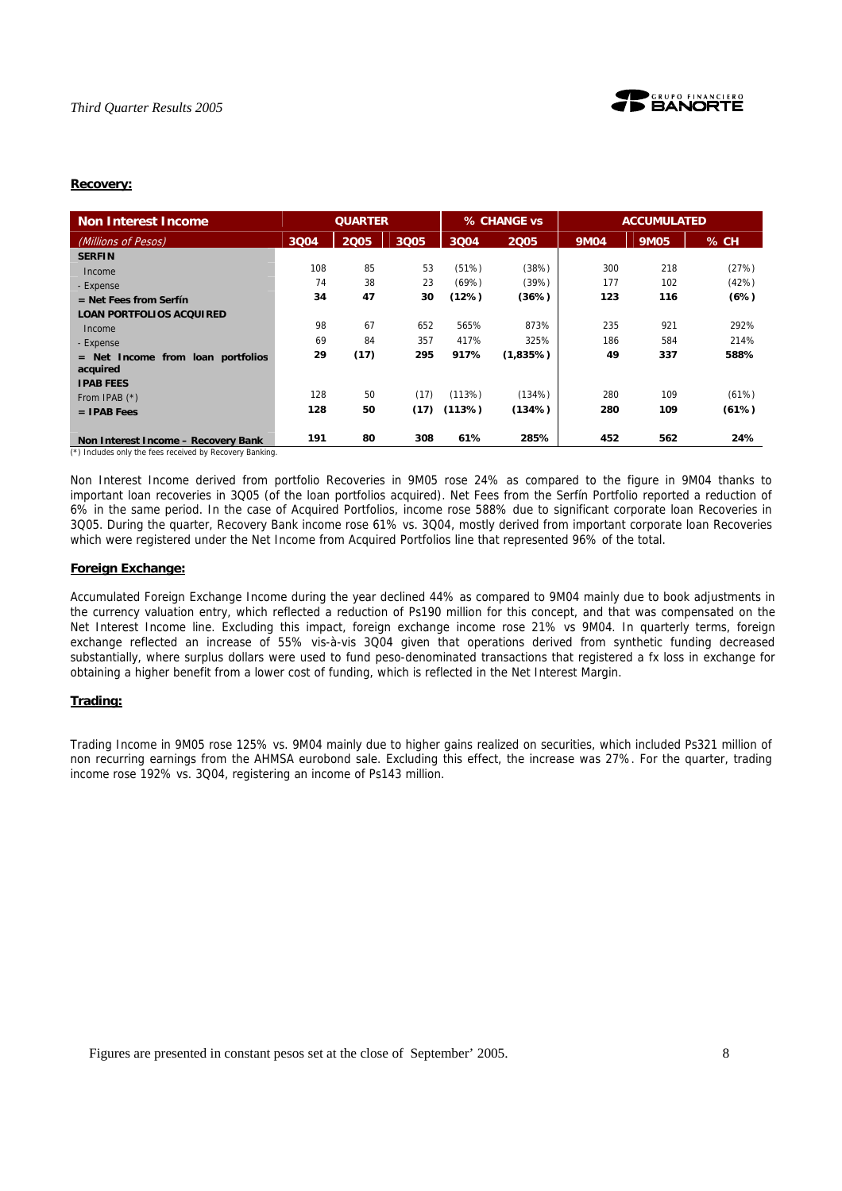

# **Recovery:**

| <b>Non Interest Income</b>                            | <b>QUARTER</b> |      |      |        | % CHANGE vs |             | <b>ACCUMULATED</b> |       |  |
|-------------------------------------------------------|----------------|------|------|--------|-------------|-------------|--------------------|-------|--|
| (Millions of Pesos)                                   | 3004           | 2005 | 3Q05 | 3004   | 2005        | <b>9M04</b> | <b>9M05</b>        | % CH  |  |
| <b>SERFIN</b>                                         |                |      |      |        |             |             |                    |       |  |
| Income                                                | 108            | 85   | 53   | (51%)  | (38%)       | 300         | 218                | (27%) |  |
| - Expense                                             | 74             | 38   | 23   | (69%)  | (39%)       | 177         | 102                | (42%) |  |
| $=$ Net Fees from Serfín                              | 34             | 47   | 30   | (12%)  | (36%)       | 123         | 116                | (6%)  |  |
| <b>LOAN PORTFOLIOS ACQUIRED</b>                       |                |      |      |        |             |             |                    |       |  |
| Income                                                | 98             | 67   | 652  | 565%   | 873%        | 235         | 921                | 292%  |  |
| - Expense                                             | 69             | 84   | 357  | 417%   | 325%        | 186         | 584                | 214%  |  |
| from loan portfolios<br>$=$ Net<br>Income<br>acquired | 29             | (17) | 295  | 917%   | $(1,835\%)$ | 49          | 337                | 588%  |  |
| <b>IPAB FEES</b>                                      |                |      |      |        |             |             |                    |       |  |
| From IPAB (*)                                         | 128            | 50   | (17) | (113%) | (134%)      | 280         | 109                | (61%) |  |
| $=$ IPAB Fees                                         | 128            | 50   | (17) | (113%) | (134%)      | 280         | 109                | (61%) |  |
| Non Interest Income - Recovery Bank                   | 191            | 80   | 308  | 61%    | 285%        | 452         | 562                | 24%   |  |

(\*) Includes only the fees received by Recovery Banking.

Non Interest Income derived from portfolio Recoveries in 9M05 rose 24% as compared to the figure in 9M04 thanks to important loan recoveries in 3Q05 (of the loan portfolios acquired). Net Fees from the Serfín Portfolio reported a reduction of 6% in the same period. In the case of Acquired Portfolios, income rose 588% due to significant corporate loan Recoveries in 3Q05. During the quarter, Recovery Bank income rose 61% vs. 3Q04, mostly derived from important corporate loan Recoveries which were registered under the Net Income from Acquired Portfolios line that represented 96% of the total.

### **Foreign Exchange:**

Accumulated Foreign Exchange Income during the year declined 44% as compared to 9M04 mainly due to book adjustments in the currency valuation entry, which reflected a reduction of Ps190 million for this concept, and that was compensated on the Net Interest Income line. Excluding this impact, foreign exchange income rose 21% vs 9M04. In quarterly terms, foreign exchange reflected an increase of 55% vis-à-vis 3Q04 given that operations derived from synthetic funding decreased substantially, where surplus dollars were used to fund peso-denominated transactions that registered a fx loss in exchange for obtaining a higher benefit from a lower cost of funding, which is reflected in the Net Interest Margin.

### **Trading:**

Trading Income in 9M05 rose 125% vs. 9M04 mainly due to higher gains realized on securities, which included Ps321 million of non recurring earnings from the AHMSA eurobond sale. Excluding this effect, the increase was 27%. For the quarter, trading income rose 192% vs. 3Q04, registering an income of Ps143 million.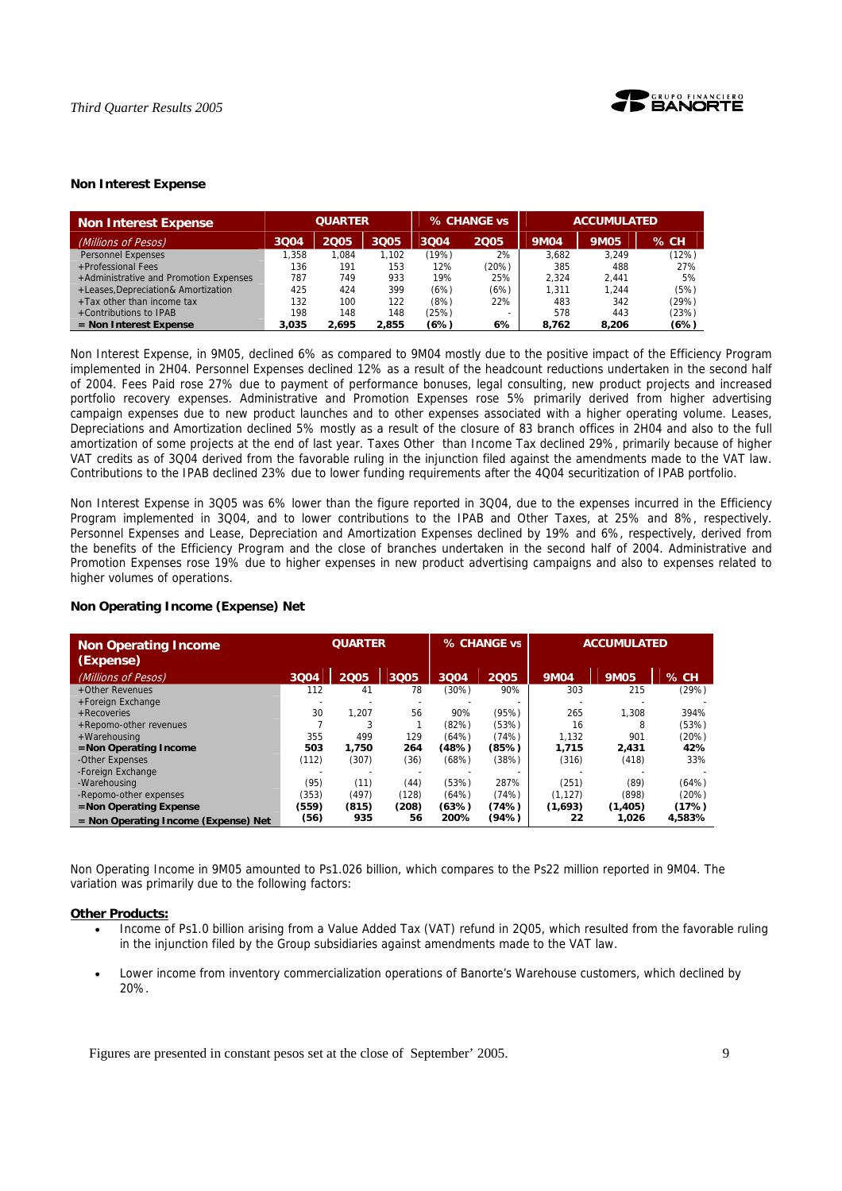

# **Non Interest Expense**

| <b>Non Interest Expense</b>            | <b>QUARTER</b> |       |       | % CHANGE vs | <b>ACCUMULATED</b> |             |             |        |
|----------------------------------------|----------------|-------|-------|-------------|--------------------|-------------|-------------|--------|
| (Millions of Pesos)                    | 3004           | 2005  | 3Q05  | 3004        | 2005               | <b>9M04</b> | <b>9M05</b> | $%$ CH |
| <b>Personnel Expenses</b>              | 1.358          | 1.084 | 1.102 | (19%)       | 2%                 | 3.682       | 3.249       | (12%)  |
| +Professional Fees                     | 136            | 191   | 153   | 12%         | (20%)              | 385         | 488         | 27%    |
| +Administrative and Promotion Expenses | 787            | 749   | 933   | 19%         | 25%                | 2.324       | 2.441       | 5%     |
| +Leases, Depreciation& Amortization    | 425            | 424   | 399   | (6%)        | (6%)               | 1.311       | 1.244       | (5%)   |
| +Tax other than income tax             | 132            | 100   | 122   | (8%)        | 22%                | 483         | 342         | (29%)  |
| +Contributions to IPAB                 | 198            | 148   | 148   | (25%)       |                    | 578         | 443         | (23%)  |
| $=$ Non Interest Expense               | 3.035          | 2.695 | 2,855 | (6%)        | 6%                 | 8.762       | 8,206       | (6%)   |

Non Interest Expense, in 9M05, declined 6% as compared to 9M04 mostly due to the positive impact of the Efficiency Program implemented in 2H04. Personnel Expenses declined 12% as a result of the headcount reductions undertaken in the second half of 2004. Fees Paid rose 27% due to payment of performance bonuses, legal consulting, new product projects and increased portfolio recovery expenses. Administrative and Promotion Expenses rose 5% primarily derived from higher advertising campaign expenses due to new product launches and to other expenses associated with a higher operating volume. Leases, Depreciations and Amortization declined 5% mostly as a result of the closure of 83 branch offices in 2H04 and also to the full amortization of some projects at the end of last year. Taxes Other than Income Tax declined 29%, primarily because of higher VAT credits as of 3Q04 derived from the favorable ruling in the injunction filed against the amendments made to the VAT law. Contributions to the IPAB declined 23% due to lower funding requirements after the 4Q04 securitization of IPAB portfolio.

Non Interest Expense in 3Q05 was 6% lower than the figure reported in 3Q04, due to the expenses incurred in the Efficiency Program implemented in 3Q04, and to lower contributions to the IPAB and Other Taxes, at 25% and 8%, respectively. Personnel Expenses and Lease, Depreciation and Amortization Expenses declined by 19% and 6%, respectively, derived from the benefits of the Efficiency Program and the close of branches undertaken in the second half of 2004. Administrative and Promotion Expenses rose 19% due to higher expenses in new product advertising campaigns and also to expenses related to higher volumes of operations.

| <b>Non Operating Income</b><br>(Expense) | <b>QUARTER</b> |       | % CHANGE vs |       | <b>ACCUMULATED</b> |             |             |        |
|------------------------------------------|----------------|-------|-------------|-------|--------------------|-------------|-------------|--------|
| (Millions of Pesos)                      | 3Q04           | 2005  | 3Q05        | 3Q04  | 2005               | <b>9M04</b> | <b>9M05</b> | % CH   |
| +Other Revenues                          | 112            | 41    | 78          | (30%) | 90%                | 303         | 215         | (29%)  |
| +Foreign Exchange                        |                |       |             |       |                    |             |             |        |
| + Recoveries                             | 30             | 1.207 | 56          | 90%   | (95%)              | 265         | 1.308       | 394%   |
| +Repomo-other revenues                   |                |       |             | (82%) | (53%)              | 16          | 8           | (53%)  |
| +Warehousing                             | 355            | 499   | 129         | (64%) | (74%)              | 1.132       | 901         | (20%)  |
| =Non Operating Income                    | 503            | 1.750 | 264         | (48%) | (85%)              | 1.715       | 2.431       | 42%    |
| -Other Expenses                          | (112)          | (307) | (36)        | (68%) | (38%)              | (316)       | (418)       | 33%    |
| -Foreign Exchange                        |                |       |             |       |                    |             |             |        |
| -Warehousing                             | (95)           | (11)  | (44)        | (53%) | 287%               | (251)       | (89)        | (64%)  |
| -Repomo-other expenses                   | (353)          | (497) | (128)       | (64%) | (74%)              | (1.127)     | (898)       | (20%)  |
| $=$ Non Operating Expense                | (559)          | (815) | (208)       | (63%) | (74%)              | (1,693)     | (1, 405)    | (17%)  |
| $=$ Non Operating Income (Expense) Net   | (56)           | 935   | 56          | 200%  | (94%)              | 22          | 1,026       | 4.583% |

# **Non Operating Income (Expense) Net**

Non Operating Income in 9M05 amounted to Ps1.026 billion, which compares to the Ps22 million reported in 9M04. The variation was primarily due to the following factors:

### **Other Products:**

- Income of Ps1.0 billion arising from a Value Added Tax (VAT) refund in 2Q05, which resulted from the favorable ruling in the injunction filed by the Group subsidiaries against amendments made to the VAT law.
- Lower income from inventory commercialization operations of Banorte's Warehouse customers, which declined by 20%.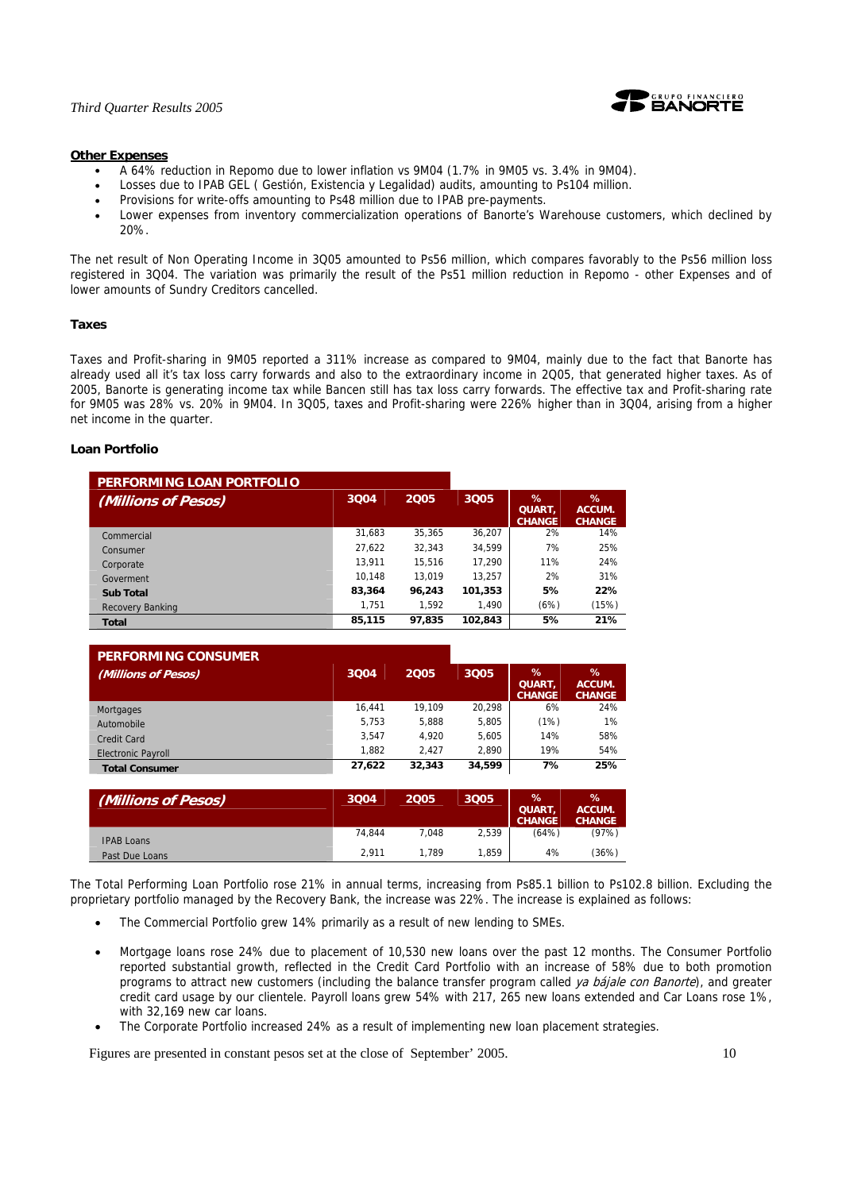

### **Other Expenses**

- A 64% reduction in Repomo due to lower inflation vs 9M04 (1.7% in 9M05 vs. 3.4% in 9M04).
- Losses due to IPAB GEL ( Gestión, Existencia y Legalidad) audits, amounting to Ps104 million.
- Provisions for write-offs amounting to Ps48 million due to IPAB pre-payments.
- Lower expenses from inventory commercialization operations of Banorte's Warehouse customers, which declined by 20%.

The net result of Non Operating Income in 3Q05 amounted to Ps56 million, which compares favorably to the Ps56 million loss registered in 3Q04. The variation was primarily the result of the Ps51 million reduction in Repomo - other Expenses and of lower amounts of Sundry Creditors cancelled.

### **Taxes**

Taxes and Profit-sharing in 9M05 reported a 311% increase as compared to 9M04, mainly due to the fact that Banorte has already used all it's tax loss carry forwards and also to the extraordinary income in 2Q05, that generated higher taxes. As of 2005, Banorte is generating income tax while Bancen still has tax loss carry forwards. The effective tax and Profit-sharing rate for 9M05 was 28% vs. 20% in 9M04. In 3Q05, taxes and Profit-sharing were 226% higher than in 3Q04, arising from a higher net income in the quarter.

### **Loan Portfolio**

| PERFORMING LOAN PORTFOLIO |        |        |         |                                        |                              |
|---------------------------|--------|--------|---------|----------------------------------------|------------------------------|
| (Millions of Pesos)       | 3004   | 2005   | 3005    | $\%$<br><b>QUART,</b><br><b>CHANGE</b> | %<br>ACCUM.<br><b>CHANGE</b> |
| Commercial                | 31.683 | 35.365 | 36.207  | 2%                                     | 14%                          |
| Consumer                  | 27.622 | 32.343 | 34.599  | 7%                                     | 25%                          |
| Corporate                 | 13,911 | 15.516 | 17.290  | 11%                                    | 24%                          |
| Goverment                 | 10.148 | 13.019 | 13.257  | 2%                                     | 31%                          |
| <b>Sub Total</b>          | 83,364 | 96,243 | 101,353 | 5%                                     | 22%                          |
| Recovery Banking          | 1.751  | 1.592  | 1.490   | (6%)                                   | (15%)                        |
| <b>Total</b>              | 85,115 | 97,835 | 102,843 | 5%                                     | 21%                          |

| <b>PERFORMING CONSUMER</b> |        |        |        |                                     |                                 |
|----------------------------|--------|--------|--------|-------------------------------------|---------------------------------|
| (Millions of Pesos)        | 3004   | 2005   | 3005   | ℅<br><b>QUART.</b><br><b>CHANGE</b> | $\%$<br>ACCUM.<br><b>CHANGE</b> |
| Mortgages                  | 16.441 | 19.109 | 20.298 | 6%                                  | 24%                             |
| Automobile                 | 5.753  | 5.888  | 5.805  | (1%)                                | 1%                              |
| Credit Card                | 3.547  | 4.920  | 5.605  | 14%                                 | 58%                             |
| <b>Electronic Payroll</b>  | 1.882  | 2.427  | 2.890  | 19%                                 | 54%                             |
| <b>Total Consumer</b>      | 27,622 | 32,343 | 34,599 | 7%                                  | 25%                             |

| (Millions of Pesos) | 3Q04   | 2005  | 3Q05  | %<br><b>QUART</b><br><b>CHANGE</b> | %<br>ACCUM.<br><b>CHANGE</b> |
|---------------------|--------|-------|-------|------------------------------------|------------------------------|
| <b>IPAB Loans</b>   | 74.844 | 7.048 | 2,539 | (64%)                              | (97%)                        |
| Past Due Loans      | 2.911  | 1.789 | 1.859 | 4%                                 | (36%)                        |

The Total Performing Loan Portfolio rose 21% in annual terms, increasing from Ps85.1 billion to Ps102.8 billion. Excluding the proprietary portfolio managed by the Recovery Bank, the increase was 22%. The increase is explained as follows:

- The Commercial Portfolio grew 14% primarily as a result of new lending to SMEs.
- Mortgage loans rose 24% due to placement of 10,530 new loans over the past 12 months. The Consumer Portfolio reported substantial growth, reflected in the Credit Card Portfolio with an increase of 58% due to both promotion programs to attract new customers (including the balance transfer program called ya bájale con Banorte), and greater credit card usage by our clientele. Payroll loans grew 54% with 217, 265 new loans extended and Car Loans rose 1%, with 32,169 new car loans.
- The Corporate Portfolio increased 24% as a result of implementing new loan placement strategies.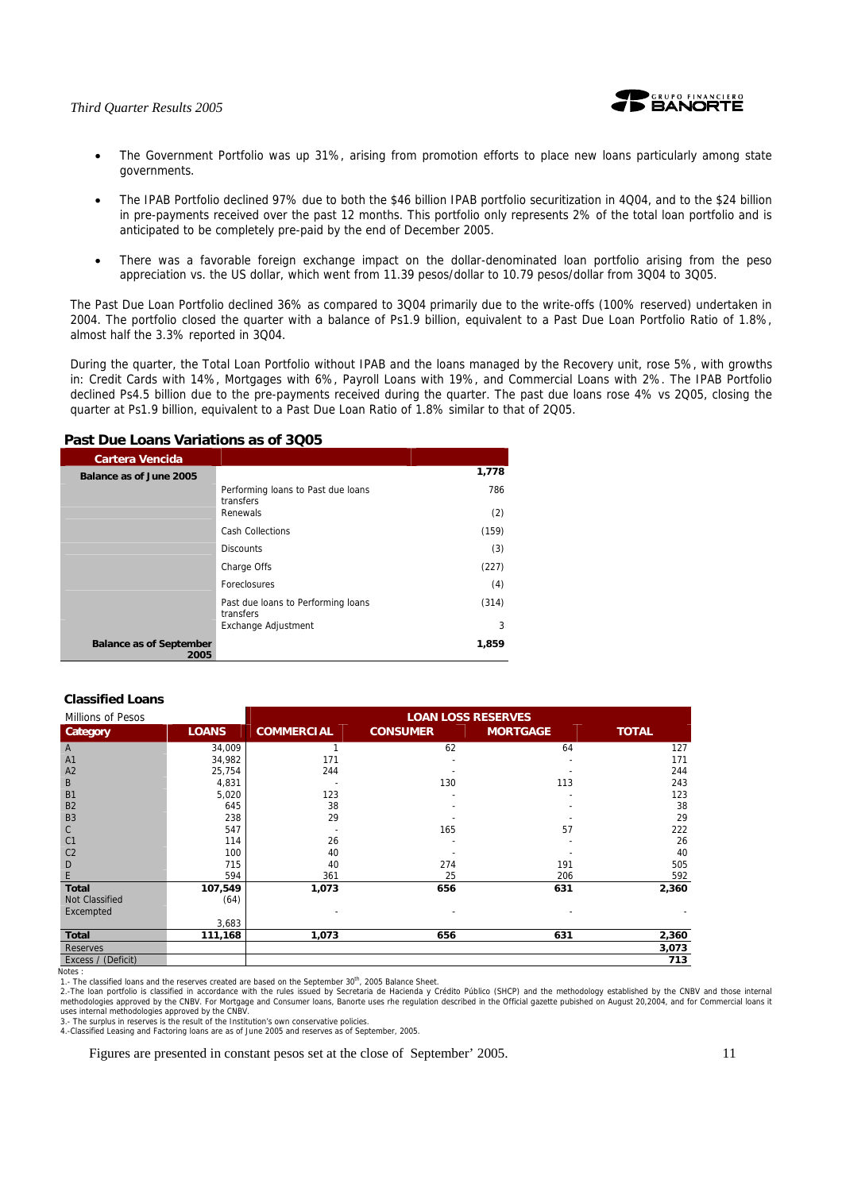

- The Government Portfolio was up 31%, arising from promotion efforts to place new loans particularly among state governments.
- The IPAB Portfolio declined 97% due to both the \$46 billion IPAB portfolio securitization in 4Q04, and to the \$24 billion in pre-payments received over the past 12 months. This portfolio only represents 2% of the total loan portfolio and is anticipated to be completely pre-paid by the end of December 2005.
- There was a favorable foreign exchange impact on the dollar-denominated loan portfolio arising from the peso appreciation vs. the US dollar, which went from 11.39 pesos/dollar to 10.79 pesos/dollar from 3Q04 to 3Q05.

The Past Due Loan Portfolio declined 36% as compared to 3Q04 primarily due to the write-offs (100% reserved) undertaken in 2004. The portfolio closed the quarter with a balance of Ps1.9 billion, equivalent to a Past Due Loan Portfolio Ratio of 1.8%, almost half the 3.3% reported in 3Q04.

During the quarter, the Total Loan Portfolio without IPAB and the loans managed by the Recovery unit, rose 5%, with growths in: Credit Cards with 14%, Mortgages with 6%, Payroll Loans with 19%, and Commercial Loans with 2%. The IPAB Portfolio declined Ps4.5 billion due to the pre-payments received during the quarter. The past due loans rose 4% vs 2Q05, closing the quarter at Ps1.9 billion, equivalent to a Past Due Loan Ratio of 1.8% similar to that of 2Q05.

# **Past Due Loans Variations as of 3Q05**

| <b>Cartera Vencida</b>                 |                                                 |       |
|----------------------------------------|-------------------------------------------------|-------|
| Balance as of June 2005                |                                                 | 1,778 |
|                                        | Performing loans to Past due loans<br>transfers | 786   |
|                                        | Renewals                                        | (2)   |
|                                        | Cash Collections                                | (159) |
|                                        | <b>Discounts</b>                                | (3)   |
|                                        | Charge Offs                                     | (227) |
|                                        | Foreclosures                                    | (4)   |
|                                        | Past due loans to Performing loans<br>transfers | (314) |
|                                        | Exchange Adjustment                             | 3     |
| <b>Balance as of September</b><br>2005 |                                                 | 1,859 |

### **Classified Loans**

| Millions of Pesos  |              | <b>LOAN LOSS RESERVES</b> |                 |                 |              |  |
|--------------------|--------------|---------------------------|-----------------|-----------------|--------------|--|
| Category           | <b>LOANS</b> | <b>COMMERCIAL</b>         | <b>CONSUMER</b> | <b>MORTGAGE</b> | <b>TOTAL</b> |  |
| $\mathsf{A}$       | 34,009       |                           | 62              | 64              | 127          |  |
| A <sub>1</sub>     | 34,982       | 171                       |                 |                 | 171          |  |
| A2                 | 25,754       | 244                       |                 |                 | 244          |  |
| B                  | 4,831        |                           | 130             | 113             | 243          |  |
| <b>B1</b>          | 5,020        | 123                       |                 |                 | 123          |  |
| <b>B2</b>          | 645          | 38                        |                 |                 | 38           |  |
| B <sub>3</sub>     | 238          | 29                        |                 |                 | 29           |  |
| C                  | 547          |                           | 165             | 57              | 222          |  |
| C1                 | 114          | 26                        |                 |                 | 26           |  |
| C <sub>2</sub>     | 100          | 40                        |                 |                 | 40           |  |
| D                  | 715          | 40                        | 274             | 191             | 505          |  |
| E                  | 594          | 361                       | 25              | 206             | 592          |  |
| <b>Total</b>       | 107,549      | 1,073                     | 656             | 631             | 2,360        |  |
| Not Classified     | (64)         |                           |                 |                 |              |  |
| Excempted          |              |                           |                 |                 |              |  |
|                    | 3,683        |                           |                 |                 |              |  |
| <b>Total</b>       | 111,168      | 1,073                     | 656             | 631             | 2,360        |  |
| <b>Reserves</b>    |              |                           |                 |                 | 3,073        |  |
| Excess / (Deficit) |              |                           |                 |                 | 713          |  |

Notes :

1.- The classified loans and the reserves created are based on the September 30<sup>th</sup>, 2005 Balance Sheet.

2.-The loan portfolio is classified in accordance with the rules issued by Secretaria de Hacienda y Crédito Público (SHCP) and the methodology established by the CNBV and those internal<br>methodologies approved by the CNBV. uses internal methodologies approved by the CNBV.

3.- The surplus in reserves is the result of the Institution's own conservative policies.

4.-Classified Leasing and Factoring loans are as of June 2005 and reserves as of September, 2005.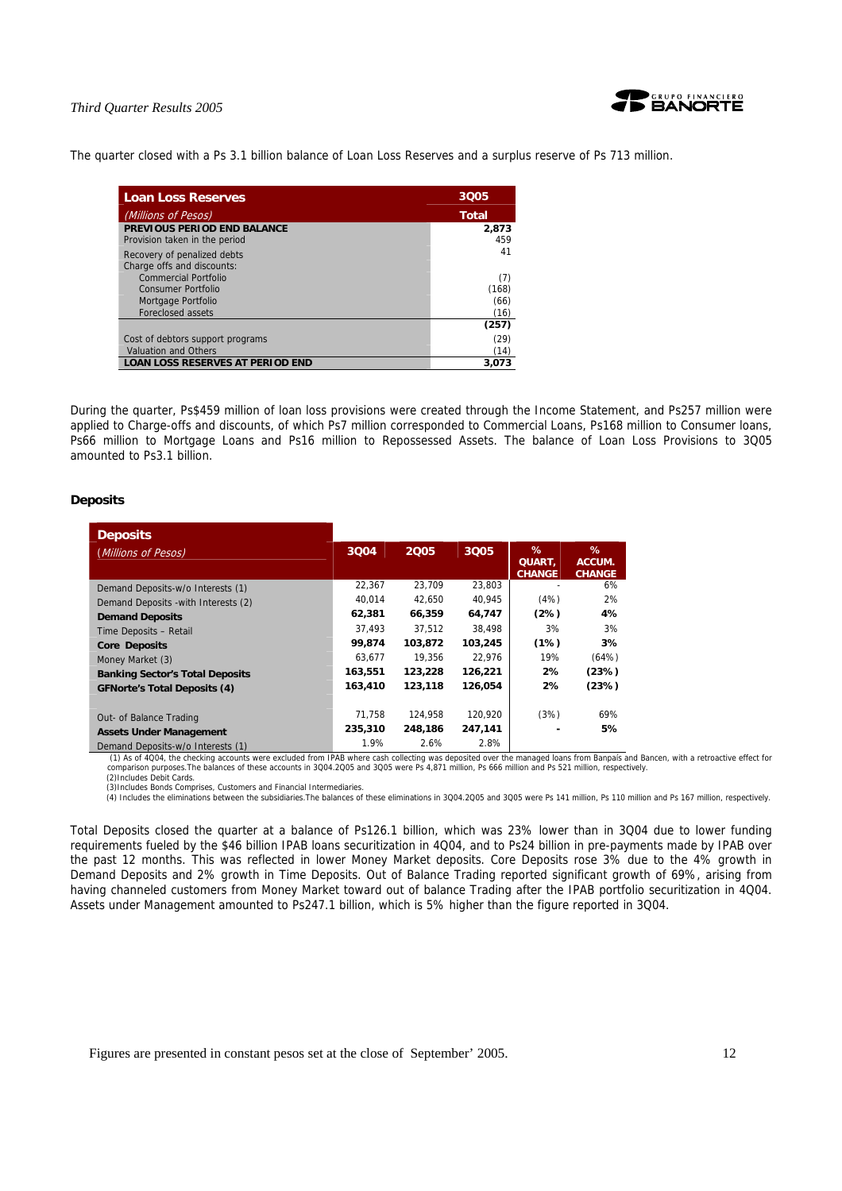

The quarter closed with a Ps 3.1 billion balance of Loan Loss Reserves and a surplus reserve of Ps 713 million.

| <b>Loan Loss Reserves</b>               | 3005  |
|-----------------------------------------|-------|
| (Millions of Pesos)                     | Total |
| PREVIOUS PERIOD END BALANCE             | 2,873 |
| Provision taken in the period           | 459   |
| Recovery of penalized debts             | 41    |
| Charge offs and discounts:              |       |
| Commercial Portfolio                    | (7)   |
| Consumer Portfolio                      | (168) |
| Mortgage Portfolio                      | (66)  |
| Foreclosed assets                       | (16)  |
|                                         | (257) |
| Cost of debtors support programs        | (29)  |
| <b>Valuation and Others</b>             | (14)  |
| <b>LOAN LOSS RESERVES AT PERIOD END</b> | 3.073 |

During the quarter, Ps\$459 million of loan loss provisions were created through the Income Statement, and Ps257 million were applied to Charge-offs and discounts, of which Ps7 million corresponded to Commercial Loans, Ps168 million to Consumer loans, Ps66 million to Mortgage Loans and Ps16 million to Repossessed Assets. The balance of Loan Loss Provisions to 3Q05 amounted to Ps3.1 billion.

### **Deposits**

| <b>Deposits</b>                        |         |         |         |                              |                              |
|----------------------------------------|---------|---------|---------|------------------------------|------------------------------|
| (Millions of Pesos)                    | 3004    | 2005    | 3Q05    | %<br>QUART,<br><b>CHANGE</b> | %<br>ACCUM.<br><b>CHANGE</b> |
| Demand Deposits-w/o Interests (1)      | 22,367  | 23.709  | 23.803  |                              | 6%                           |
| Demand Deposits - with Interests (2)   | 40.014  | 42.650  | 40,945  | (4%)                         | 2%                           |
| <b>Demand Deposits</b>                 | 62,381  | 66,359  | 64,747  | (2%)                         | 4%                           |
| Time Deposits - Retail                 | 37.493  | 37.512  | 38.498  | 3%                           | 3%                           |
| <b>Core Deposits</b>                   | 99.874  | 103.872 | 103,245 | (1%)                         | 3%                           |
| Money Market (3)                       | 63.677  | 19.356  | 22.976  | 19%                          | (64%)                        |
| <b>Banking Sector's Total Deposits</b> | 163,551 | 123,228 | 126,221 | 2%                           | (23%)                        |
| <b>GFNorte's Total Deposits (4)</b>    | 163,410 | 123,118 | 126,054 | 2%                           | (23%)                        |
| Out- of Balance Trading                | 71.758  | 124.958 | 120.920 | (3%)                         | 69%                          |
| <b>Assets Under Management</b>         | 235,310 | 248,186 | 247,141 |                              | 5%                           |
| Demand Deposits-w/o Interests (1)      | 1.9%    | 2.6%    | 2.8%    |                              |                              |

 (1) As of 4Q04, the checking accounts were excluded from IPAB where cash collecting was deposited over the managed loans from Banpaís and Bancen, with a retroactive effect for comparison purposes.The balances of these accounts in 3Q04.2Q05 and 3Q05 were Ps 4,871 million, Ps 666 million and Ps 521 million, respectively. (2)Includes Debit Cards.

(3)Includes Bonds Comprises, Customers and Financial Intermediaries.<br>(4) Includes the eliminations between the subsidiaries.The balances of these eliminations in 3Q04.2Q05 and 3Q05 were Ps 141 million, Ps 110 million and P

Total Deposits closed the quarter at a balance of Ps126.1 billion, which was 23% lower than in 3Q04 due to lower funding requirements fueled by the \$46 billion IPAB loans securitization in 4Q04, and to Ps24 billion in pre-payments made by IPAB over the past 12 months. This was reflected in lower Money Market deposits. Core Deposits rose 3% due to the 4% growth in Demand Deposits and 2% growth in Time Deposits. Out of Balance Trading reported significant growth of 69%, arising from having channeled customers from Money Market toward out of balance Trading after the IPAB portfolio securitization in 4Q04. Assets under Management amounted to Ps247.1 billion, which is 5% higher than the figure reported in 3Q04.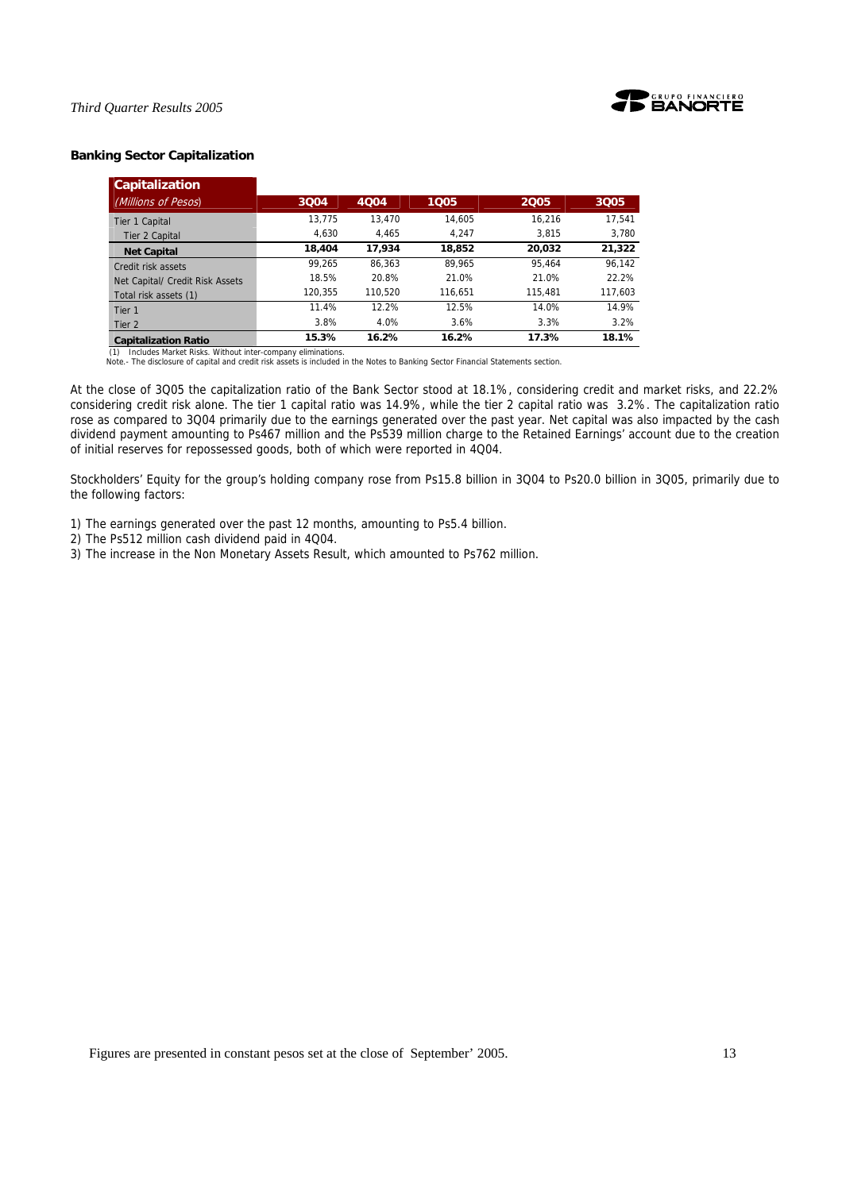

# **Banking Sector Capitalization**

| <b>Capitalization</b>           |         |         |         |         |         |
|---------------------------------|---------|---------|---------|---------|---------|
| (Millions of Pesos)             | 3004    | 4004    | 1005    | 2005    | 3005    |
| Tier 1 Capital                  | 13.775  | 13.470  | 14.605  | 16.216  | 17.541  |
| Tier 2 Capital                  | 4.630   | 4.465   | 4.247   | 3.815   | 3,780   |
| <b>Net Capital</b>              | 18,404  | 17.934  | 18,852  | 20,032  | 21,322  |
| Credit risk assets              | 99.265  | 86.363  | 89.965  | 95.464  | 96.142  |
| Net Capital/ Credit Risk Assets | 18.5%   | 20.8%   | 21.0%   | 21.0%   | 22.2%   |
| Total risk assets (1)           | 120.355 | 110.520 | 116.651 | 115,481 | 117,603 |
| Tier 1                          | 11.4%   | 12.2%   | 12.5%   | 14.0%   | 14.9%   |
| Tier 2                          | 3.8%    | 4.0%    | 3.6%    | 3.3%    | 3.2%    |
| <b>Capitalization Ratio</b>     | 15.3%   | 16.2%   | 16.2%   | 17.3%   | 18.1%   |

(1) Includes Market Risks. Without inter-company eliminations. Note.- The disclosure of capital and credit risk assets is included in the Notes to Banking Sector Financial Statements section.

At the close of 3Q05 the capitalization ratio of the Bank Sector stood at 18.1%, considering credit and market risks, and 22.2% considering credit risk alone. The tier 1 capital ratio was 14.9%, while the tier 2 capital ratio was 3.2%. The capitalization ratio rose as compared to 3Q04 primarily due to the earnings generated over the past year. Net capital was also impacted by the cash dividend payment amounting to Ps467 million and the Ps539 million charge to the Retained Earnings' account due to the creation of initial reserves for repossessed goods, both of which were reported in 4Q04.

Stockholders' Equity for the group's holding company rose from Ps15.8 billion in 3Q04 to Ps20.0 billion in 3Q05, primarily due to the following factors:

- 1) The earnings generated over the past 12 months, amounting to Ps5.4 billion.
- 2) The Ps512 million cash dividend paid in 4Q04.
- 3) The increase in the Non Monetary Assets Result, which amounted to Ps762 million.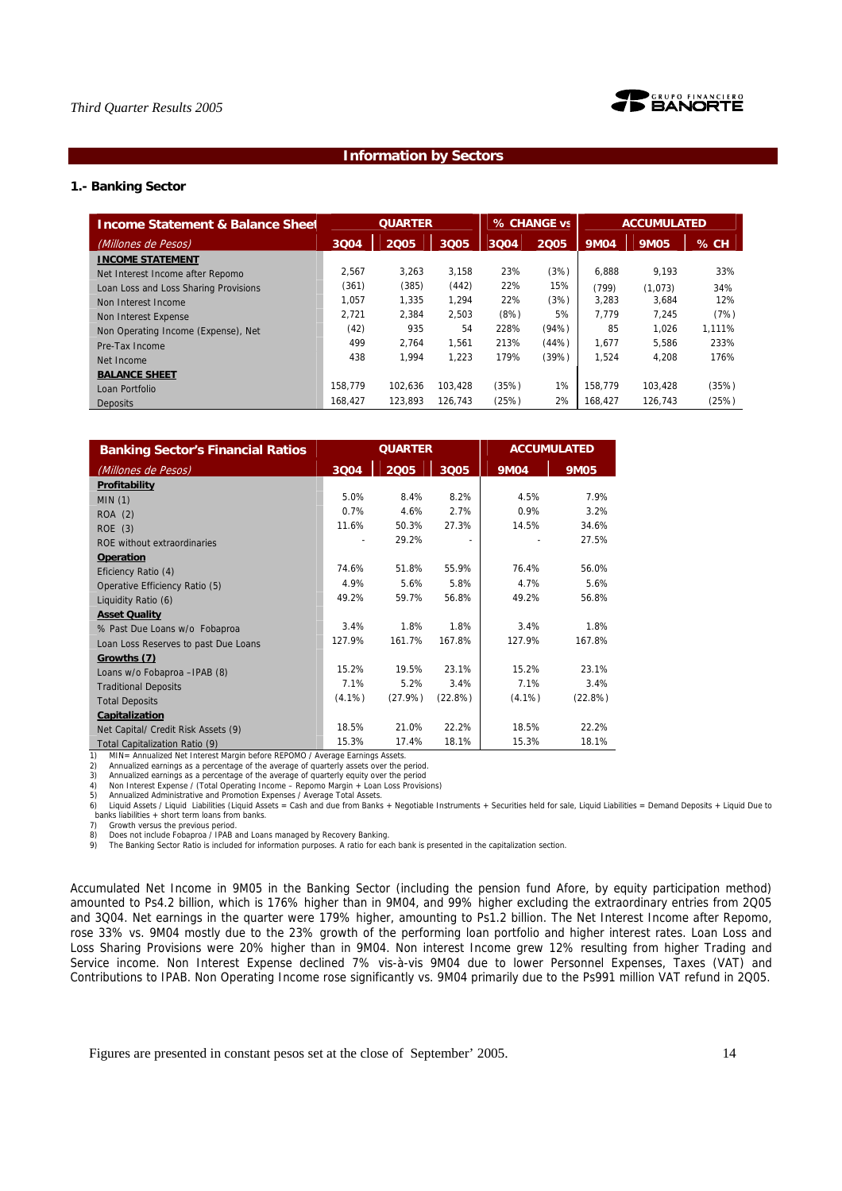



# **Information by Sectors**

# **1.- Banking Sector**

| <b>Income Statement &amp; Balance Sheet</b> |         | <b>QUARTER</b> |         |       | % CHANGE vs |             | <b>ACCUMULATED</b> |        |
|---------------------------------------------|---------|----------------|---------|-------|-------------|-------------|--------------------|--------|
| (Millones de Pesos)                         | 3Q04    | 2005           | 3Q05    | 3Q04  | 2005        | <b>9M04</b> | <b>9M05</b>        | % CH   |
| <b>INCOME STATEMENT</b>                     |         |                |         |       |             |             |                    |        |
| Net Interest Income after Repomo            | 2.567   | 3.263          | 3.158   | 23%   | (3%)        | 6.888       | 9.193              | 33%    |
| Loan Loss and Loss Sharing Provisions       | (361)   | (385)          | (442)   | 22%   | 15%         | (799)       | (1,073)            | 34%    |
| Non Interest Income                         | 1.057   | 1.335          | 1.294   | 22%   | (3%)        | 3.283       | 3.684              | 12%    |
| Non Interest Expense                        | 2.721   | 2.384          | 2.503   | (8%)  | 5%          | 7.779       | 7.245              | (7%)   |
| Non Operating Income (Expense), Net         | (42)    | 935            | 54      | 228%  | (94%)       | 85          | 1.026              | 1.111% |
| Pre-Tax Income                              | 499     | 2.764          | 1.561   | 213%  | (44%)       | 1.677       | 5.586              | 233%   |
| Net Income                                  | 438     | 1.994          | 1.223   | 179%  | (39%)       | 1.524       | 4.208              | 176%   |
| <b>BALANCE SHEET</b>                        |         |                |         |       |             |             |                    |        |
| Loan Portfolio                              | 158.779 | 102.636        | 103.428 | (35%) | 1%          | 158.779     | 103.428            | (35%)  |
| <b>Deposits</b>                             | 168,427 | 123.893        | 126,743 | (25%) | 2%          | 168,427     | 126.743            | (25%)  |

| <b>Banking Sector's Financial Ratios</b> |           | <b>QUARTER</b> |         |             | <b>ACCUMULATED</b> |
|------------------------------------------|-----------|----------------|---------|-------------|--------------------|
| (Millones de Pesos)                      | 3Q04      | 2005           | 3Q05    | <b>9M04</b> | <b>9M05</b>        |
| Profitability                            |           |                |         |             |                    |
| MIN(1)                                   | 5.0%      | 8.4%           | 8.2%    | 4.5%        | 7.9%               |
| ROA (2)                                  | 0.7%      | 4.6%           | 2.7%    | 0.9%        | 3.2%               |
| ROE(3)                                   | 11.6%     | 50.3%          | 27.3%   | 14.5%       | 34.6%              |
| ROE without extraordinaries              |           | 29.2%          | ۰       |             | 27.5%              |
| <b>Operation</b>                         |           |                |         |             |                    |
| Eficiency Ratio (4)                      | 74.6%     | 51.8%          | 55.9%   | 76.4%       | 56.0%              |
| Operative Efficiency Ratio (5)           | 4.9%      | 5.6%           | 5.8%    | 4.7%        | 5.6%               |
| Liquidity Ratio (6)                      | 49.2%     | 59.7%          | 56.8%   | 49.2%       | 56.8%              |
| <b>Asset Quality</b>                     |           |                |         |             |                    |
| % Past Due Loans w/o Fobaproa            | 3.4%      | 1.8%           | 1.8%    | 3.4%        | 1.8%               |
| Loan Loss Reserves to past Due Loans     | 127.9%    | 161.7%         | 167.8%  | 127.9%      | 167.8%             |
| Growths (7)                              |           |                |         |             |                    |
| Loans w/o Fobaproa - IPAB (8)            | 15.2%     | 19.5%          | 23.1%   | 15.2%       | 23.1%              |
| <b>Traditional Deposits</b>              | 7.1%      | 5.2%           | 3.4%    | 7.1%        | 3.4%               |
| <b>Total Deposits</b>                    | $(4.1\%)$ | (27.9%)        | (22.8%) | $(4.1\%)$   | (22.8%)            |
| Capitalization                           |           |                |         |             |                    |
| Net Capital/ Credit Risk Assets (9)      | 18.5%     | 21.0%          | 22.2%   | 18.5%       | 22.2%              |
| Total Capitalization Ratio (9)           | 15.3%     | 17.4%          | 18.1%   | 15.3%       | 18.1%              |

1) MIN= Annualized Net Interest Margin before REPOMO / Average Earnings Assets.<br>2) Annualized earnings as a percentage of the average of quarterly assets over the p<br>3) Annualized earnings as a percentage of the average of

2) Annualized earnings as a percentage of the average of quarterly assets over the period.<br>3) Annualized earnings as a percentage of the average of quarterly equity over the period<br>4) Non Interest Expense / (Total Operatin

5) Annualized Administrative and Promotion Expenses / Average Total Assets.<br>6) Liquid Assets / Liquid Liabilities (Liquid Assets = Cash and due from Banks + Negotiable Instruments + Securities held for sale, Liquid Liabili banks liabilities + short term loans from banks.<br>7) Growth versus the previous period.

Growth versus the previous period.

8) Does not include Fobaproa / IPAB and Loans managed by Recovery Banking.<br>9) The Banking Sector Ratio is included for information purposes. A ratio for each bank is presented in the capitalization section.

Accumulated Net Income in 9M05 in the Banking Sector (including the pension fund Afore, by equity participation method) amounted to Ps4.2 billion, which is 176% higher than in 9M04, and 99% higher excluding the extraordinary entries from 2Q05 and 3Q04. Net earnings in the quarter were 179% higher, amounting to Ps1.2 billion. The Net Interest Income after Repomo, rose 33% vs. 9M04 mostly due to the 23% growth of the performing loan portfolio and higher interest rates. Loan Loss and Loss Sharing Provisions were 20% higher than in 9M04. Non interest Income grew 12% resulting from higher Trading and Service income. Non Interest Expense declined 7% vis-à-vis 9M04 due to lower Personnel Expenses, Taxes (VAT) and Contributions to IPAB. Non Operating Income rose significantly vs. 9M04 primarily due to the Ps991 million VAT refund in 2Q05.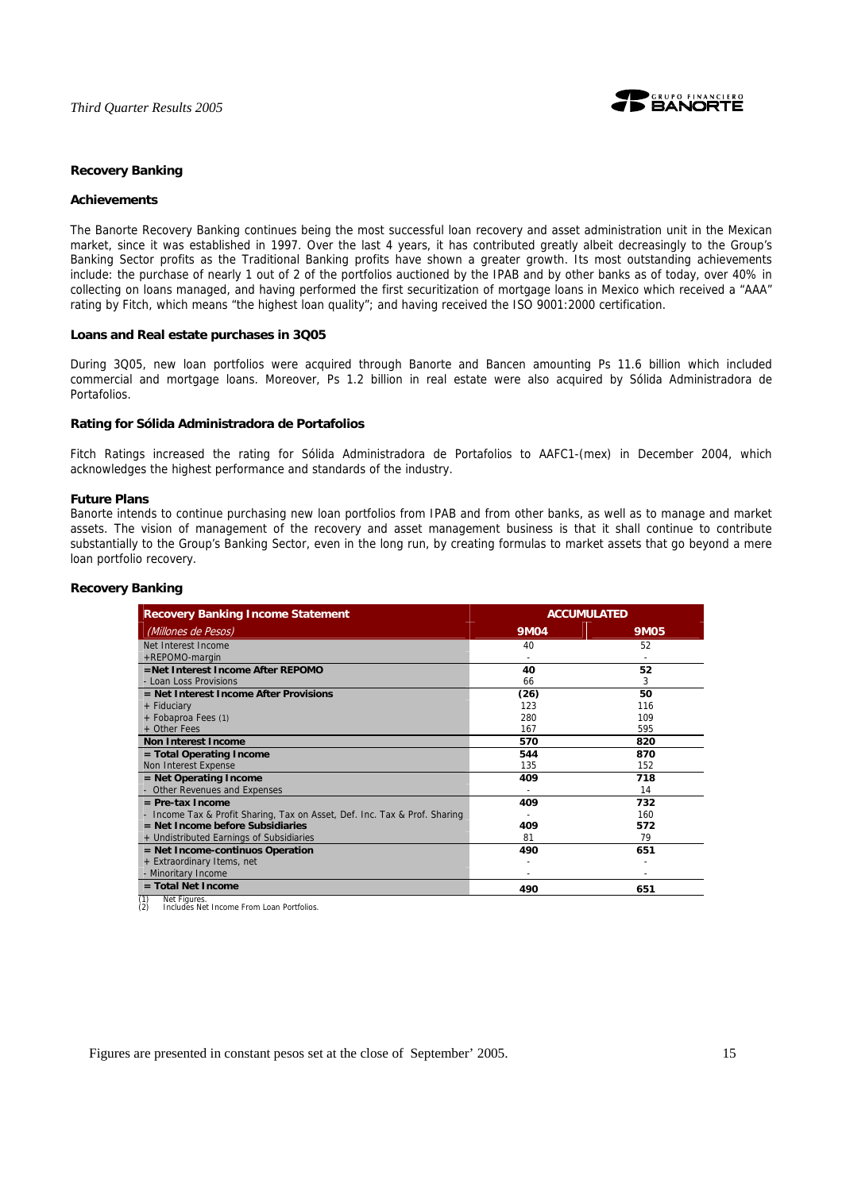

# **Recovery Banking**

### **Achievements**

The Banorte Recovery Banking continues being the most successful loan recovery and asset administration unit in the Mexican market, since it was established in 1997. Over the last 4 years, it has contributed greatly albeit decreasingly to the Group's Banking Sector profits as the Traditional Banking profits have shown a greater growth. Its most outstanding achievements include: the purchase of nearly 1 out of 2 of the portfolios auctioned by the IPAB and by other banks as of today, over 40% in collecting on loans managed, and having performed the first securitization of mortgage loans in Mexico which received a "AAA" rating by Fitch, which means "the highest loan quality"; and having received the ISO 9001:2000 certification.

### **Loans and Real estate purchases in 3Q05**

During 3Q05, new loan portfolios were acquired through Banorte and Bancen amounting Ps 11.6 billion which included commercial and mortgage loans. Moreover, Ps 1.2 billion in real estate were also acquired by Sólida Administradora de Portafolios.

### **Rating for Sólida Administradora de Portafolios**

Fitch Ratings increased the rating for Sólida Administradora de Portafolios to AAFC1-(mex) in December 2004, which acknowledges the highest performance and standards of the industry.

### **Future Plans**

Banorte intends to continue purchasing new loan portfolios from IPAB and from other banks, as well as to manage and market assets. The vision of management of the recovery and asset management business is that it shall continue to contribute substantially to the Group's Banking Sector, even in the long run, by creating formulas to market assets that go beyond a mere loan portfolio recovery.

| <b>Recovery Banking Income Statement</b>                                   | <b>ACCUMULATED</b> |             |  |
|----------------------------------------------------------------------------|--------------------|-------------|--|
| (Millones de Pesos)                                                        | <b>9M04</b>        | <b>9M05</b> |  |
| Net Interest Income                                                        | 40                 | 52          |  |
| +REPOMO-margin                                                             |                    |             |  |
| =Net Interest Income After REPOMO                                          | 40                 | 52          |  |
| - Loan Loss Provisions                                                     | 66                 | 3           |  |
| = Net Interest Income After Provisions                                     | (26)               | 50          |  |
| + Fiduciary                                                                | 123                | 116         |  |
| + Fobaproa Fees (1)                                                        | 280                | 109         |  |
| + Other Fees                                                               | 167                | 595         |  |
| <b>Non Interest Income</b>                                                 | 570                | 820         |  |
| = Total Operating Income                                                   | 544                | 870         |  |
| Non Interest Expense                                                       | 135                | 152         |  |
| $=$ Net Operating Income                                                   | 409                | 718         |  |
| Other Revenues and Expenses                                                |                    | 14          |  |
| $=$ Pre-tax Income                                                         | 409                | 732         |  |
| - Income Tax & Profit Sharing, Tax on Asset, Def. Inc. Tax & Prof. Sharing |                    | 160         |  |
| $=$ Net Income before Subsidiaries                                         | 409                | 572         |  |
| + Undistributed Earnings of Subsidiaries                                   | 81                 | 79          |  |
| = Net Income-continuos Operation                                           | 490                | 651         |  |
| + Extraordinary Items, net                                                 |                    |             |  |
| - Minoritary Income                                                        |                    |             |  |
| $=$ Total Net Income<br>Net Figures<br>(1)                                 | 490                | 651         |  |

# **Recovery Banking**

(1) Net Figures. (2) Includes Net Income From Loan Portfolios.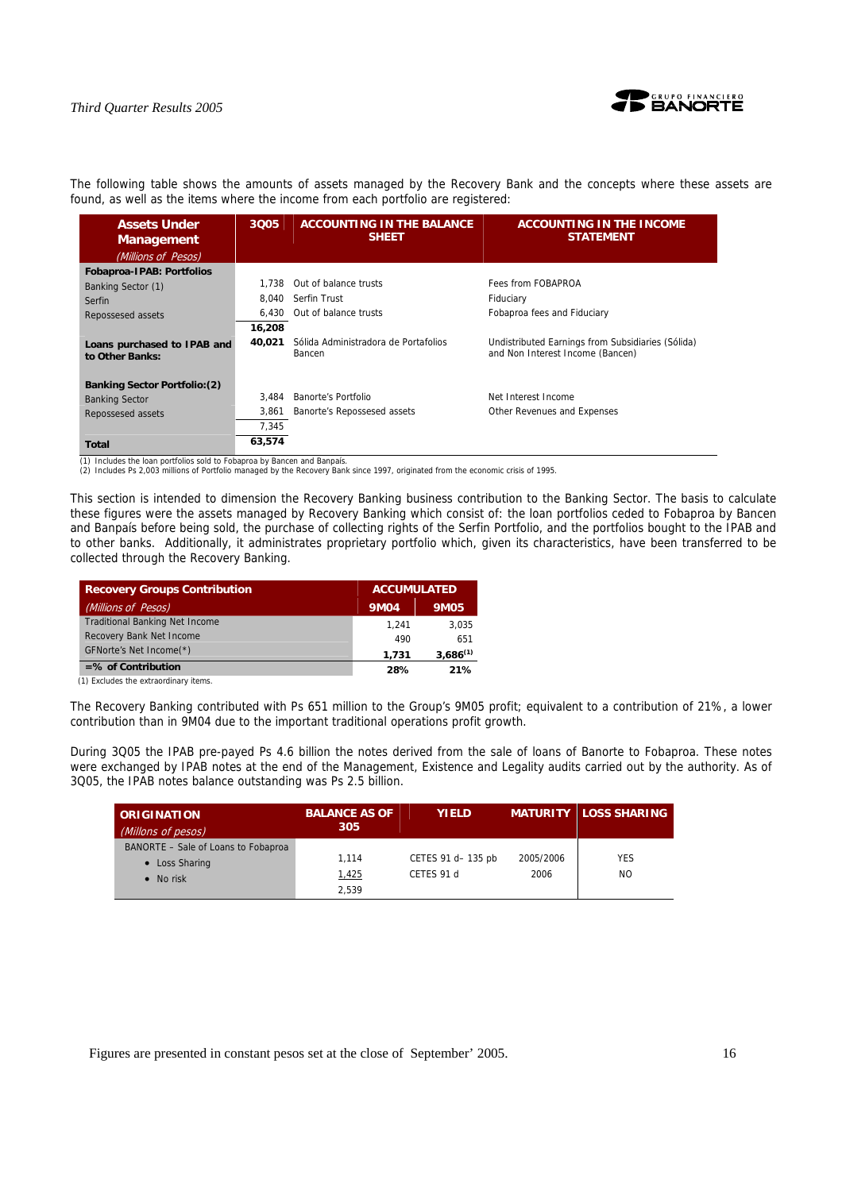

The following table shows the amounts of assets managed by the Recovery Bank and the concepts where these assets are found, as well as the items where the income from each portfolio are registered:

| <b>Assets Under</b><br><b>Management</b><br>(Millions of Pesos) | 3Q05   | <b>ACCOUNTING IN THE BALANCE</b><br><b>SHEET</b> | <b>ACCOUNTING IN THE INCOME</b><br><b>STATEMENT</b>                                   |
|-----------------------------------------------------------------|--------|--------------------------------------------------|---------------------------------------------------------------------------------------|
| <b>Fobaproa-IPAB: Portfolios</b>                                |        |                                                  |                                                                                       |
|                                                                 | 1.738  | Out of balance trusts                            | Fees from FOBAPROA                                                                    |
| Banking Sector (1)                                              | 8.040  | Serfin Trust                                     |                                                                                       |
| Serfin                                                          |        |                                                  | Fiduciary                                                                             |
| Repossesed assets                                               | 6.430  | Out of balance trusts                            | Fobaproa fees and Fiduciary                                                           |
|                                                                 | 16,208 |                                                  |                                                                                       |
| Loans purchased to IPAB and<br>to Other Banks:                  | 40.021 | Sólida Administradora de Portafolios<br>Bancen   | Undistributed Earnings from Subsidiaries (Sólida)<br>and Non Interest Income (Bancen) |
| <b>Banking Sector Portfolio: (2)</b>                            |        |                                                  |                                                                                       |
| <b>Banking Sector</b>                                           | 3.484  | Banorte's Portfolio                              | Net Interest Income                                                                   |
| Repossesed assets                                               | 3,861  | Banorte's Repossesed assets                      | Other Revenues and Expenses                                                           |
|                                                                 | 7,345  |                                                  |                                                                                       |
| Total                                                           | 63,574 |                                                  |                                                                                       |

(1) Includes the loan portfolios sold to Fobaproa by Bancen and Banpaís.

(2) Includes Ps 2,003 millions of Portfolio managed by the Recovery Bank since 1997, originated from the economic crisis of 1995.

This section is intended to dimension the Recovery Banking business contribution to the Banking Sector. The basis to calculate these figures were the assets managed by Recovery Banking which consist of: the loan portfolios ceded to Fobaproa by Bancen and Banpaís before being sold, the purchase of collecting rights of the Serfin Portfolio, and the portfolios bought to the IPAB and to other banks. Additionally, it administrates proprietary portfolio which, given its characteristics, have been transferred to be collected through the Recovery Banking.

| <b>Recovery Groups Contribution</b>   | <b>ACCUMULATED</b> |               |
|---------------------------------------|--------------------|---------------|
| (Millions of Pesos)                   | <b>9M04</b>        | <b>9M05</b>   |
| <b>Traditional Banking Net Income</b> | 1.241              | 3.035         |
| Recovery Bank Net Income              | 490                | 651           |
| GFNorte's Net Income(*)               | 1.731              | $3.686^{(1)}$ |
| $=$ % of Contribution                 | 28%                | 21%           |

(1) Excludes the extraordinary items.

The Recovery Banking contributed with Ps 651 million to the Group's 9M05 profit; equivalent to a contribution of 21%, a lower contribution than in 9M04 due to the important traditional operations profit growth.

During 3Q05 the IPAB pre-payed Ps 4.6 billion the notes derived from the sale of loans of Banorte to Fobaproa. These notes were exchanged by IPAB notes at the end of the Management, Existence and Legality audits carried out by the authority. As of 3Q05, the IPAB notes balance outstanding was Ps 2.5 billion.

| <b>ORIGINATION</b><br>(Millons of pesos)                                   | <b>BALANCE AS OF</b><br>305 | <b>YIELD</b>                     |                   | <b>MATURITY LOSS SHARING</b> |
|----------------------------------------------------------------------------|-----------------------------|----------------------------------|-------------------|------------------------------|
| BANORTE - Sale of Loans to Fobaproa<br>• Loss Sharing<br>$\bullet$ No risk | 1.114<br>1,425              | CETES 91 d- 135 pb<br>CETES 91 d | 2005/2006<br>2006 | <b>YES</b><br>NO.            |
|                                                                            | 2,539                       |                                  |                   |                              |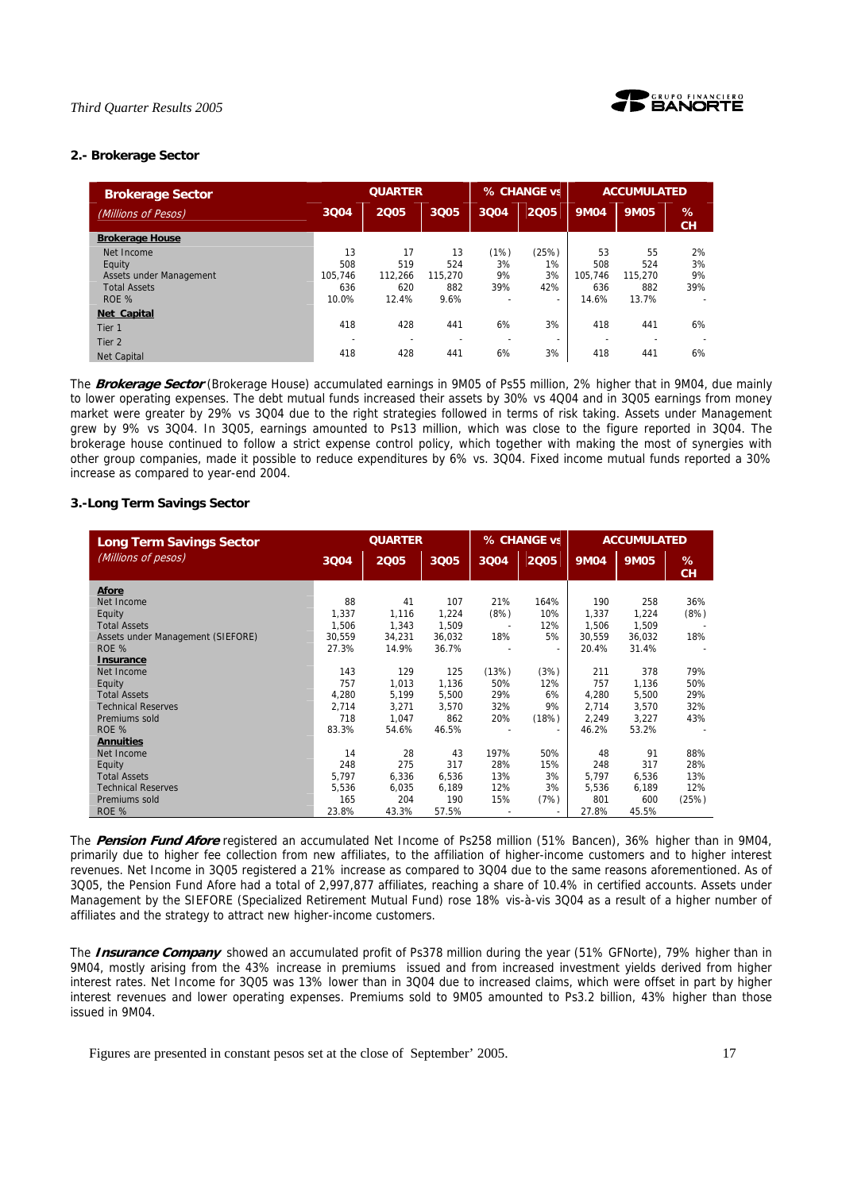

# **2.- Brokerage Sector**

| <b>Brokerage Sector</b> |         | <b>QUARTER</b> |         |      | % CHANGE vs              | <b>ACCUMULATED</b>       |             |                          |
|-------------------------|---------|----------------|---------|------|--------------------------|--------------------------|-------------|--------------------------|
| (Millions of Pesos)     | 3Q04    | 2005           | 3005    | 3004 | 2005                     | <b>9M04</b>              | <b>9M05</b> | %<br><b>CH</b>           |
| <b>Brokerage House</b>  |         |                |         |      |                          |                          |             |                          |
| Net Income              | 13      | 17             | 13      | (1%) | (25%)                    | 53                       | 55          | 2%                       |
| Equity                  | 508     | 519            | 524     | 3%   | 1%                       | 508                      | 524         | 3%                       |
| Assets under Management | 105.746 | 112.266        | 115.270 | 9%   | 3%                       | 105.746                  | 115.270     | 9%                       |
| <b>Total Assets</b>     | 636     | 620            | 882     | 39%  | 42%                      | 636                      | 882         | 39%                      |
| ROE %                   | 10.0%   | 12.4%          | 9.6%    |      | $\overline{\phantom{a}}$ | 14.6%                    | 13.7%       | $\overline{\phantom{0}}$ |
| <b>Net Capital</b>      |         |                |         |      |                          |                          |             |                          |
| Tier 1                  | 418     | 428            | 441     | 6%   | 3%                       | 418                      | 441         | 6%                       |
| Tier 2                  |         |                |         |      | $\overline{\phantom{a}}$ | $\overline{\phantom{0}}$ |             |                          |
| <b>Net Capital</b>      | 418     | 428            | 441     | 6%   | 3%                       | 418                      | 441         | 6%                       |

The **Brokerage Sector** (Brokerage House) accumulated earnings in 9M05 of Ps55 million, 2% higher that in 9M04, due mainly to lower operating expenses. The debt mutual funds increased their assets by 30% vs 4Q04 and in 3Q05 earnings from money market were greater by 29% vs 3Q04 due to the right strategies followed in terms of risk taking. Assets under Management grew by 9% vs 3Q04. In 3Q05, earnings amounted to Ps13 million, which was close to the figure reported in 3Q04. The brokerage house continued to follow a strict expense control policy, which together with making the most of synergies with other group companies, made it possible to reduce expenditures by 6% vs. 3Q04. Fixed income mutual funds reported a 30% increase as compared to year-end 2004.

# **3.-Long Term Savings Sector**

| <b>Long Term Savings Sector</b>   |        | <b>QUARTER</b> |        |                          | % CHANGE vs              | <b>ACCUMULATED</b> |             |                |
|-----------------------------------|--------|----------------|--------|--------------------------|--------------------------|--------------------|-------------|----------------|
| (Millions of pesos)               | 3Q04   | 2005           | 3005   | 3004                     | 2005                     | <b>9M04</b>        | <b>9M05</b> | %<br><b>CH</b> |
| Afore                             |        |                |        |                          |                          |                    |             |                |
| Net Income                        | 88     | 41             | 107    | 21%                      | 164%                     | 190                | 258         | 36%            |
| Equity                            | 1.337  | 1.116          | 1,224  | (8%)                     | 10%                      | 1,337              | 1,224       | (8%)           |
| <b>Total Assets</b>               | 1,506  | 1.343          | 1,509  | $\overline{\phantom{a}}$ | 12%                      | 1,506              | 1,509       |                |
| Assets under Management (SIEFORE) | 30.559 | 34,231         | 36.032 | 18%                      | 5%                       | 30.559             | 36.032      | 18%            |
| ROE %                             | 27.3%  | 14.9%          | 36.7%  |                          | $\sim$                   | 20.4%              | 31.4%       |                |
| Insurance                         |        |                |        |                          |                          |                    |             |                |
| Net Income                        | 143    | 129            | 125    | (13%)                    | (3%)                     | 211                | 378         | 79%            |
| Equity                            | 757    | 1.013          | 1.136  | 50%                      | 12%                      | 757                | 1,136       | 50%            |
| <b>Total Assets</b>               | 4.280  | 5,199          | 5,500  | 29%                      | 6%                       | 4,280              | 5,500       | 29%            |
| <b>Technical Reserves</b>         | 2,714  | 3,271          | 3,570  | 32%                      | 9%                       | 2.714              | 3,570       | 32%            |
| Premiums sold                     | 718    | 1.047          | 862    | 20%                      | (18%)                    | 2.249              | 3.227       | 43%            |
| ROE %                             | 83.3%  | 54.6%          | 46.5%  |                          | $\overline{\phantom{a}}$ | 46.2%              | 53.2%       |                |
| <b>Annuities</b>                  |        |                |        |                          |                          |                    |             |                |
| Net Income                        | 14     | 28             | 43     | 197%                     | 50%                      | 48                 | 91          | 88%            |
| Equity                            | 248    | 275            | 317    | 28%                      | 15%                      | 248                | 317         | 28%            |
| <b>Total Assets</b>               | 5.797  | 6.336          | 6,536  | 13%                      | 3%                       | 5.797              | 6.536       | 13%            |
| <b>Technical Reserves</b>         | 5.536  | 6,035          | 6,189  | 12%                      | 3%                       | 5.536              | 6,189       | 12%            |
| Premiums sold                     | 165    | 204            | 190    | 15%                      | (7%)                     | 801                | 600         | (25%)          |
| ROE %                             | 23.8%  | 43.3%          | 57.5%  |                          | $\overline{\phantom{a}}$ | 27.8%              | 45.5%       |                |

The **Pension Fund Afore** registered an accumulated Net Income of Ps258 million (51% Bancen), 36% higher than in 9M04, primarily due to higher fee collection from new affiliates, to the affiliation of higher-income customers and to higher interest revenues. Net Income in 3Q05 registered a 21% increase as compared to 3Q04 due to the same reasons aforementioned. As of 3Q05, the Pension Fund Afore had a total of 2,997,877 affiliates, reaching a share of 10.4% in certified accounts. Assets under Management by the SIEFORE (Specialized Retirement Mutual Fund) rose 18% vis-à-vis 3Q04 as a result of a higher number of affiliates and the strategy to attract new higher-income customers.

The **Insurance Company** showed an accumulated profit of Ps378 million during the year (51% GFNorte), 79% higher than in 9M04, mostly arising from the 43% increase in premiums issued and from increased investment yields derived from higher interest rates. Net Income for 3Q05 was 13% lower than in 3Q04 due to increased claims, which were offset in part by higher interest revenues and lower operating expenses. Premiums sold to 9M05 amounted to Ps3.2 billion, 43% higher than those issued in 9M04.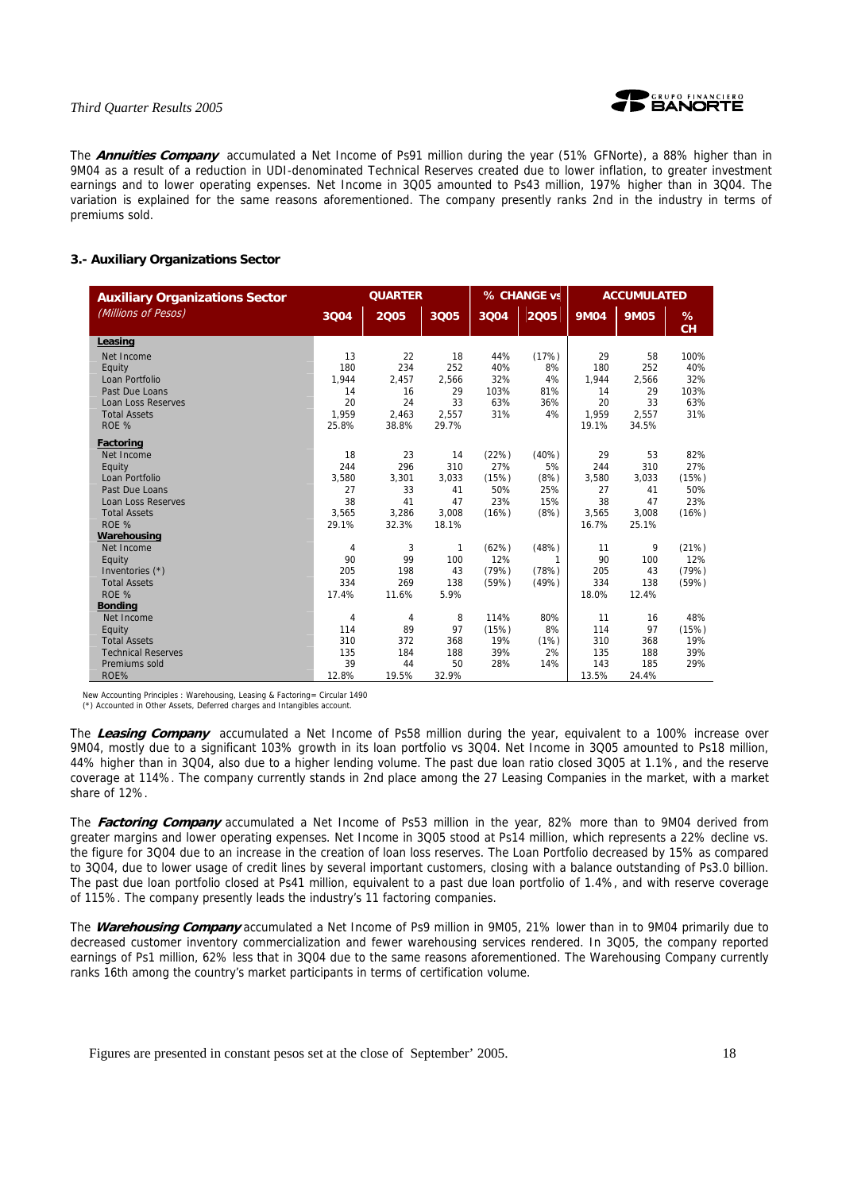

The **Annuities Company** accumulated a Net Income of Ps91 million during the year (51% GFNorte), a 88% higher than in 9M04 as a result of a reduction in UDI-denominated Technical Reserves created due to lower inflation, to greater investment earnings and to lower operating expenses. Net Income in 3Q05 amounted to Ps43 million, 197% higher than in 3Q04. The variation is explained for the same reasons aforementioned. The company presently ranks 2nd in the industry in terms of premiums sold.

# **3.- Auxiliary Organizations Sector**

| <b>Auxiliary Organizations Sector</b> |       | <b>QUARTER</b> |              |       | % CHANGE vs | <b>ACCUMULATED</b> |             |                |
|---------------------------------------|-------|----------------|--------------|-------|-------------|--------------------|-------------|----------------|
| (Millions of Pesos)                   | 3004  | 2005           | 3005         | 3004  | 2005        | <b>9M04</b>        | <b>9M05</b> | %<br><b>CH</b> |
| Leasing                               |       |                |              |       |             |                    |             |                |
| Net Income                            | 13    | 22             | 18           | 44%   | (17%)       | 29                 | 58          | 100%           |
| Equity                                | 180   | 234            | 252          | 40%   | 8%          | 180                | 252         | 40%            |
| Loan Portfolio                        | 1.944 | 2,457          | 2,566        | 32%   | 4%          | 1.944              | 2.566       | 32%            |
| Past Due Loans                        | 14    | 16             | 29           | 103%  | 81%         | 14                 | 29          | 103%           |
| <b>Loan Loss Reserves</b>             | 20    | 24             | 33           | 63%   | 36%         | 20                 | 33          | 63%            |
| <b>Total Assets</b>                   | 1.959 | 2.463          | 2.557        | 31%   | 4%          | 1.959              | 2.557       | 31%            |
| ROE %                                 | 25.8% | 38.8%          | 29.7%        |       |             | 19.1%              | 34.5%       |                |
| Factoring                             |       |                |              |       |             |                    |             |                |
| Net Income                            | 18    | 23             | 14           | (22%) | (40%)       | 29                 | 53          | 82%            |
| Equity                                | 244   | 296            | 310          | 27%   | 5%          | 244                | 310         | 27%            |
| Loan Portfolio                        | 3,580 | 3,301          | 3,033        | (15%) | (8%)        | 3,580              | 3,033       | (15%)          |
| Past Due Loans                        | 27    | 33             | 41           | 50%   | 25%         | 27                 | 41          | 50%            |
| <b>Loan Loss Reserves</b>             | 38    | 41             | 47           | 23%   | 15%         | 38                 | 47          | 23%            |
| <b>Total Assets</b>                   | 3,565 | 3,286          | 3,008        | (16%) | (8%)        | 3,565              | 3,008       | (16%)          |
| ROE %                                 | 29.1% | 32.3%          | 18.1%        |       |             | 16.7%              | 25.1%       |                |
| Warehousing                           |       |                |              |       |             |                    |             |                |
| Net Income                            | 4     | 3              | $\mathbf{1}$ | (62%) | (48%)       | 11                 | 9           | (21%)          |
| Equity                                | 90    | 99             | 100          | 12%   | 1           | 90                 | 100         | 12%            |
| Inventories (*)                       | 205   | 198            | 43           | (79%) | (78%)       | 205                | 43          | (79%)          |
| <b>Total Assets</b>                   | 334   | 269            | 138          | (59%) | (49%)       | 334                | 138         | (59%)          |
| ROE %                                 | 17.4% | 11.6%          | 5.9%         |       |             | 18.0%              | 12.4%       |                |
| <b>Bonding</b>                        |       |                |              |       |             |                    |             |                |
| Net Income                            | 4     | 4              | 8            | 114%  | 80%         | 11                 | 16          | 48%            |
| Equity                                | 114   | 89             | 97           | (15%) | 8%          | 114                | 97          | (15%)          |
| <b>Total Assets</b>                   | 310   | 372            | 368          | 19%   | (1%)        | 310                | 368         | 19%            |
| <b>Technical Reserves</b>             | 135   | 184            | 188          | 39%   | 2%          | 135                | 188         | 39%            |
| Premiums sold                         | 39    | 44             | 50           | 28%   | 14%         | 143                | 185         | 29%            |
| ROE%                                  | 12.8% | 19.5%          | 32.9%        |       |             | 13.5%              | 24.4%       |                |

New Accounting Principles : Warehousing, Leasing & Factoring= Circular 1490

(\*) Accounted in Other Assets, Deferred charges and Intangibles account.

The **Leasing Company** accumulated a Net Income of Ps58 million during the year, equivalent to a 100% increase over 9M04, mostly due to a significant 103% growth in its loan portfolio vs 3Q04. Net Income in 3Q05 amounted to Ps18 million, 44% higher than in 3Q04, also due to a higher lending volume. The past due loan ratio closed 3Q05 at 1.1%, and the reserve coverage at 114%. The company currently stands in 2nd place among the 27 Leasing Companies in the market, with a market share of 12%.

The **Factoring Company** accumulated a Net Income of Ps53 million in the year, 82% more than to 9M04 derived from greater margins and lower operating expenses. Net Income in 3Q05 stood at Ps14 million, which represents a 22% decline vs. the figure for 3Q04 due to an increase in the creation of loan loss reserves. The Loan Portfolio decreased by 15% as compared to 3Q04, due to lower usage of credit lines by several important customers, closing with a balance outstanding of Ps3.0 billion. The past due loan portfolio closed at Ps41 million, equivalent to a past due loan portfolio of 1.4%, and with reserve coverage of 115%. The company presently leads the industry's 11 factoring companies.

The **Warehousing Company** accumulated a Net Income of Ps9 million in 9M05, 21% lower than in to 9M04 primarily due to decreased customer inventory commercialization and fewer warehousing services rendered. In 3Q05, the company reported earnings of Ps1 million, 62% less that in 3Q04 due to the same reasons aforementioned. The Warehousing Company currently ranks 16th among the country's market participants in terms of certification volume.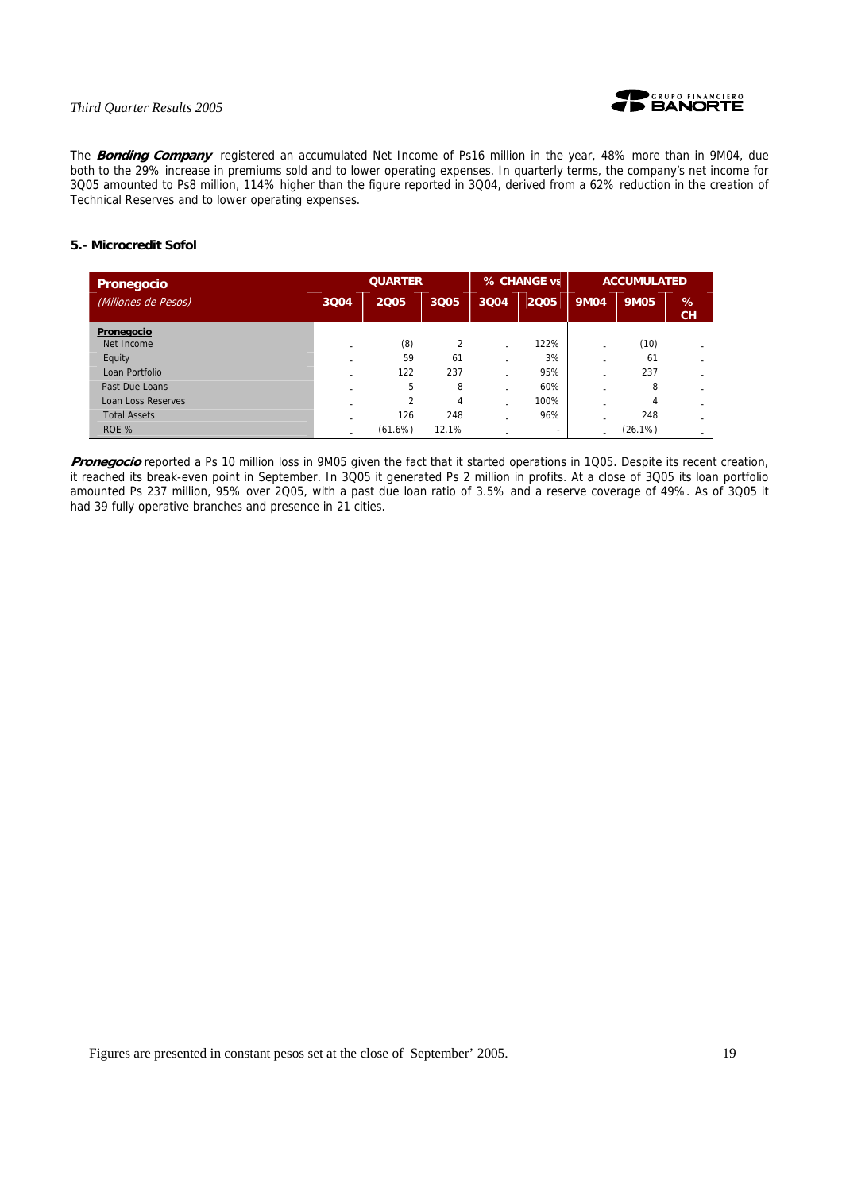

The **Bonding Company** registered an accumulated Net Income of Ps16 million in the year, 48% more than in 9M04, due both to the 29% increase in premiums sold and to lower operating expenses. In quarterly terms, the company's net income for 3Q05 amounted to Ps8 million, 114% higher than the figure reported in 3Q04, derived from a 62% reduction in the creation of Technical Reserves and to lower operating expenses.

# **5.- Microcredit Sofol**

| <b>Pronegocio</b>         | <b>QUARTER</b> |         |                | % CHANGE vs |                          | <b>ACCUMULATED</b> |             |                |
|---------------------------|----------------|---------|----------------|-------------|--------------------------|--------------------|-------------|----------------|
| (Millones de Pesos)       | 3004           | 2005    | 3Q05           | 3004        | 2005                     | <b>9M04</b>        | <b>9M05</b> | %<br><b>CH</b> |
| Pronegocio                |                |         |                |             |                          |                    |             |                |
| Net Income                |                | (8)     | $\overline{2}$ |             | 122%                     |                    | (10)        |                |
| Equity                    |                | 59      | 61             |             | 3%                       |                    | 61          |                |
| Loan Portfolio            |                | 122     | 237            |             | 95%                      |                    | 237         |                |
| Past Due Loans            |                | 5       | 8              |             | 60%                      |                    | 8           |                |
| <b>Loan Loss Reserves</b> |                | 2       | 4              |             | 100%                     |                    | 4           |                |
| <b>Total Assets</b>       |                | 126     | 248            |             | 96%                      |                    | 248         |                |
| ROE %                     |                | (61.6%) | 12.1%          |             | $\overline{\phantom{0}}$ |                    | (26.1%)     |                |

Pronegocio reported a Ps 10 million loss in 9M05 given the fact that it started operations in 1Q05. Despite its recent creation, it reached its break-even point in September. In 3Q05 it generated Ps 2 million in profits. At a close of 3Q05 its loan portfolio amounted Ps 237 million, 95% over 2Q05, with a past due loan ratio of 3.5% and a reserve coverage of 49%. As of 3Q05 it had 39 fully operative branches and presence in 21 cities.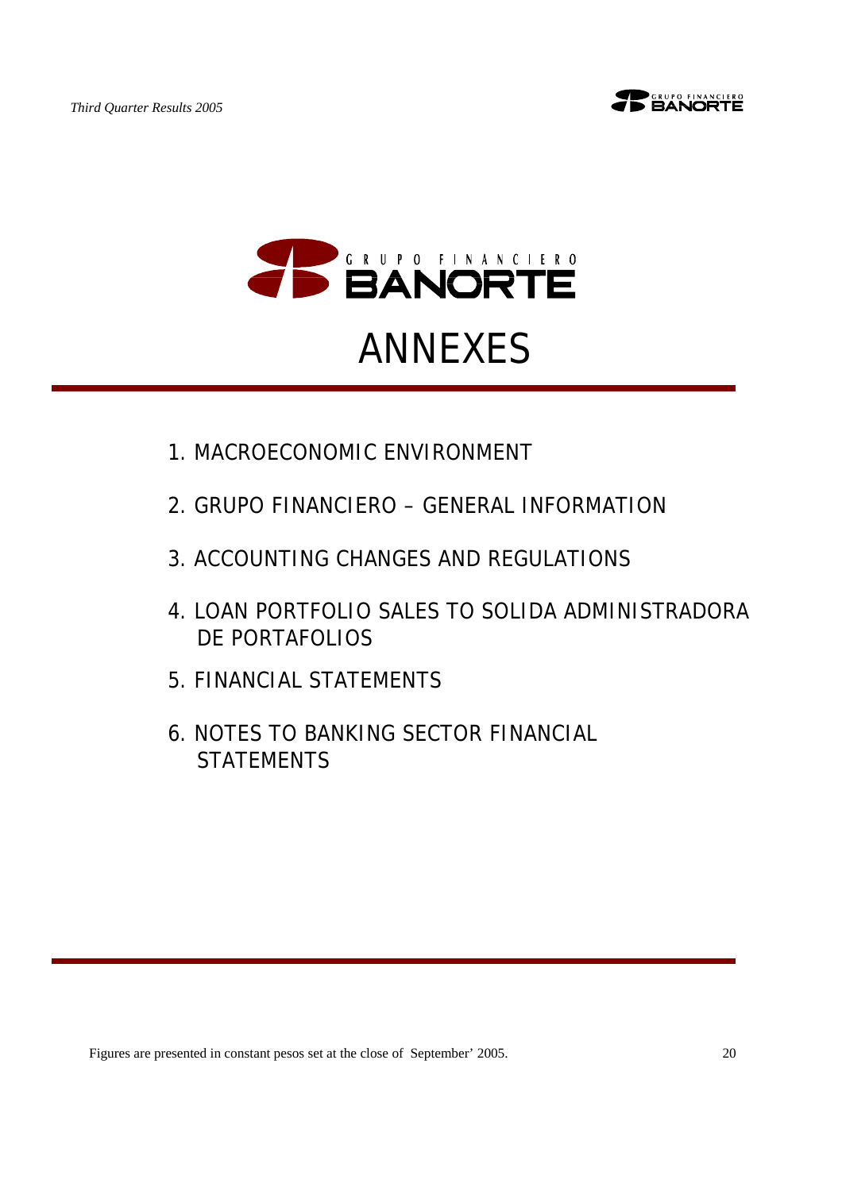





# 1.MACROECONOMIC ENVIRONMENT

- 2.GRUPO FINANCIERO GENERAL INFORMATION
- 3.ACCOUNTING CHANGES AND REGULATIONS
- 4.LOAN PORTFOLIO SALES TO SOLIDA ADMINISTRADORA DE PORTAFOLIOS
- 5.FINANCIAL STATEMENTS
- 6.NOTES TO BANKING SECTOR FINANCIAL **STATEMENTS**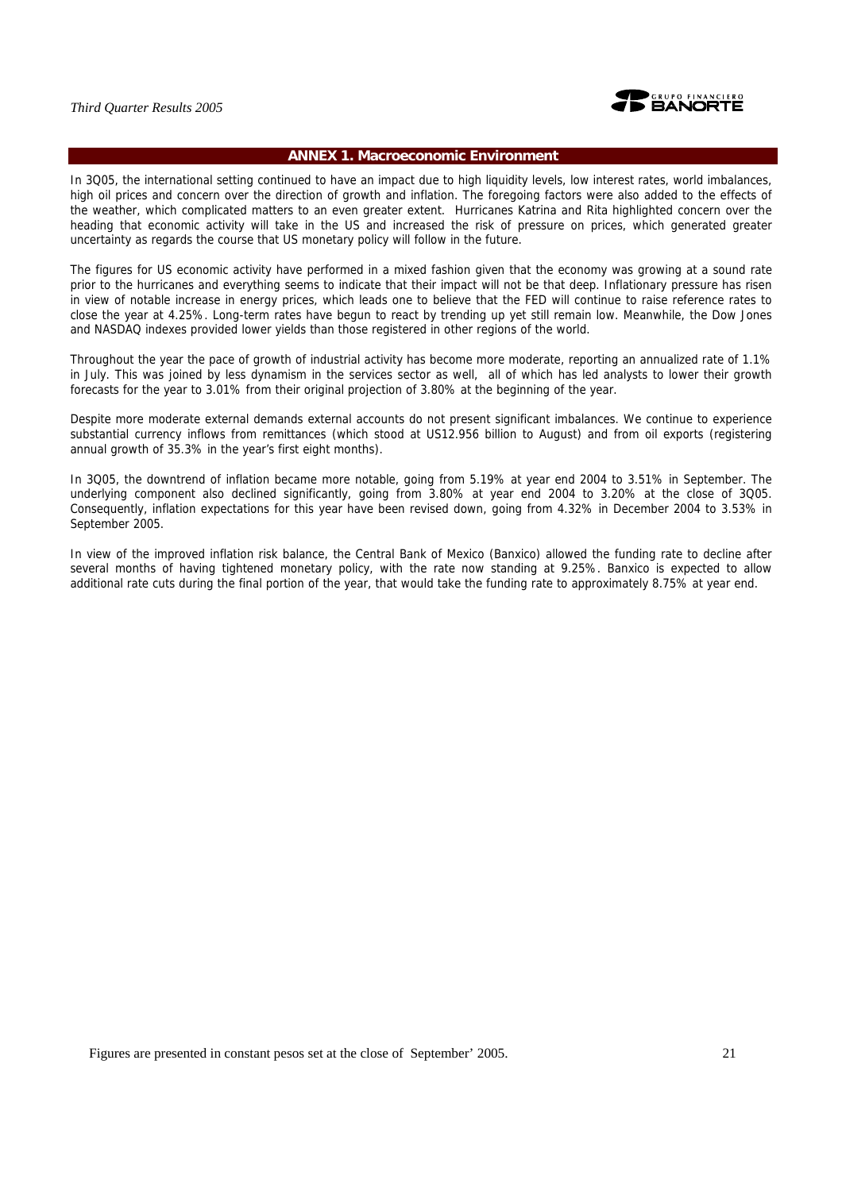

# **ANNEX 1. Macroeconomic Environment**

In 3Q05, the international setting continued to have an impact due to high liquidity levels, low interest rates, world imbalances, high oil prices and concern over the direction of growth and inflation. The foregoing factors were also added to the effects of the weather, which complicated matters to an even greater extent. Hurricanes Katrina and Rita highlighted concern over the heading that economic activity will take in the US and increased the risk of pressure on prices, which generated greater uncertainty as regards the course that US monetary policy will follow in the future.

The figures for US economic activity have performed in a mixed fashion given that the economy was growing at a sound rate prior to the hurricanes and everything seems to indicate that their impact will not be that deep. Inflationary pressure has risen in view of notable increase in energy prices, which leads one to believe that the FED will continue to raise reference rates to close the year at 4.25%. Long-term rates have begun to react by trending up yet still remain low. Meanwhile, the Dow Jones and NASDAQ indexes provided lower yields than those registered in other regions of the world.

Throughout the year the pace of growth of industrial activity has become more moderate, reporting an annualized rate of 1.1% in July. This was joined by less dynamism in the services sector as well, all of which has led analysts to lower their growth forecasts for the year to 3.01% from their original projection of 3.80% at the beginning of the year.

Despite more moderate external demands external accounts do not present significant imbalances. We continue to experience substantial currency inflows from remittances (which stood at US12.956 billion to August) and from oil exports (registering annual growth of 35.3% in the year's first eight months).

In 3Q05, the downtrend of inflation became more notable, going from 5.19% at year end 2004 to 3.51% in September. The underlying component also declined significantly, going from 3.80% at year end 2004 to 3.20% at the close of 3Q05. Consequently, inflation expectations for this year have been revised down, going from 4.32% in December 2004 to 3.53% in September 2005.

In view of the improved inflation risk balance, the Central Bank of Mexico (Banxico) allowed the funding rate to decline after several months of having tightened monetary policy, with the rate now standing at 9.25%. Banxico is expected to allow additional rate cuts during the final portion of the year, that would take the funding rate to approximately 8.75% at year end.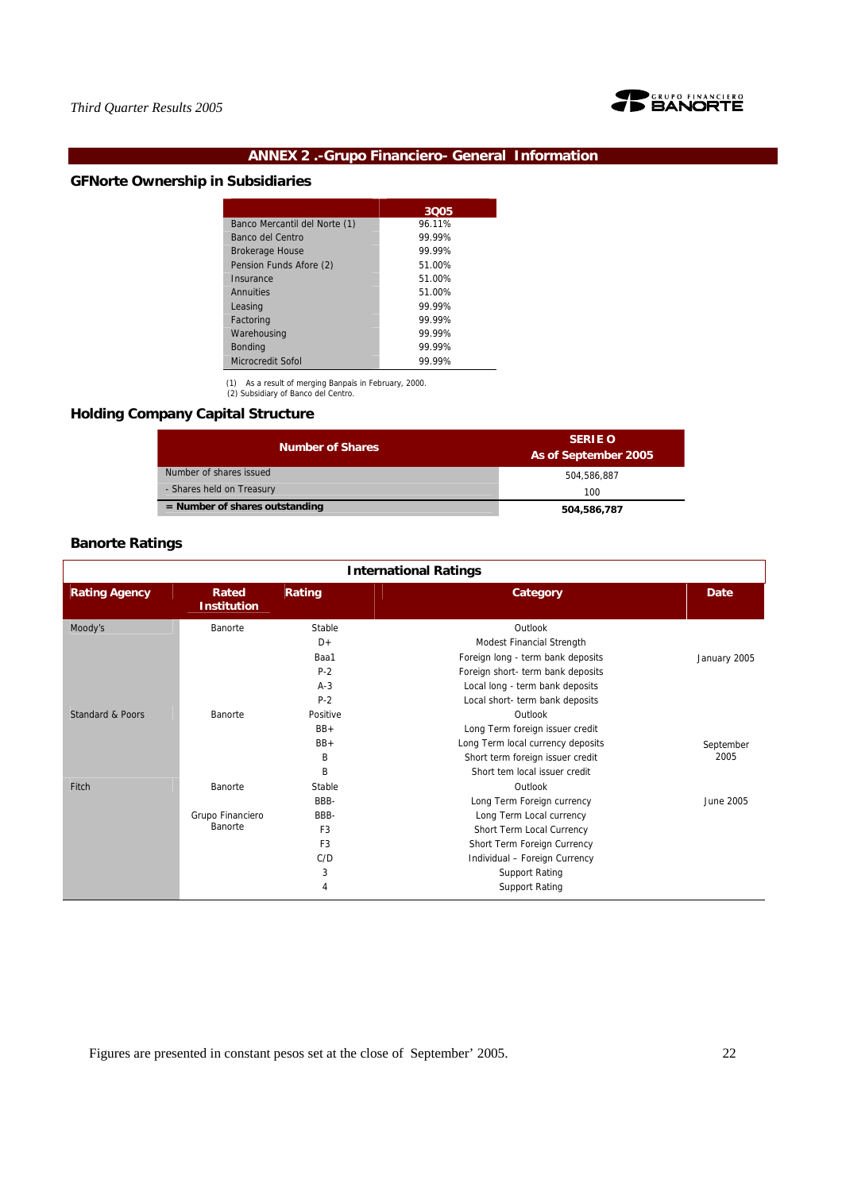

# **ANNEX 2 .-Grupo Financiero- General Information**

# **GFNorte Ownership in Subsidiaries**

|                               | 3005   |
|-------------------------------|--------|
| Banco Mercantil del Norte (1) | 96.11% |
| Banco del Centro              | 99.99% |
| <b>Brokerage House</b>        | 99.99% |
| Pension Funds Afore (2)       | 51.00% |
| Insurance                     | 51.00% |
| Annuities                     | 51.00% |
| Leasing                       | 99.99% |
| Factoring                     | 99 99% |
| Warehousing                   | 99 99% |
| <b>Bonding</b>                | 99.99% |
| Microcredit Sofol             | 99.99% |
|                               |        |

(1) As a result of merging Banpaís in February, 2000. (2) Subsidiary of Banco del Centro.

# **Holding Company Capital Structure**

| <b>Number of Shares</b>          | <b>SERIE O</b><br>As of September 2005 |
|----------------------------------|----------------------------------------|
| Number of shares issued          | 504.586.887                            |
| - Shares held on Treasury        | 100                                    |
| $=$ Number of shares outstanding | 504,586,787                            |

# **Banorte Ratings**

| <b>International Ratings</b> |                             |                |                                   |              |  |  |  |  |  |
|------------------------------|-----------------------------|----------------|-----------------------------------|--------------|--|--|--|--|--|
| <b>Rating Agency</b>         | Rated<br><b>Institution</b> | Rating         | Category                          | Date         |  |  |  |  |  |
| Moody's                      | Banorte                     | Stable         | Outlook                           |              |  |  |  |  |  |
|                              |                             | $D+$           | Modest Financial Strength         |              |  |  |  |  |  |
|                              |                             | Baa1           | Foreign long - term bank deposits | January 2005 |  |  |  |  |  |
|                              |                             | $P-2$          | Foreign short- term bank deposits |              |  |  |  |  |  |
|                              |                             | $A-3$          | Local long - term bank deposits   |              |  |  |  |  |  |
|                              |                             | $P-2$          | Local short- term bank deposits   |              |  |  |  |  |  |
| <b>Standard &amp; Poors</b>  | Banorte                     | Positive       | Outlook                           |              |  |  |  |  |  |
|                              |                             | $BB+$          | Long Term foreign issuer credit   |              |  |  |  |  |  |
|                              |                             | $BB+$          | Long Term local currency deposits | September    |  |  |  |  |  |
|                              |                             | B              | Short term foreign issuer credit  | 2005         |  |  |  |  |  |
|                              |                             | B              | Short tem local issuer credit     |              |  |  |  |  |  |
| Fitch                        | Banorte                     | Stable         | Outlook                           |              |  |  |  |  |  |
|                              |                             | BBB-           | Long Term Foreign currency        | June 2005    |  |  |  |  |  |
|                              | Grupo Financiero            | BBB-           | Long Term Local currency          |              |  |  |  |  |  |
|                              | Banorte                     | F <sub>3</sub> | Short Term Local Currency         |              |  |  |  |  |  |
|                              |                             | F <sub>3</sub> | Short Term Foreign Currency       |              |  |  |  |  |  |
|                              |                             | C/D            | Individual - Foreign Currency     |              |  |  |  |  |  |
|                              |                             | 3              | <b>Support Rating</b>             |              |  |  |  |  |  |
|                              |                             | 4              | <b>Support Rating</b>             |              |  |  |  |  |  |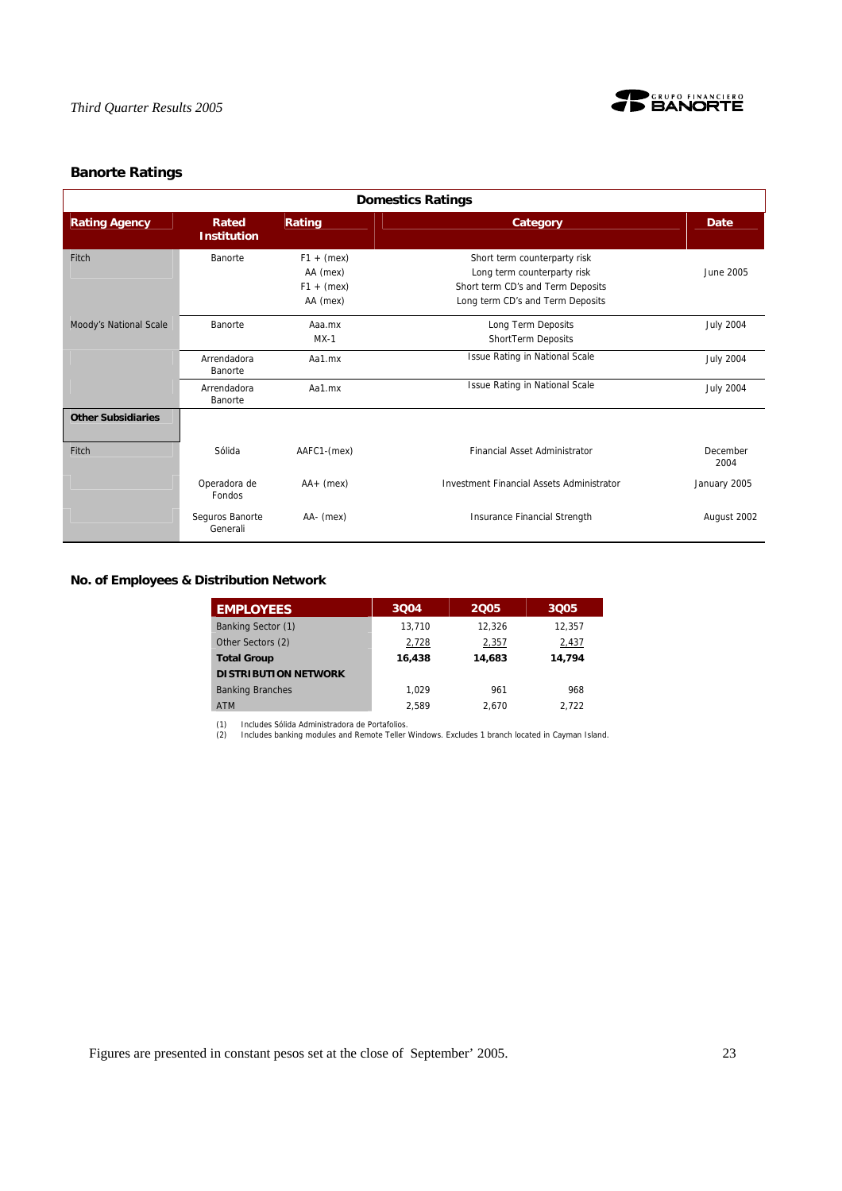

# **Banorte Ratings**

| <b>Domestics Ratings</b>  |                             |                                                      |                                                                                                                                      |                  |  |  |  |  |  |
|---------------------------|-----------------------------|------------------------------------------------------|--------------------------------------------------------------------------------------------------------------------------------------|------------------|--|--|--|--|--|
| <b>Rating Agency</b>      | Rated<br><b>Institution</b> | Rating                                               | Category                                                                                                                             | Date             |  |  |  |  |  |
| Fitch                     | Banorte                     | $F1 + (mex)$<br>AA (mex)<br>$F1 + (mex)$<br>AA (mex) | Short term counterparty risk<br>Long term counterparty risk<br>Short term CD's and Term Deposits<br>Long term CD's and Term Deposits | June 2005        |  |  |  |  |  |
| Moody's National Scale    | Banorte                     | Aaa.mx<br>$MX-1$                                     | Long Term Deposits<br>ShortTerm Deposits                                                                                             | <b>July 2004</b> |  |  |  |  |  |
|                           | Arrendadora<br>Banorte      | Aa1.mx                                               | <b>Issue Rating in National Scale</b>                                                                                                | <b>July 2004</b> |  |  |  |  |  |
|                           | Arrendadora<br>Banorte      | Aa1.mx                                               | <b>Issue Rating in National Scale</b>                                                                                                | <b>July 2004</b> |  |  |  |  |  |
| <b>Other Subsidiaries</b> |                             |                                                      |                                                                                                                                      |                  |  |  |  |  |  |
| Fitch                     | Sólida                      | AAFC1-(mex)                                          | <b>Financial Asset Administrator</b>                                                                                                 | December<br>2004 |  |  |  |  |  |
|                           | Operadora de<br>Fondos      | $AA + (mex)$                                         | <b>Investment Financial Assets Administrator</b>                                                                                     | January 2005     |  |  |  |  |  |
|                           | Seguros Banorte<br>Generali | AA- (mex)                                            | Insurance Financial Strength                                                                                                         | August 2002      |  |  |  |  |  |

# **No. of Employees & Distribution Network**

| <b>EMPLOYEES</b>            | 3004   | 2005   | 3005   |
|-----------------------------|--------|--------|--------|
| Banking Sector (1)          | 13.710 | 12.326 | 12.357 |
| Other Sectors (2)           | 2,728  | 2,357  | 2,437  |
| <b>Total Group</b>          | 16,438 | 14,683 | 14,794 |
| <b>DISTRIBUTION NETWORK</b> |        |        |        |
| <b>Banking Branches</b>     | 1.029  | 961    | 968    |
| <b>ATM</b>                  | 2.589  | 2.670  | 2.722  |

(1) Includes Sólida Administradora de Portafolios. (2) Includes banking modules and Remote Teller Windows. Excludes 1 branch located in Cayman Island.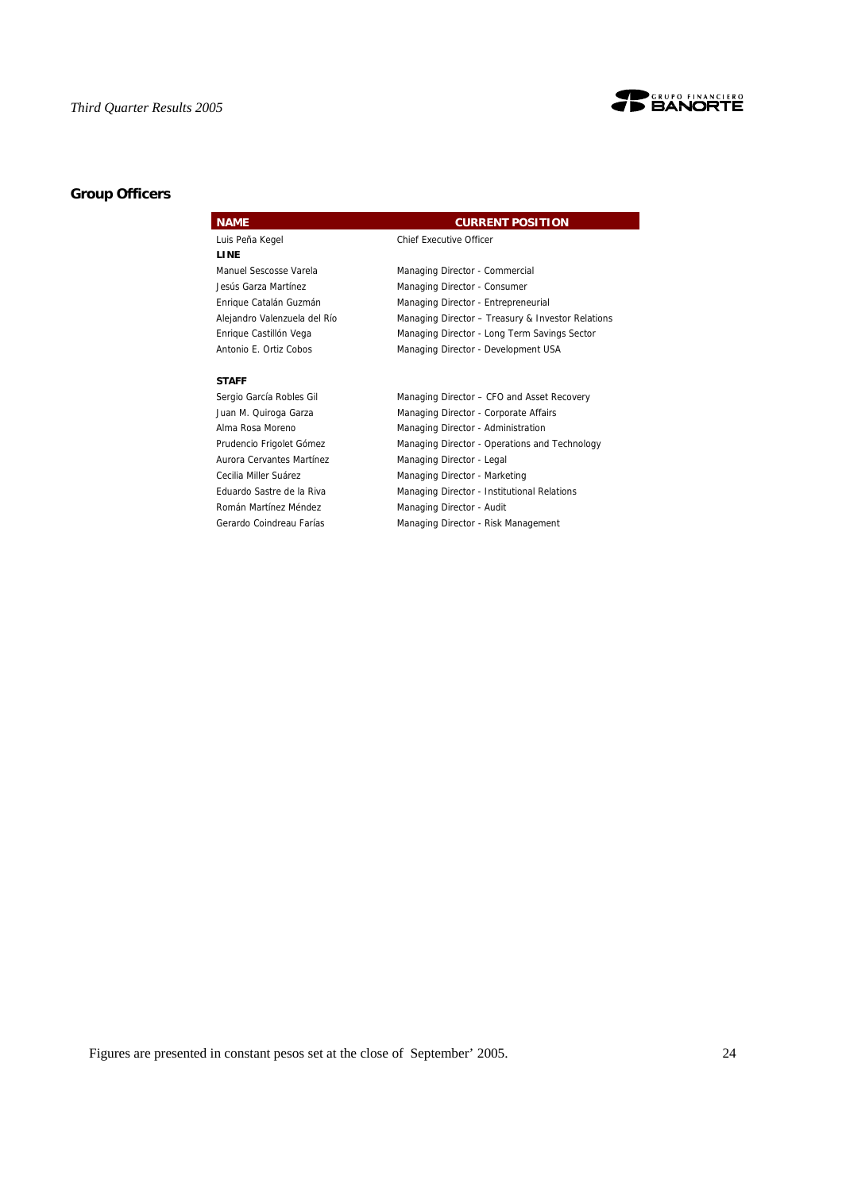

# **Group Officers**

| <b>NAME</b>                  | <b>CURRENT POSITION</b>                           |
|------------------------------|---------------------------------------------------|
| Luis Peña Kegel              | <b>Chief Executive Officer</b>                    |
| <b>LINE</b>                  |                                                   |
| Manuel Sescosse Varela       | Managing Director - Commercial                    |
| Jesús Garza Martínez         | Managing Director - Consumer                      |
| Enrique Catalán Guzmán       | Managing Director - Entrepreneurial               |
| Alejandro Valenzuela del Río | Managing Director - Treasury & Investor Relations |
| Enrique Castillón Vega       | Managing Director - Long Term Savings Sector      |
| Antonio E. Ortiz Cobos       | Managing Director - Development USA               |
|                              |                                                   |
| <b>STAFF</b>                 |                                                   |
| Sergio García Robles Gil     | Managing Director - CFO and Asset Recovery        |
| Juan M. Quiroga Garza        | Managing Director - Corporate Affairs             |
| Alma Rosa Moreno             | Managing Director - Administration                |
| Prudencio Frigolet Gómez     | Managing Director - Operations and Technology     |
| Aurora Cervantes Martínez    | Managing Director - Legal                         |

Cecilia Miller Suárez Managing Director - Marketing

Román Martínez Méndez **Managing Director - Audit** 

Eduardo Sastre de la Riva Managing Director - Institutional Relations

Gerardo Coindreau Farías Managing Director - Risk Management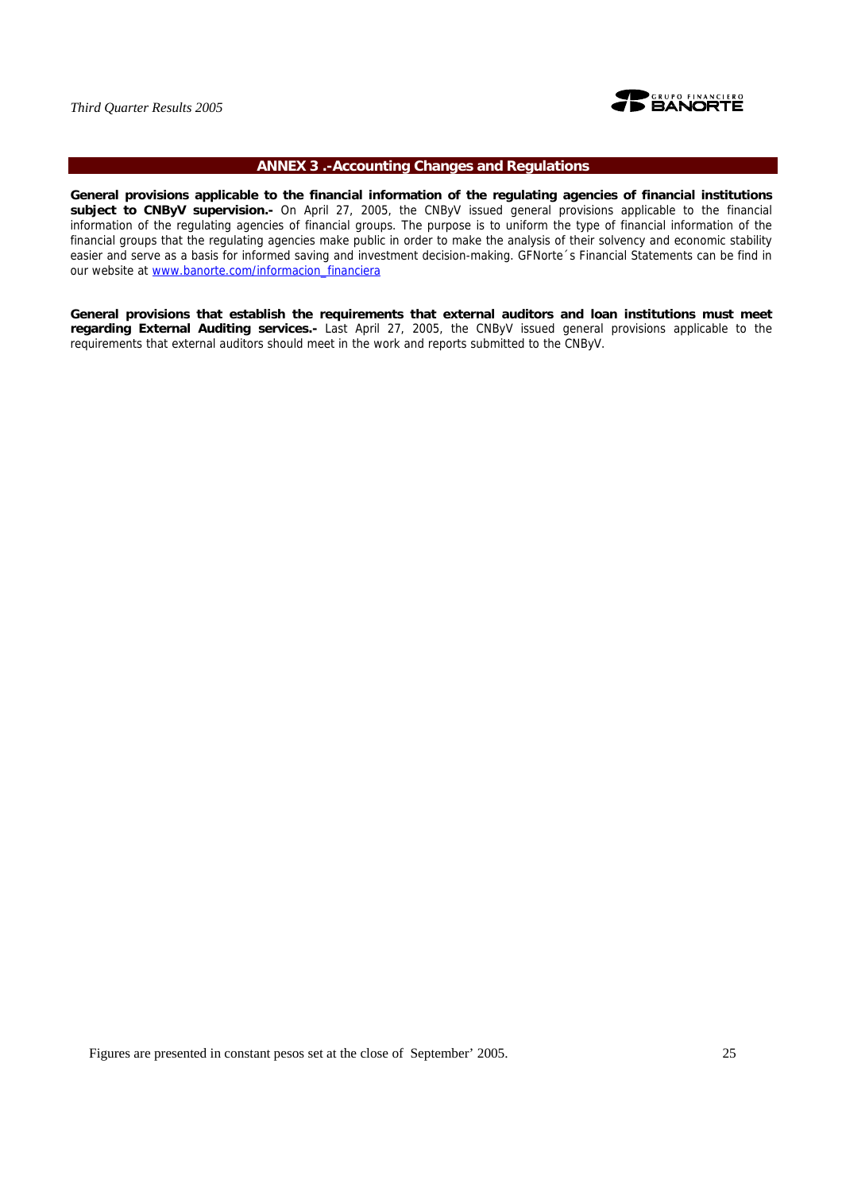

# **ANNEX 3 .-Accounting Changes and Regulations**

**General provisions applicable to the financial information of the regulating agencies of financial institutions subject to CNByV supervision.-** On April 27, 2005, the CNByV issued general provisions applicable to the financial information of the regulating agencies of financial groups. The purpose is to uniform the type of financial information of the financial groups that the regulating agencies make public in order to make the analysis of their solvency and economic stability easier and serve as a basis for informed saving and investment decision-making. GFNorte´s Financial Statements can be find in our website at www.banorte.com/informacion\_financiera

**General provisions that establish the requirements that external auditors and loan institutions must meet regarding External Auditing services.-** Last April 27, 2005, the CNByV issued general provisions applicable to the requirements that external auditors should meet in the work and reports submitted to the CNByV.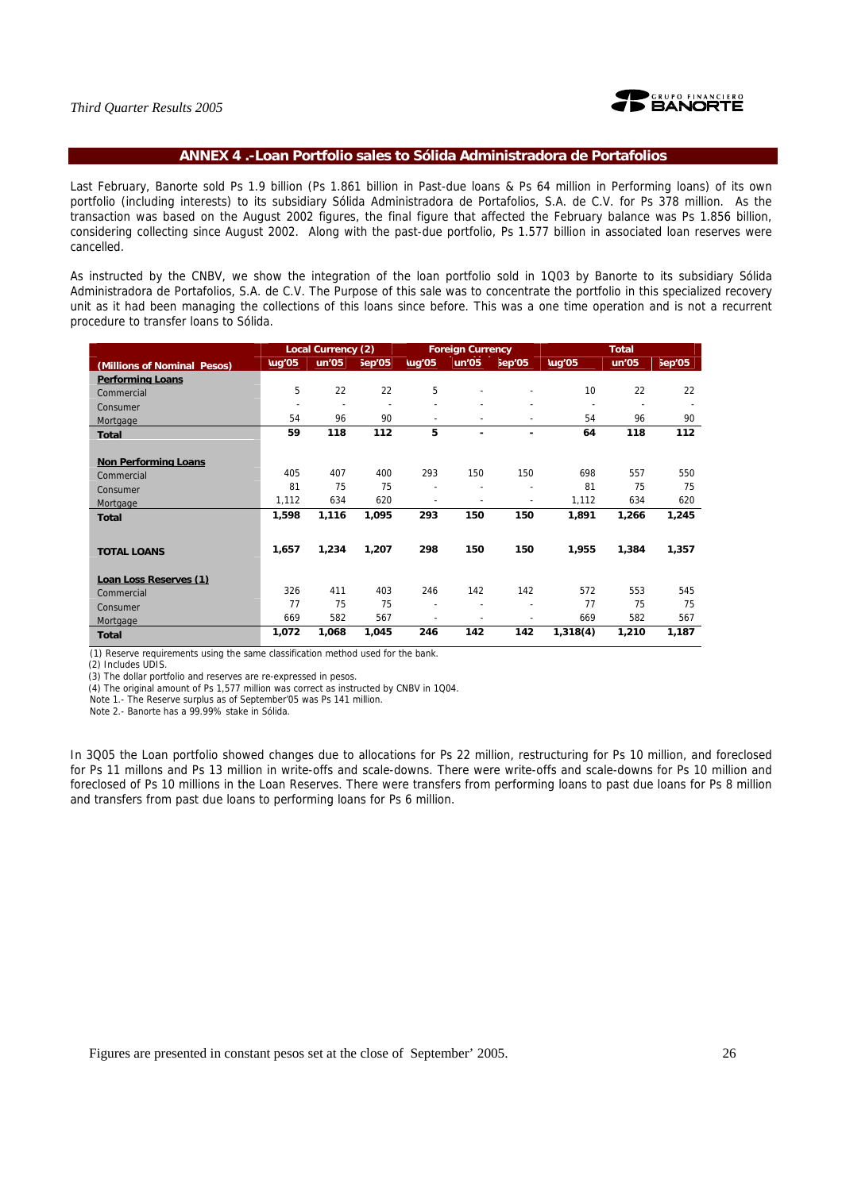

# **ANNEX 4 .-Loan Portfolio sales to Sólida Administradora de Portafolios**

Last February, Banorte sold Ps 1.9 billion (Ps 1.861 billion in Past-due loans & Ps 64 million in Performing loans) of its own portfolio (including interests) to its subsidiary Sólida Administradora de Portafolios, S.A. de C.V. for Ps 378 million. As the transaction was based on the August 2002 figures, the final figure that affected the February balance was Ps 1.856 billion, considering collecting since August 2002. Along with the past-due portfolio, Ps 1.577 billion in associated loan reserves were cancelled.

As instructed by the CNBV, we show the integration of the loan portfolio sold in 1Q03 by Banorte to its subsidiary Sólida Administradora de Portafolios, S.A. de C.V. The Purpose of this sale was to concentrate the portfolio in this specialized recovery unit as it had been managing the collections of this loans since before. This was a one time operation and is not a recurrent procedure to transfer loans to Sólida.

|                             |                          | Local Currency (2) |                     | <b>Foreign Currency</b>  |        |                          | <b>Total</b>             |                          |        |
|-----------------------------|--------------------------|--------------------|---------------------|--------------------------|--------|--------------------------|--------------------------|--------------------------|--------|
| (Millions of Nominal Pesos) | lug'05                   | lun'05             | $\varepsilon$ ep'05 | lug'05                   | lun'05 | $\varepsilon$ ep'05      | lug'05                   | lun'05                   | Sep'05 |
| <b>Performing Loans</b>     |                          |                    |                     |                          |        |                          |                          |                          |        |
| Commercial                  | 5                        | 22                 | 22                  | 5                        |        |                          | 10                       | 22                       | 22     |
| Consumer                    | $\overline{\phantom{a}}$ |                    | $\blacksquare$      | ٠                        |        |                          | $\overline{\phantom{a}}$ | $\overline{\phantom{a}}$ |        |
| Mortgage                    | 54                       | 96                 | 90                  | ٠                        |        |                          | 54                       | 96                       | 90     |
| <b>Total</b>                | 59                       | 118                | 112                 | 5                        | ۰      | ٠                        | 64                       | 118                      | 112    |
|                             |                          |                    |                     |                          |        |                          |                          |                          |        |
| <b>Non Performing Loans</b> |                          |                    |                     |                          |        |                          |                          |                          |        |
| Commercial                  | 405                      | 407                | 400                 | 293                      | 150    | 150                      | 698                      | 557                      | 550    |
| Consumer                    | 81                       | 75                 | 75                  |                          |        |                          | 81                       | 75                       | 75     |
| Mortgage                    | 1,112                    | 634                | 620                 | ٠                        |        | ٠                        | 1,112                    | 634                      | 620    |
| <b>Total</b>                | 1,598                    | 1,116              | 1,095               | 293                      | 150    | 150                      | 1,891                    | 1,266                    | 1,245  |
|                             |                          |                    |                     |                          |        |                          |                          |                          |        |
|                             | 1,657                    | 1,234              | 1,207               | 298                      | 150    | 150                      | 1,955                    | 1,384                    | 1,357  |
| <b>TOTAL LOANS</b>          |                          |                    |                     |                          |        |                          |                          |                          |        |
| Loan Loss Reserves (1)      |                          |                    |                     |                          |        |                          |                          |                          |        |
| Commercial                  | 326                      | 411                | 403                 | 246                      | 142    | 142                      | 572                      | 553                      | 545    |
|                             | 77                       | 75                 | 75                  | $\overline{\phantom{a}}$ |        | $\overline{\phantom{0}}$ | 77                       | 75                       | 75     |
| Consumer                    | 669                      | 582                | 567                 | ٠                        |        |                          | 669                      | 582                      | 567    |
| Mortgage                    |                          |                    |                     |                          |        |                          |                          |                          |        |
| <b>Total</b>                | 1,072                    | 1,068              | 1,045               | 246                      | 142    | 142                      | 1,318(4)                 | 1,210                    | 1,187  |

(1) Reserve requirements using the same classification method used for the bank.

(2) Includes UDIS.

(3) The dollar portfolio and reserves are re-expressed in pesos.

(4) The original amount of Ps 1,577 million was correct as instructed by CNBV in 1Q04.

Note 1.- The Reserve surplus as of September'05 was Ps 141 million.

Note 2.- Banorte has a 99.99% stake in Sólida.

In 3Q05 the Loan portfolio showed changes due to allocations for Ps 22 million, restructuring for Ps 10 million, and foreclosed for Ps 11 millons and Ps 13 million in write-offs and scale-downs. There were write-offs and scale-downs for Ps 10 million and foreclosed of Ps 10 millions in the Loan Reserves. There were transfers from performing loans to past due loans for Ps 8 million and transfers from past due loans to performing loans for Ps 6 million.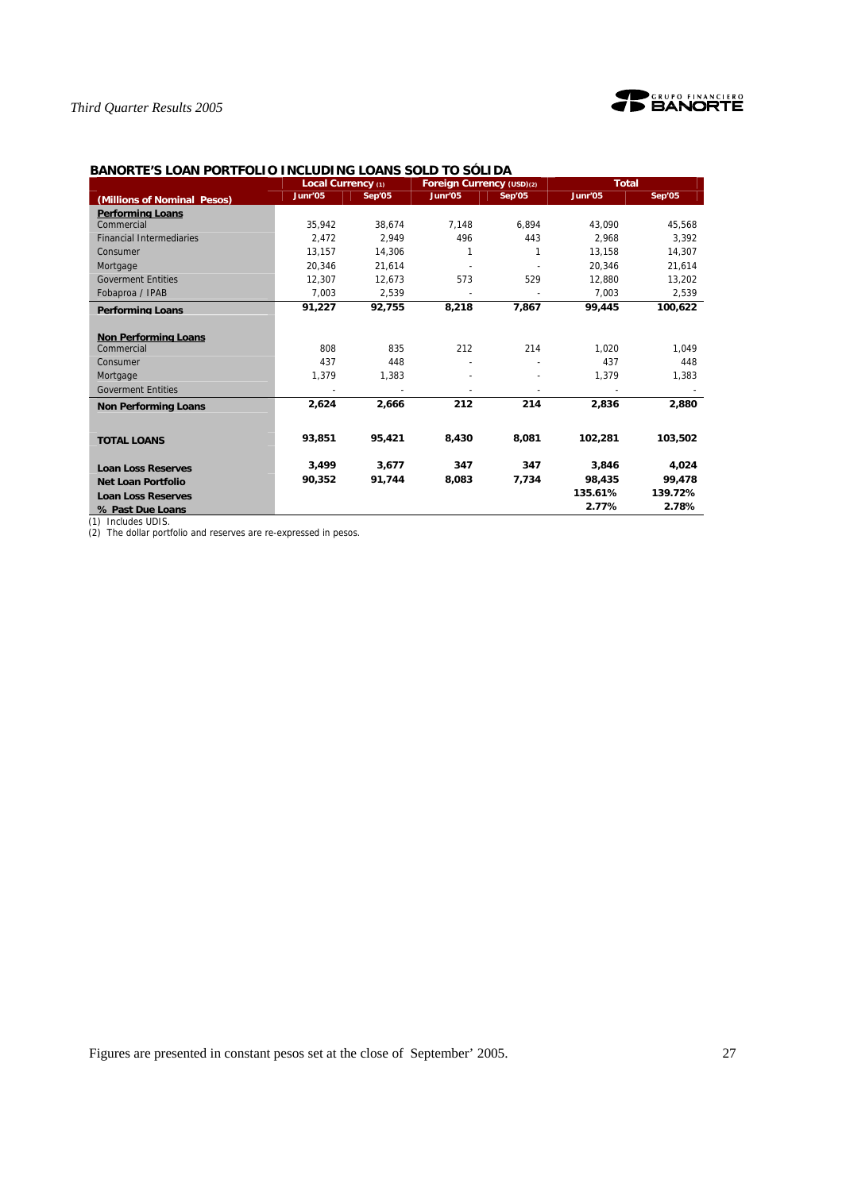



# **BANORTE'S LOAN PORTFOLIO INCLUDING LOANS SOLD TO SÓLIDA**

|                                 | Local Currency (1) |        | Foreign Currency (USD)(2) |        | <b>Total</b> |         |
|---------------------------------|--------------------|--------|---------------------------|--------|--------------|---------|
| (Millions of Nominal Pesos)     | Junr'05            | Sep'05 | Junr'05                   | Sep'05 | Junr'05      | Sep'05  |
| <b>Performing Loans</b>         |                    |        |                           |        |              |         |
| Commercial                      | 35,942             | 38.674 | 7,148                     | 6.894  | 43,090       | 45,568  |
| <b>Financial Intermediaries</b> | 2.472              | 2.949  | 496                       | 443    | 2.968        | 3.392   |
| Consumer                        | 13.157             | 14.306 | $\mathbf{1}$              | 1      | 13.158       | 14.307  |
| Mortgage                        | 20.346             | 21.614 |                           |        | 20.346       | 21,614  |
| <b>Goverment Entities</b>       | 12.307             | 12.673 | 573                       | 529    | 12.880       | 13,202  |
| Fobaproa / IPAB                 | 7,003              | 2,539  |                           |        | 7.003        | 2,539   |
| <b>Performing Loans</b>         | 91,227             | 92,755 | 8,218                     | 7,867  | 99,445       | 100,622 |
|                                 |                    |        |                           |        |              |         |
| <b>Non Performing Loans</b>     |                    |        |                           |        |              |         |
| Commercial                      | 808                | 835    | 212                       | 214    | 1,020        | 1,049   |
| Consumer                        | 437                | 448    |                           |        | 437          | 448     |
| Mortgage                        | 1,379              | 1,383  |                           |        | 1,379        | 1,383   |
| <b>Goverment Entities</b>       |                    |        |                           |        |              |         |
| <b>Non Performing Loans</b>     | 2,624              | 2,666  | 212                       | 214    | 2,836        | 2,880   |
|                                 | 93.851             | 95,421 | 8,430                     | 8,081  | 102.281      | 103,502 |
| <b>TOTAL LOANS</b>              |                    |        |                           |        |              |         |
| <b>Loan Loss Reserves</b>       | 3.499              | 3.677  | 347                       | 347    | 3.846        | 4,024   |
| <b>Net Loan Portfolio</b>       | 90,352             | 91,744 | 8,083                     | 7,734  | 98,435       | 99,478  |
| <b>Loan Loss Reserves</b>       |                    |        |                           |        | 135.61%      | 139.72% |
| % Past Due Loans                |                    |        |                           |        | 2.77%        | 2.78%   |

(1) Includes UDIS.

(2) The dollar portfolio and reserves are re-expressed in pesos.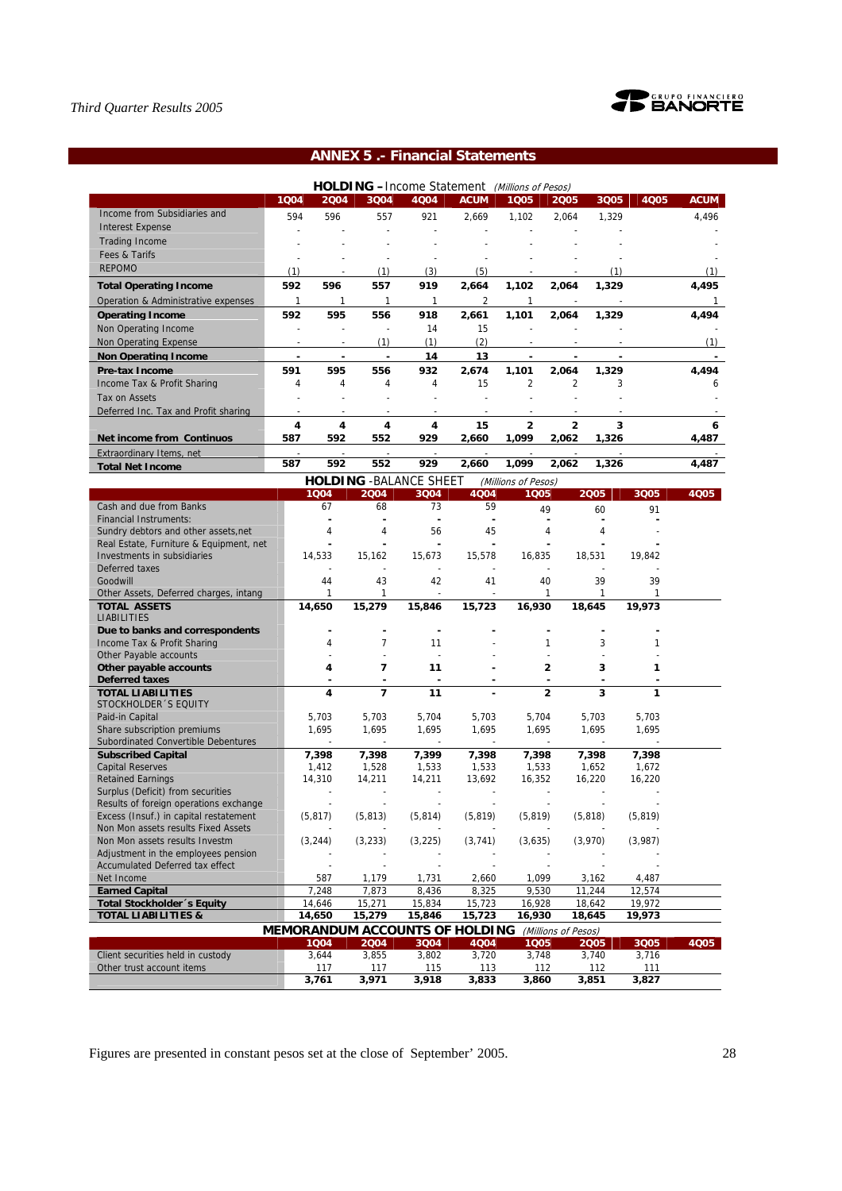

# **ANNEX 5 .- Financial Statements**

|                                                                    |                |          |                | <b>HOLDING</b> - Income Statement (Millions of Pesos) |                 |                     |                          |                                   |          |             |
|--------------------------------------------------------------------|----------------|----------|----------------|-------------------------------------------------------|-----------------|---------------------|--------------------------|-----------------------------------|----------|-------------|
|                                                                    | 1004           | 2004     | 3Q04           | 4Q04                                                  | <b>ACUM</b>     | 1005                | 2005                     | 3005                              | 4005     | <b>ACUM</b> |
| Income from Subsidiaries and                                       | 594            | 596      | 557            | 921                                                   | 2,669           | 1,102               | 2,064                    | 1,329                             |          | 4,496       |
| <b>Interest Expense</b>                                            |                |          |                |                                                       |                 |                     |                          |                                   |          |             |
| <b>Trading Income</b>                                              |                |          |                |                                                       |                 |                     |                          |                                   |          |             |
| Fees & Tarifs                                                      |                |          |                |                                                       |                 |                     |                          |                                   |          |             |
| <b>REPOMO</b>                                                      | (1)            |          | (1)            | (3)                                                   | (5)             |                     |                          | (1)                               |          | (1)         |
| <b>Total Operating Income</b>                                      | 592            | 596      | 557            | 919                                                   | 2,664           | 1,102               | 2,064                    | 1,329                             |          | 4,495       |
| Operation & Administrative expenses                                | 1              | 1        | $\mathbf{1}$   | 1                                                     | 2               | $\mathbf{1}$        | $\overline{\phantom{a}}$ |                                   |          | 1.          |
| <b>Operating Income</b>                                            | 592            | 595      | 556            | 918                                                   | 2.661           | 1.101               | 2.064                    | 1.329                             |          | 4.494       |
| Non Operating Income                                               |                |          | $\overline{a}$ | 14                                                    | 15              |                     |                          |                                   |          |             |
| Non Operating Expense                                              |                |          | (1)            | (1)                                                   | (2)             |                     |                          |                                   |          | (1)         |
| <b>Non Operating Income</b>                                        |                |          |                | 14                                                    | 13              |                     |                          |                                   |          |             |
| Pre-tax Income                                                     | 591            | 595      | 556            | 932                                                   | 2,674           | 1,101               | 2,064                    | 1.329                             |          | 4,494       |
| Income Tax & Profit Sharing                                        | 4              | 4        | 4              | 4                                                     | 15              | $\overline{2}$      | $\overline{2}$           | 3                                 |          | 6           |
| Tax on Assets                                                      |                |          |                |                                                       |                 |                     |                          |                                   |          |             |
|                                                                    |                |          |                |                                                       |                 |                     |                          |                                   |          |             |
| Deferred Inc. Tax and Profit sharing                               | $\blacksquare$ |          |                |                                                       |                 |                     |                          |                                   |          |             |
|                                                                    | 4              | 4        | 4              | 4                                                     | 15              | $\overline{2}$      | $\overline{2}$           | 3                                 |          | 6           |
| Net income from Continuos                                          | 587            | 592      | 552            | 929                                                   | 2,660           | 1,099               | 2,062                    | 1,326                             |          | 4,487       |
| Extraordinary Items, net                                           |                |          |                |                                                       |                 |                     |                          |                                   |          |             |
| <b>Total Net Income</b>                                            | 587            | 592      | 552            | 929                                                   | 2,660           | 1,099               | 2,062                    | 1,326                             |          | 4,487       |
|                                                                    |                |          |                | <b>HOLDING - BALANCE SHEET</b>                        |                 | (Millions of Pesos) |                          |                                   |          |             |
|                                                                    |                | 1004     | 2004           | 3Q04                                                  | 4Q04            | 1005                |                          | 2005                              | 3005     | 4Q05        |
| Cash and due from Banks                                            |                | 67       | 68             | 73                                                    | 59              |                     | 49                       | 60                                | 91       |             |
| <b>Financial Instruments:</b>                                      |                |          |                | ä,                                                    |                 |                     |                          |                                   |          |             |
| Sundry debtors and other assets, net                               |                | 4        | 4              | 56                                                    | 45              |                     | 4                        | 4                                 |          |             |
| Real Estate, Furniture & Equipment, net                            |                |          |                |                                                       |                 |                     |                          |                                   |          |             |
| Investments in subsidiaries<br>Deferred taxes                      |                | 14,533   | 15,162         | 15,673                                                | 15,578          | 16,835              |                          | 18,531                            | 19,842   |             |
| Goodwill                                                           |                | 44       | 43             | 42                                                    | 41              |                     | 40                       | 39                                | 39       |             |
| Other Assets, Deferred charges, intang                             |                | 1        | 1              |                                                       |                 |                     | 1                        | 1                                 | 1        |             |
| <b>TOTAL ASSETS</b>                                                |                | 14,650   | 15,279         | 15,846                                                | 15,723          | 16,930              |                          | 18,645                            | 19,973   |             |
| <b>LIABILITIES</b>                                                 |                |          |                |                                                       |                 |                     |                          |                                   |          |             |
| Due to banks and correspondents                                    |                |          |                | ٠                                                     |                 |                     |                          |                                   |          |             |
| Income Tax & Profit Sharing                                        |                | 4        | $\overline{7}$ | 11                                                    |                 |                     | 1                        | 3                                 | 1        |             |
| Other Payable accounts                                             |                |          |                | $\overline{a}$                                        |                 |                     |                          |                                   |          |             |
| Other payable accounts                                             |                | 4        | 7              | 11                                                    |                 |                     | 2                        | 3                                 | 1        |             |
| <b>Deferred taxes</b>                                              |                |          |                |                                                       |                 |                     | ÷                        |                                   |          |             |
| <b>TOTAL LIABILITIES</b>                                           |                | 4        | $\overline{7}$ | 11                                                    |                 |                     | $\overline{2}$           | 3                                 | 1        |             |
| STOCKHOLDER 'S EQUITY                                              |                |          |                |                                                       |                 |                     |                          |                                   |          |             |
| Paid-in Capital                                                    |                | 5,703    | 5,703          | 5,704                                                 | 5,703           | 5,704               |                          | 5,703                             | 5,703    |             |
| Share subscription premiums<br>Subordinated Convertible Debentures |                | 1,695    | 1,695          | 1,695<br>٠                                            | 1,695<br>$\sim$ | 1,695               |                          | 1,695<br>$\overline{\phantom{a}}$ | 1,695    |             |
| <b>Subscribed Capital</b>                                          |                | 7,398    | 7,398          | 7,399                                                 | 7,398           | 7,398               |                          | 7,398                             | 7,398    |             |
| <b>Capital Reserves</b>                                            |                | 1,412    | 1,528          | 1,533                                                 | 1,533           | 1,533               |                          | 1,652                             | 1,672    |             |
| <b>Retained Earnings</b>                                           |                | 14,310   | 14,211         | 14,211                                                | 13,692          | 16,352              |                          | 16,220                            | 16,220   |             |
| Surplus (Deficit) from securities                                  |                |          |                |                                                       |                 |                     |                          |                                   |          |             |
| Results of foreign operations exchange                             |                |          |                |                                                       |                 |                     |                          |                                   |          |             |
| Excess (Insuf.) in capital restatement                             |                | (5, 817) | (5, 813)       | (5, 814)                                              | (5, 819)        | (5, 819)            |                          | (5, 818)                          | (5, 819) |             |
| Non Mon assets results Fixed Assets                                |                |          |                |                                                       |                 |                     |                          |                                   |          |             |
| Non Mon assets results Investm                                     |                | (3, 244) | (3, 233)       | (3, 225)                                              | (3, 741)        | (3,635)             |                          | (3,970)                           | (3,987)  |             |
| Adjustment in the employees pension                                |                |          |                |                                                       |                 |                     |                          |                                   |          |             |
| Accumulated Deferred tax effect                                    |                |          |                |                                                       |                 |                     |                          |                                   |          |             |
| Net Income                                                         |                | 587      | 1,179          | 1,731                                                 | 2,660           | 1,099               |                          | 3,162                             | 4,487    |             |
| <b>Earned Capital</b>                                              |                | 7,248    | 7,873          | 8,436                                                 | 8,325           | 9,530               |                          | 11,244                            | 12,574   |             |
| <b>Total Stockholder</b> 's Equity                                 |                | 14,646   | 15,271         | 15,834                                                | 15,723          | 16,928              |                          | 18,642                            | 19,972   |             |
| <b>TOTAL LIABILITIES &amp;</b>                                     |                | 14,650   | 15,279         | 15,846                                                | 15,723          | 16,930              |                          | 18,645                            | 19,973   |             |
|                                                                    |                |          |                | <b>MEMORANDUM ACCOUNTS OF HOLDING</b>                 |                 |                     | (Millions of Pesos)      |                                   |          |             |
|                                                                    |                | 1004     | 2004           | 3004                                                  | 4Q04            | 1005                |                          | 2005                              | 3Q05     | 4005        |
| Client securities held in custody                                  |                | 3,644    | 3,855          | 3,802                                                 | 3,720           | 3,748               |                          | 3,740                             | 3,716    |             |
| Other trust account items                                          |                | 117      | 117            | 115                                                   | 113             |                     | 112                      | 112                               | 111      |             |
|                                                                    |                | 3,761    | 3,971          | 3,918                                                 | 3,833           | 3,860               |                          | 3,851                             | 3,827    |             |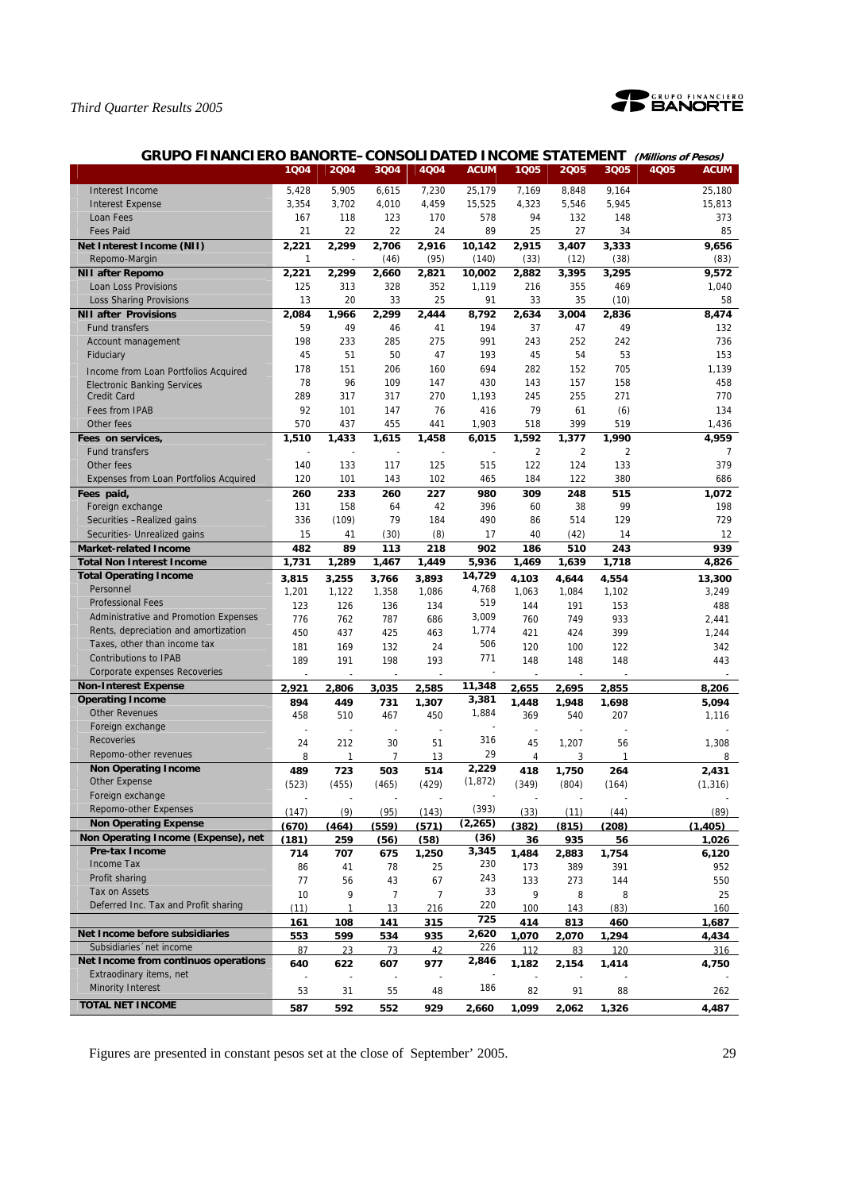

| <b>GRUPO FINANCIERO BANORTE-CONSOLIDATED INCOME STATEMENT</b><br>(Millions of Pesos) |             |              |       |       |                 |       |            |         |                     |  |
|--------------------------------------------------------------------------------------|-------------|--------------|-------|-------|-----------------|-------|------------|---------|---------------------|--|
|                                                                                      | 1004        | 2004         | 3Q04  | 4Q04  | <b>ACUM</b>     | 1Q05  | 2005       | 3Q05    | 4Q05<br><b>ACUM</b> |  |
| Interest Income                                                                      | 5,428       | 5,905        | 6,615 | 7,230 | 25,179          | 7,169 | 8,848      | 9,164   | 25,180              |  |
| <b>Interest Expense</b>                                                              | 3,354       | 3,702        | 4,010 | 4,459 | 15,525          | 4,323 | 5,546      | 5,945   | 15,813              |  |
| Loan Fees                                                                            | 167         | 118          | 123   | 170   | 578             | 94    | 132        | 148     | 373                 |  |
| <b>Fees Paid</b>                                                                     | 21          | 22           | 22    | 24    | 89              | 25    | 27         | 34      | 85                  |  |
| Net Interest Income (NII)                                                            | 2,221       | 2,299        | 2.706 | 2,916 | 10,142          | 2,915 | 3,407      | 3,333   | 9.656               |  |
| Repomo-Margin                                                                        | 1           |              | (46)  | (95)  | (140)           | (33)  | (12)       | (38)    | (83)                |  |
| <b>NII after Repomo</b>                                                              | 2,221       | 2,299        | 2,660 | 2,821 | 10,002          | 2,882 | 3,395      | 3,295   | 9,572               |  |
| Loan Loss Provisions                                                                 | 125         | 313          | 328   | 352   | 1,119           | 216   | 355        | 469     | 1,040               |  |
| <b>Loss Sharing Provisions</b>                                                       | 13          | 20           | 33    | 25    | 91              | 33    | 35         | (10)    | 58                  |  |
| <b>NII after Provisions</b>                                                          | 2,084       | 1,966        | 2,299 | 2,444 | 8,792           | 2,634 | 3,004      | 2,836   | 8,474               |  |
| Fund transfers                                                                       | 59          | 49           | 46    | 41    | 194             | 37    | 47         | 49      | 132                 |  |
| Account management                                                                   | 198         | 233          | 285   | 275   | 991             | 243   | 252        | 242     | 736                 |  |
| Fiduciary                                                                            | 45          | 51           | 50    | 47    | 193             | 45    | 54         | 53      | 153                 |  |
| Income from Loan Portfolios Acquired                                                 | 178         | 151          | 206   | 160   | 694             | 282   | 152        | 705     | 1,139               |  |
| <b>Electronic Banking Services</b>                                                   | 78          | 96           | 109   | 147   | 430             | 143   | 157        | 158     | 458                 |  |
| <b>Credit Card</b>                                                                   | 289         | 317          | 317   | 270   | 1,193           | 245   | 255        | 271     | 770                 |  |
| Fees from IPAB                                                                       | 92          | 101          | 147   | 76    | 416             | 79    | 61         | (6)     | 134                 |  |
| Other fees                                                                           | 570         | 437          | 455   | 441   | 1,903           | 518   | 399        | 519     | 1,436               |  |
| Fees on services,                                                                    | 1,510       | 1,433        | 1,615 | 1,458 | 6,015           | 1,592 | 1,377      | 1,990   | 4,959               |  |
| <b>Fund transfers</b>                                                                |             |              |       |       |                 | 2     | 2          | 2       | 7                   |  |
| Other fees                                                                           | 140         | 133          | 117   | 125   | 515             | 122   | 124        | 133     | 379                 |  |
| Expenses from Loan Portfolios Acquired                                               | 120         | 101          | 143   | 102   | 465             | 184   | 122        | 380     | 686                 |  |
| Fees paid,                                                                           | 260         | 233          | 260   | 227   | 980             | 309   | 248        | 515     | 1,072               |  |
| Foreign exchange                                                                     | 131         | 158          | 64    | 42    | 396             | 60    | 38         | 99      | 198                 |  |
| Securities - Realized gains                                                          | 336         | (109)        | 79    | 184   | 490             | 86    | 514        | 129     | 729                 |  |
| Securities- Unrealized gains                                                         | 15          | 41           | (30)  | (8)   | 17              | 40    | (42)       | 14      | 12                  |  |
| <b>Market-related Income</b>                                                         | 482         | 89           | 113   | 218   | 902             | 186   | 510        | 243     | 939                 |  |
| <b>Total Non Interest Income</b>                                                     | 1,731       | 1,289        | 1,467 | 1,449 | 5,936           | 1,469 | 1,639      | 1,718   | 4,826               |  |
| <b>Total Operating Income</b>                                                        | 3,815       | 3,255        | 3,766 | 3,893 | 14,729          | 4,103 | 4,644      | 4,554   | 13,300              |  |
| Personnel                                                                            | 1,201       | 1,122        | 1,358 | 1,086 | 4,768           | 1,063 | 1,084      | 1,102   | 3,249               |  |
| <b>Professional Fees</b>                                                             | 123         | 126          | 136   | 134   | 519             | 144   | 191        | 153     | 488                 |  |
| Administrative and Promotion Expenses                                                | 776         | 762          | 787   | 686   | 3,009           | 760   | 749        | 933     | 2,441               |  |
| Rents, depreciation and amortization                                                 | 450         | 437          | 425   | 463   | 1,774           | 421   | 424        | 399     | 1,244               |  |
| Taxes, other than income tax                                                         | 181         | 169          | 132   | 24    | 506             | 120   | 100        | 122     | 342                 |  |
| <b>Contributions to IPAB</b>                                                         | 189         | 191          | 198   | 193   | 771             | 148   | 148        | 148     | 443                 |  |
| Corporate expenses Recoveries                                                        |             |              |       |       |                 |       |            |         |                     |  |
| <b>Non-Interest Expense</b><br><b>Operating Income</b>                               | 2.921       | 2.806        | 3.035 | 2.585 | 11,348<br>3,381 | 2.655 | 2.695      | 2.855   | 8.206               |  |
| <b>Other Revenues</b>                                                                | 894         | 449          | 731   | 1.307 | 1,884           | 1.448 | 1.948      | 1.698   | 5.094               |  |
| Foreign exchange                                                                     | 458         | 510          | 467   | 450   | ÷,              | 369   | 540        | 207     | 1,116               |  |
| <b>Recoveries</b>                                                                    | ч.          | ÷,           | ÷,    | ÷,    | 316             | ÷,    | ÷,         |         |                     |  |
| Repomo-other revenues                                                                | 24          | 212          | 30    | 51    | 29              | 45    | 1,207      | 56<br>1 | 1,308               |  |
| <b>Non Operating Income</b>                                                          | 8           | 1            | 7     | 13    | 2,229           | 4     | 3<br>1.750 |         | 8                   |  |
| Other Expense                                                                        | 489         | 723          | 503   | 514   | (1, 872)        | 418   |            | 264     | 2,431               |  |
| Foreign exchange                                                                     | (523)       | (455)        | (465) | (429) |                 | (349) | (804)      | (164)   | (1,316)             |  |
| Repomo-other Expenses                                                                | (147)       | (9)          | (95)  | (143) | (393)           | (33)  | (11)       | (44)    | (89)                |  |
| <b>Non Operating Expense</b>                                                         | (670)       | (464)        | (559) | (571) | (2, 265)        | (382) | (815)      | (208)   | (1, 405)            |  |
| Non Operating Income (Expense), net                                                  | (181)       | 259          | (56)  | (58)  | (36)            | 36    | 935        | 56      | 1,026               |  |
| Pre-tax Income                                                                       | 714         | 707          | 675   | 1,250 | 3,345           | 1,484 | 2,883      | 1,754   | 6,120               |  |
| <b>Income Tax</b>                                                                    | 86          | 41           | 78    | 25    | 230             | 173   | 389        | 391     | 952                 |  |
| Profit sharing                                                                       | 77          | 56           | 43    | 67    | 243             | 133   | 273        | 144     | 550                 |  |
| Tax on Assets                                                                        | 10          | 9            | 7     | 7     | 33              | 9     | 8          | 8       | 25                  |  |
| Deferred Inc. Tax and Profit sharing                                                 | (11)        | $\mathbf{1}$ | 13    | 216   | 220             | 100   | 143        | (83)    | 160                 |  |
|                                                                                      | <u> 161</u> | 108          | 141   | 315   | 725             | 414   | 813        | 460     | 1.687               |  |
| Net Income before subsidiaries                                                       | 553         | 599          | 534   | 935   | 2,620           | 1.070 | 2.070      | 1.294   | 4.434               |  |
| Subsidiaries 'net income                                                             | 87          | 23           | 73    | 42    | 226             | 112   | 83         | 120     | 316                 |  |
| Net Income from continuos operations                                                 | 640         | 622          | 607   | 977   | 2,846           | 1.182 | 2.154      | 1.414   | 4.750               |  |
| Extraodinary items, net                                                              |             |              |       |       |                 |       |            |         |                     |  |
| <b>Minority Interest</b>                                                             | 53          | 31           | 55    | 48    | 186             | 82    | 91         | 88      | 262                 |  |
|                                                                                      |             |              |       |       |                 |       |            |         |                     |  |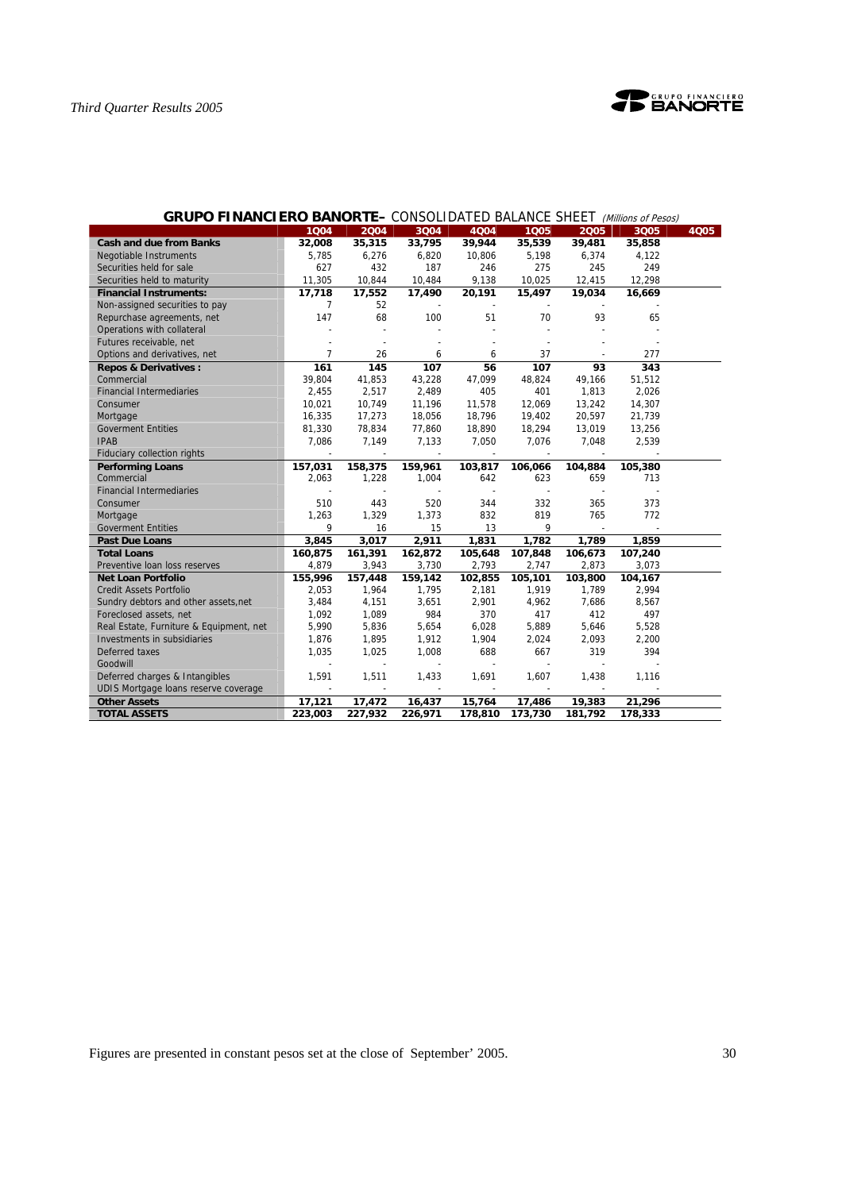

|                                         |                |         |                |         |         |                          | $ \cdots$ $\cdots$ $\cdots$ $\cdots$ |      |
|-----------------------------------------|----------------|---------|----------------|---------|---------|--------------------------|--------------------------------------|------|
|                                         | 1004           | 2004    | 3004           | 4004    | 1005    | 2005                     | 3Q05                                 | 4Q05 |
| <b>Cash and due from Banks</b>          | 32,008         | 35,315  | 33,795         | 39,944  | 35,539  | 39,481                   | 35,858                               |      |
| <b>Negotiable Instruments</b>           | 5,785          | 6,276   | 6,820          | 10,806  | 5,198   | 6,374                    | 4,122                                |      |
| Securities held for sale                | 627            | 432     | 187            | 246     | 275     | 245                      | 249                                  |      |
| Securities held to maturity             | 11,305         | 10,844  | 10,484         | 9,138   | 10,025  | 12,415                   | 12,298                               |      |
| <b>Financial Instruments:</b>           | 17,718         | 17,552  | 17,490         | 20,191  | 15,497  | 19,034                   | 16,669                               |      |
| Non-assigned securities to pay          | $\overline{7}$ | 52      | $\sim$         |         |         |                          |                                      |      |
| Repurchase agreements, net              | 147            | 68      | 100            | 51      | 70      | 93                       | 65                                   |      |
| Operations with collateral              |                |         |                |         |         |                          |                                      |      |
| Futures receivable, net                 |                |         |                |         |         |                          |                                      |      |
| Options and derivatives, net            | $\overline{7}$ | 26      | 6              | 6       | 37      |                          | 277                                  |      |
| <b>Repos &amp; Derivatives:</b>         | 161            | 145     | 107            | 56      | 107     | 93                       | 343                                  |      |
| Commercial                              | 39.804         | 41,853  | 43,228         | 47.099  | 48,824  | 49,166                   | 51,512                               |      |
| <b>Financial Intermediaries</b>         | 2,455          | 2,517   | 2,489          | 405     | 401     | 1,813                    | 2,026                                |      |
| Consumer                                | 10,021         | 10,749  | 11,196         | 11,578  | 12,069  | 13,242                   | 14,307                               |      |
| Mortgage                                | 16,335         | 17,273  | 18,056         | 18,796  | 19,402  | 20,597                   | 21,739                               |      |
| <b>Goverment Entities</b>               | 81,330         | 78,834  | 77,860         | 18,890  | 18,294  | 13,019                   | 13,256                               |      |
| <b>IPAB</b>                             | 7,086          | 7,149   | 7,133          | 7,050   | 7,076   | 7,048                    | 2,539                                |      |
| Fiduciary collection rights             |                |         |                |         |         |                          |                                      |      |
| <b>Performing Loans</b>                 | 157,031        | 158,375 | 159,961        | 103,817 | 106,066 | 104,884                  | 105,380                              |      |
| Commercial                              | 2,063          | 1,228   | 1,004          | 642     | 623     | 659                      | 713                                  |      |
| <b>Financial Intermediaries</b>         |                |         |                | $\sim$  |         |                          |                                      |      |
| Consumer                                | 510            | 443     | 520            | 344     | 332     | 365                      | 373                                  |      |
| Mortgage                                | 1,263          | 1,329   | 1,373          | 832     | 819     | 765                      | 772                                  |      |
| <b>Goverment Entities</b>               | 9              | 16      | 15             | 13      | 9       | $\overline{\phantom{a}}$ |                                      |      |
| <b>Past Due Loans</b>                   | 3,845          | 3,017   | 2,911          | 1,831   | 1,782   | 1,789                    | 1,859                                |      |
| <b>Total Loans</b>                      | 160,875        | 161,391 | 162,872        | 105,648 | 107,848 | 106,673                  | 107,240                              |      |
| Preventive Ioan loss reserves           | 4,879          | 3,943   | 3,730          | 2,793   | 2,747   | 2,873                    | 3,073                                |      |
| <b>Net Loan Portfolio</b>               | 155,996        | 157,448 | 159,142        | 102,855 | 105,101 | 103,800                  | 104,167                              |      |
| <b>Credit Assets Portfolio</b>          | 2,053          | 1,964   | 1,795          | 2,181   | 1,919   | 1,789                    | 2,994                                |      |
| Sundry debtors and other assets, net    | 3,484          | 4,151   | 3,651          | 2,901   | 4,962   | 7,686                    | 8,567                                |      |
| Foreclosed assets, net                  | 1,092          | 1,089   | 984            | 370     | 417     | 412                      | 497                                  |      |
| Real Estate, Furniture & Equipment, net | 5,990          | 5,836   | 5,654          | 6,028   | 5,889   | 5,646                    | 5,528                                |      |
| Investments in subsidiaries             | 1,876          | 1,895   | 1,912          | 1,904   | 2,024   | 2,093                    | 2,200                                |      |
| Deferred taxes                          | 1,035          | 1,025   | 1,008          | 688     | 667     | 319                      | 394                                  |      |
| Goodwill                                |                |         | $\overline{a}$ |         |         |                          |                                      |      |
| Deferred charges & Intangibles          | 1,591          | 1,511   | 1,433          | 1,691   | 1,607   | 1,438                    | 1,116                                |      |
| UDIS Mortgage loans reserve coverage    |                |         |                |         |         |                          |                                      |      |
| <b>Other Assets</b>                     | 17,121         | 17,472  | 16,437         | 15,764  | 17,486  | 19,383                   | 21,296                               |      |
| <b>TOTAL ASSETS</b>                     | 223,003        | 227,932 | 226,971        | 178,810 | 173,730 | 181,792                  | 178,333                              |      |

# **GRUPO FINANCIERO BANORTE–** CONSOLIDATED BALANCE SHEET (Millions of Pesos)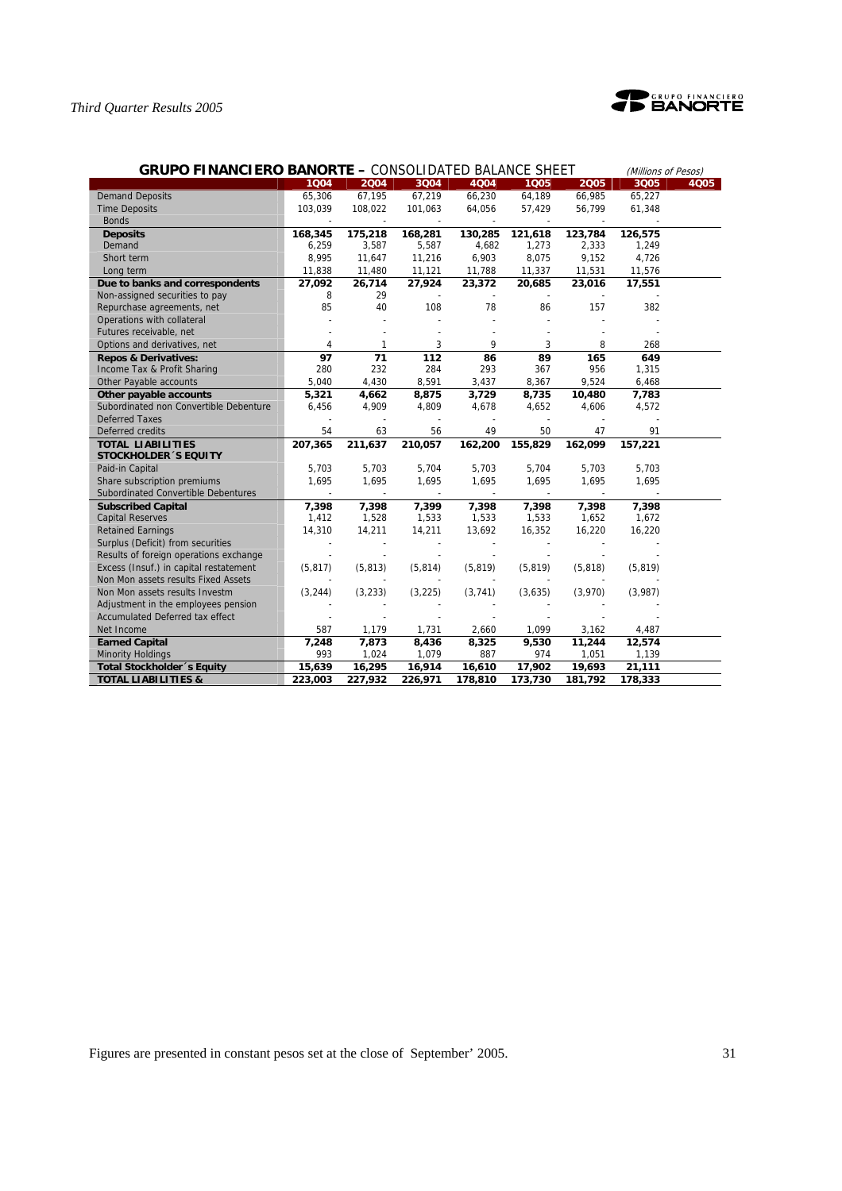

| <b>GRUPO FINANCIERO BANORTE - CONSOLIDATED BALANCE SHEET</b> |          | (Millions of Pesos)      |                          |                          |          |          |          |      |
|--------------------------------------------------------------|----------|--------------------------|--------------------------|--------------------------|----------|----------|----------|------|
|                                                              | 1004     | 2004                     | 3004                     | 4004                     | 1005     | 2005     | 3Q05     | 4005 |
| <b>Demand Deposits</b>                                       | 65,306   | 67,195                   | 67,219                   | 66,230                   | 64,189   | 66,985   | 65,227   |      |
| <b>Time Deposits</b>                                         | 103,039  | 108,022                  | 101,063                  | 64,056                   | 57,429   | 56,799   | 61,348   |      |
| <b>Bonds</b>                                                 |          |                          |                          |                          |          |          |          |      |
| <b>Deposits</b>                                              | 168,345  | 175,218                  | 168,281                  | 130,285                  | 121,618  | 123,784  | 126,575  |      |
| Demand                                                       | 6,259    | 3,587                    | 5,587                    | 4,682                    | 1,273    | 2,333    | 1,249    |      |
| Short term                                                   | 8,995    | 11,647                   | 11,216                   | 6,903                    | 8,075    | 9,152    | 4,726    |      |
| Long term                                                    | 11,838   | 11,480                   | 11,121                   | 11,788                   | 11,337   | 11,531   | 11,576   |      |
| Due to banks and correspondents                              | 27,092   | 26,714                   | 27,924                   | 23,372                   | 20,685   | 23,016   | 17,551   |      |
| Non-assigned securities to pay                               | 8        | 29                       |                          |                          |          |          |          |      |
| Repurchase agreements, net                                   | 85       | 40                       | 108                      | 78                       | 86       | 157      | 382      |      |
| Operations with collateral                                   |          |                          |                          |                          |          |          |          |      |
| Futures receivable, net                                      |          |                          |                          |                          |          |          |          |      |
| Options and derivatives, net                                 | 4        | 1                        | 3                        | 9                        | 3        | 8        | 268      |      |
| <b>Repos &amp; Derivatives:</b>                              | 97       | 71                       | 112                      | 86                       | 89       | 165      | 649      |      |
| Income Tax & Profit Sharing                                  | 280      | 232                      | 284                      | 293                      | 367      | 956      | 1,315    |      |
| Other Payable accounts                                       | 5,040    | 4,430                    | 8,591                    | 3,437                    | 8,367    | 9,524    | 6,468    |      |
| Other payable accounts                                       | 5,321    | 4,662                    | 8,875                    | 3,729                    | 8,735    | 10,480   | 7,783    |      |
| Subordinated non Convertible Debenture                       | 6,456    | 4,909                    | 4,809                    | 4,678                    | 4,652    | 4,606    | 4,572    |      |
| <b>Deferred Taxes</b>                                        |          |                          |                          |                          |          |          |          |      |
| Deferred credits                                             | 54       | 63                       | 56                       | 49                       | 50       | 47       | 91       |      |
| <b>TOTAL LIABILITIES</b>                                     | 207,365  | 211,637                  | 210,057                  | 162,200                  | 155,829  | 162,099  | 157,221  |      |
| <b>STOCKHOLDER 'S EQUITY</b>                                 |          |                          |                          |                          |          |          |          |      |
| Paid-in Capital                                              | 5,703    | 5,703                    | 5,704                    | 5,703                    | 5,704    | 5,703    | 5,703    |      |
| Share subscription premiums                                  | 1,695    | 1,695                    | 1,695                    | 1,695                    | 1,695    | 1,695    | 1,695    |      |
| Subordinated Convertible Debentures                          |          | $\overline{\phantom{a}}$ | $\overline{\phantom{a}}$ | $\overline{\phantom{a}}$ |          |          |          |      |
| <b>Subscribed Capital</b>                                    | 7,398    | 7,398                    | 7,399                    | 7,398                    | 7,398    | 7,398    | 7,398    |      |
| <b>Capital Reserves</b>                                      | 1,412    | 1,528                    | 1,533                    | 1,533                    | 1,533    | 1,652    | 1,672    |      |
| <b>Retained Earnings</b>                                     | 14,310   | 14,211                   | 14,211                   | 13,692                   | 16,352   | 16,220   | 16,220   |      |
| Surplus (Deficit) from securities                            |          |                          |                          |                          |          |          |          |      |
| Results of foreign operations exchange                       |          |                          |                          |                          |          |          |          |      |
| Excess (Insuf.) in capital restatement                       | (5, 817) | (5, 813)                 | (5, 814)                 | (5, 819)                 | (5, 819) | (5, 818) | (5, 819) |      |
| Non Mon assets results Fixed Assets                          |          |                          |                          |                          |          |          |          |      |
| Non Mon assets results Investm                               | (3, 244) | (3, 233)                 | (3, 225)                 | (3,741)                  | (3,635)  | (3,970)  | (3,987)  |      |
| Adjustment in the employees pension                          |          |                          |                          |                          |          |          |          |      |
| <b>Accumulated Deferred tax effect</b>                       |          |                          |                          |                          |          |          |          |      |
| Net Income                                                   | 587      | 1,179                    | 1,731                    | 2,660                    | 1,099    | 3,162    | 4,487    |      |
| <b>Earned Capital</b>                                        | 7,248    | 7,873                    | 8,436                    | 8,325                    | 9,530    | 11,244   | 12,574   |      |
| <b>Minority Holdings</b>                                     | 993      | 1,024                    | 1,079                    | 887                      | 974      | 1,051    | 1,139    |      |
| Total Stockholder's Equity                                   | 15,639   | 16,295                   | 16,914                   | 16,610                   | 17,902   | 19,693   | 21,111   |      |
| <b>TOTAL LIABILITIES &amp;</b>                               | 223,003  | 227,932                  | 226,971                  | 178,810                  | 173,730  | 181,792  | 178,333  |      |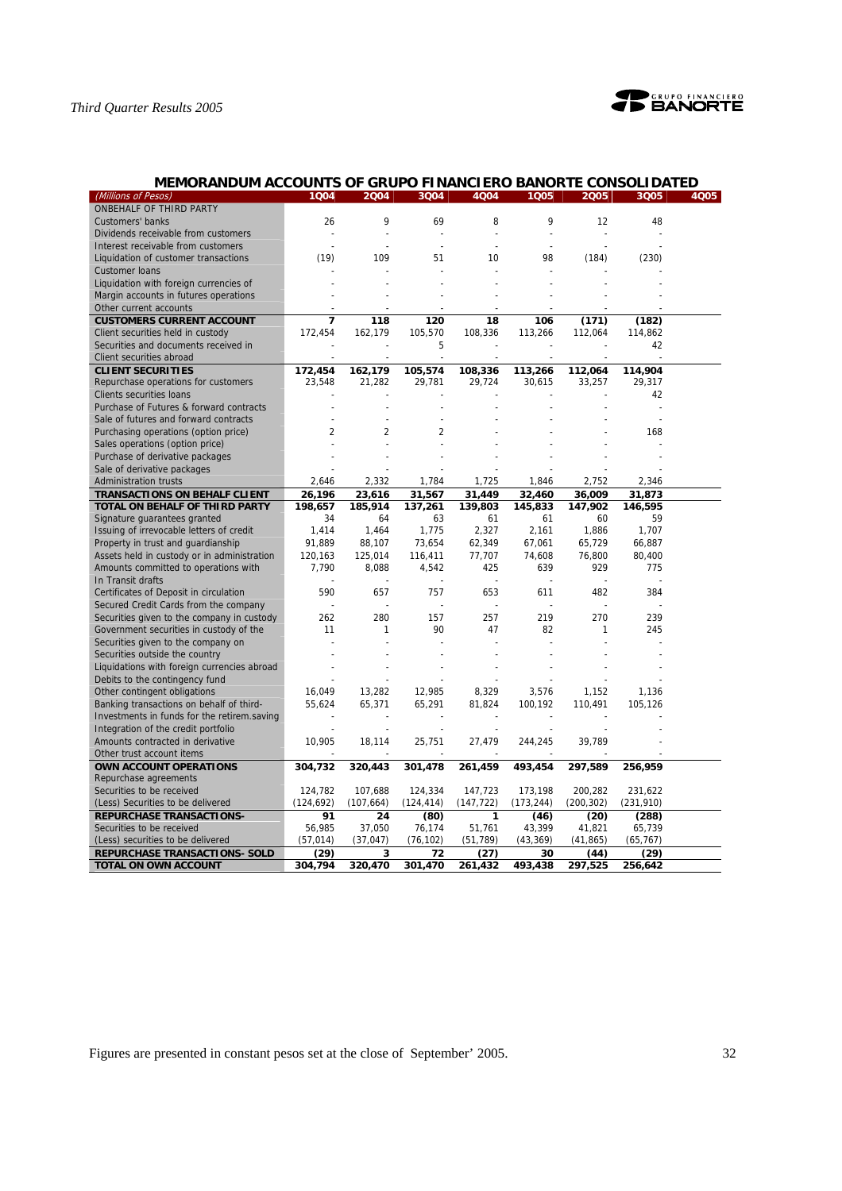

| MEMORANDUM ACCOUNTS OF GRUPO FINANCIERO BANORTE CONSOLIDATED |                |                |                          |            |                |                |            |      |
|--------------------------------------------------------------|----------------|----------------|--------------------------|------------|----------------|----------------|------------|------|
| (Millions of Pesos)                                          | 1004           | 2004           | 3004                     | 4004       | 1005           | 2005           | 3Q05       | 4Q05 |
| ONBEHALF OF THIRD PARTY                                      |                |                |                          |            |                |                |            |      |
| <b>Customers' banks</b>                                      | 26             | 9              | 69                       | 8          | 9              | 12             | 48         |      |
| Dividends receivable from customers                          | $\overline{a}$ |                | $\overline{a}$           |            |                | $\overline{a}$ |            |      |
| Interest receivable from customers                           | ÷              | $\overline{a}$ | $\overline{\phantom{a}}$ |            | $\overline{a}$ |                |            |      |
| Liquidation of customer transactions                         | (19)           | 109            | 51                       | 10         | 98             | (184)          | (230)      |      |
| <b>Customer loans</b>                                        |                |                |                          |            |                |                |            |      |
| Liquidation with foreign currencies of                       |                |                | $\overline{a}$           |            |                |                |            |      |
| Margin accounts in futures operations                        |                |                |                          |            |                |                |            |      |
| Other current accounts                                       |                |                |                          |            |                |                |            |      |
| <b>CUSTOMERS CURRENT ACCOUNT</b>                             | $\overline{7}$ | 118            | 120                      | 18         | 106            | (171)          | (182)      |      |
| Client securities held in custody                            | 172,454        | 162,179        | 105,570                  | 108,336    | 113,266        | 112,064        | 114,862    |      |
| Securities and documents received in                         |                |                | 5                        |            |                |                | 42         |      |
| Client securities abroad                                     |                |                |                          |            | $\sim$         |                |            |      |
| <b>CLIENT SECURITIES</b>                                     | 172,454        | 162,179        | 105,574                  | 108,336    | 113,266        | 112,064        | 114,904    |      |
| Repurchase operations for customers                          | 23,548         | 21,282         | 29,781                   | 29,724     | 30,615         | 33,257         | 29,317     |      |
| <b>Clients securities loans</b>                              |                |                |                          |            |                |                | 42         |      |
| Purchase of Futures & forward contracts                      |                |                |                          |            |                |                |            |      |
| Sale of futures and forward contracts                        |                |                |                          |            |                |                |            |      |
| Purchasing operations (option price)                         | $\overline{2}$ | $\overline{2}$ | $\overline{2}$           |            |                |                | 168        |      |
| Sales operations (option price)                              |                |                |                          |            |                |                |            |      |
| Purchase of derivative packages                              |                |                |                          |            |                |                |            |      |
| Sale of derivative packages                                  |                |                |                          |            |                |                |            |      |
| <b>Administration trusts</b>                                 | 2,646          | 2,332          | 1,784                    | 1,725      | 1,846          | 2,752          | 2,346      |      |
| <b>TRANSACTIONS ON BEHALF CLIENT</b>                         | 26,196         | 23,616         | 31,567                   | 31,449     | 32,460         | 36,009         | 31,873     |      |
| TOTAL ON BEHALF OF THIRD PARTY                               | 198.657        | 185,914        | 137.261                  | 139,803    | 145.833        | 147,902        | 146,595    |      |
| Signature guarantees granted                                 | 34             | 64             | 63                       | 61         | 61             | 60             | 59         |      |
| Issuing of irrevocable letters of credit                     | 1,414          | 1,464          | 1,775                    | 2,327      | 2,161          | 1,886          | 1,707      |      |
| Property in trust and guardianship                           | 91,889         | 88,107         | 73,654                   | 62,349     | 67,061         | 65,729         | 66,887     |      |
| Assets held in custody or in administration                  | 120,163        | 125,014        | 116,411                  | 77,707     | 74,608         | 76,800         | 80,400     |      |
| Amounts committed to operations with                         | 7,790          | 8,088          | 4,542                    | 425        | 639            | 929            | 775        |      |
| In Transit drafts                                            |                |                |                          |            | $\overline{a}$ | $\overline{a}$ |            |      |
| Certificates of Deposit in circulation                       | 590            | 657            | 757                      | 653        | 611            | 482            | 384        |      |
| Secured Credit Cards from the company                        |                |                | $\sim$                   |            |                | $\overline{a}$ |            |      |
| Securities given to the company in custody                   | 262            | 280            | 157                      | 257        | 219            | 270            | 239        |      |
| Government securities in custody of the                      | 11             | 1              | 90                       | 47         | 82             | 1              | 245        |      |
| Securities given to the company on                           |                |                |                          |            |                |                |            |      |
| Securities outside the country                               |                |                |                          |            |                |                |            |      |
| Liquidations with foreign currencies abroad                  |                |                |                          |            |                |                |            |      |
| Debits to the contingency fund                               |                |                |                          |            |                |                |            |      |
| Other contingent obligations                                 | 16,049         | 13,282         | 12,985                   | 8,329      | 3,576          | 1,152          | 1,136      |      |
| Banking transactions on behalf of third-                     | 55,624         | 65,371         | 65,291                   | 81,824     | 100,192        | 110,491        | 105,126    |      |
| Investments in funds for the retirem.saving                  |                |                |                          |            |                |                |            |      |
| Integration of the credit portfolio                          |                |                |                          |            |                |                |            |      |
| Amounts contracted in derivative                             | 10,905         | 18,114         | 25,751                   | 27,479     | 244,245        | 39,789         |            |      |
| Other trust account items                                    |                |                |                          |            |                |                |            |      |
| OWN ACCOUNT OPERATIONS                                       | 304,732        | 320,443        | 301,478                  | 261,459    | 493,454        | 297,589        | 256,959    |      |
| Repurchase agreements                                        |                |                |                          |            |                |                |            |      |
| Securities to be received                                    | 124,782        | 107,688        | 124,334                  | 147,723    | 173,198        | 200,282        | 231,622    |      |
| (Less) Securities to be delivered                            | (124, 692)     | (107, 664)     | (124, 414)               | (147, 722) | (173, 244)     | (200, 302)     | (231, 910) |      |
| <b>REPURCHASE TRANSACTIONS-</b>                              | 91             | 24             | (80)                     | 1          | (46)           | (20)           | (288)      |      |
| Securities to be received                                    | 56,985         | 37,050         | 76,174                   | 51,761     | 43,399         | 41,821         | 65,739     |      |
| (Less) securities to be delivered                            | (57, 014)      | (37, 047)      | (76, 102)                | (51, 789)  | (43, 369)      | (41, 865)      | (65, 767)  |      |
| <b>REPURCHASE TRANSACTIONS- SOLD</b>                         | (29)           | 3              | 72                       | (27)       | 30             | (44)           | (29)       |      |
| <b>TOTAL ON OWN ACCOUNT</b>                                  | 304,794        | 320.470        | 301,470                  | 261,432    | 493.438        | 297,525        | 256,642    |      |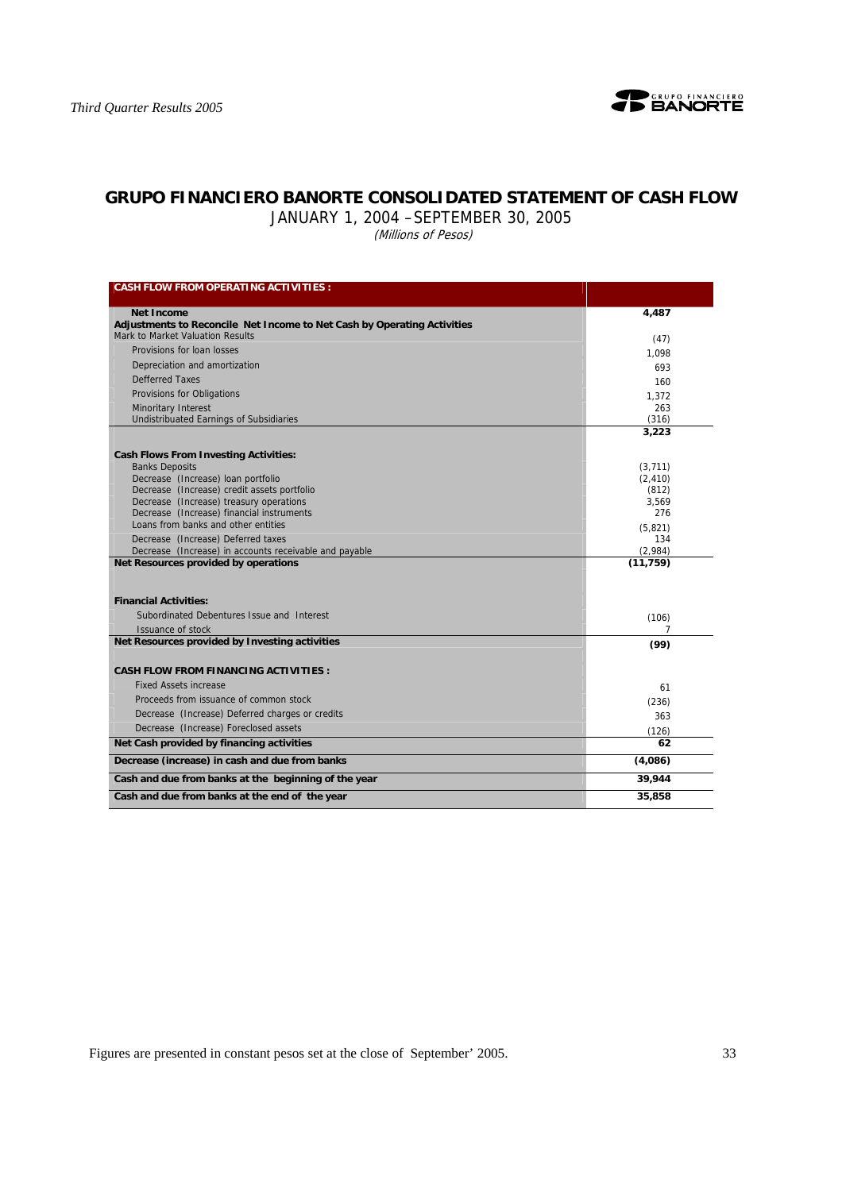

# **GRUPO FINANCIERO BANORTE CONSOLIDATED STATEMENT OF CASH FLOW**

JANUARY 1, 2004 –SEPTEMBER 30, 2005

(Millions of Pesos)

| <b>CASH FLOW FROM OPERATING ACTIVITIES:</b>                                                                 |                   |
|-------------------------------------------------------------------------------------------------------------|-------------------|
|                                                                                                             |                   |
| <b>Net Income</b>                                                                                           | 4,487             |
| Adjustments to Reconcile Net Income to Net Cash by Operating Activities<br>Mark to Market Valuation Results |                   |
| Provisions for loan losses                                                                                  | (47)              |
| Depreciation and amortization                                                                               | 1.098             |
| <b>Defferred Taxes</b>                                                                                      | 693               |
| Provisions for Obligations                                                                                  | 160               |
| Minoritary Interest                                                                                         | 1.372<br>263      |
| <b>Undistribuated Earnings of Subsidiaries</b>                                                              | (316)             |
|                                                                                                             | 3,223             |
|                                                                                                             |                   |
| <b>Cash Flows From Investing Activities:</b>                                                                |                   |
| <b>Banks Deposits</b>                                                                                       | (3,711)           |
| Decrease (Increase) loan portfolio<br>Decrease (Increase) credit assets portfolio                           | (2, 410)<br>(812) |
| Decrease (Increase) treasury operations                                                                     | 3.569             |
| Decrease (Increase) financial instruments                                                                   | 276               |
| Loans from banks and other entities                                                                         | (5.821)           |
| Decrease (Increase) Deferred taxes                                                                          | 134               |
| Decrease (Increase) in accounts receivable and payable                                                      | (2,984)           |
| Net Resources provided by operations                                                                        | (11, 759)         |
|                                                                                                             |                   |
| <b>Financial Activities:</b>                                                                                |                   |
| Subordinated Debentures Issue and Interest                                                                  | (106)             |
| Issuance of stock                                                                                           |                   |
| Net Resources provided by Investing activities                                                              | (99)              |
| <b>CASH FLOW FROM FINANCING ACTIVITIES:</b>                                                                 |                   |
| <b>Fixed Assets increase</b>                                                                                | 61                |
| Proceeds from issuance of common stock                                                                      | (236)             |
| Decrease (Increase) Deferred charges or credits                                                             | 363               |
| Decrease (Increase) Foreclosed assets                                                                       | (126)             |
| Net Cash provided by financing activities                                                                   | 62                |
| Decrease (increase) in cash and due from banks                                                              | (4,086)           |
| Cash and due from banks at the beginning of the year                                                        | 39,944            |
|                                                                                                             |                   |
| Cash and due from banks at the end of the year                                                              | 35,858            |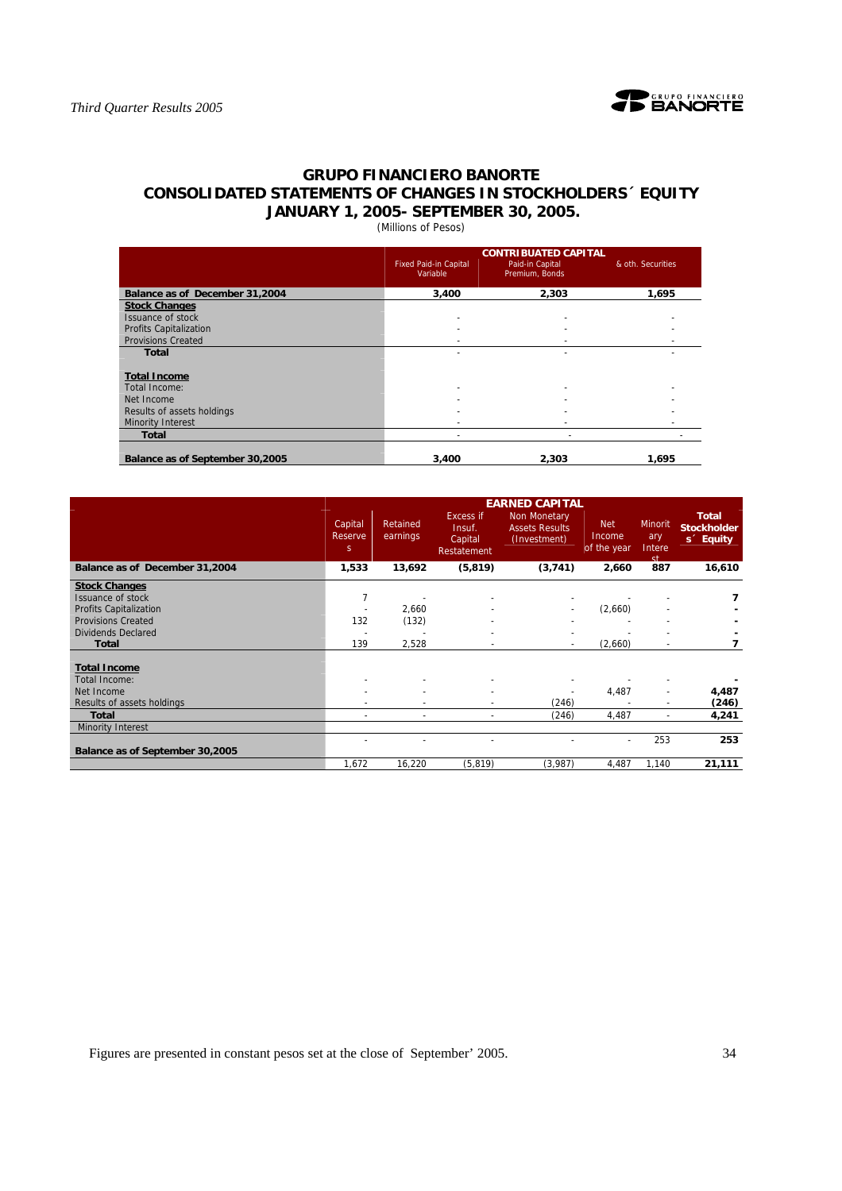

# **GRUPO FINANCIERO BANORTE CONSOLIDATED STATEMENTS OF CHANGES IN STOCKHOLDERS´ EQUITY JANUARY 1, 2005- SEPTEMBER 30, 2005.**

(Millions of Pesos)

|                                 |                                          | <b>CONTRIBUATED CAPITAL</b>       |                   |
|---------------------------------|------------------------------------------|-----------------------------------|-------------------|
|                                 | <b>Fixed Paid-in Capital</b><br>Variable | Paid-in Capital<br>Premium, Bonds | & oth. Securities |
| Balance as of December 31,2004  | 3,400                                    | 2,303                             | 1.695             |
| <b>Stock Changes</b>            |                                          |                                   |                   |
| Issuance of stock               | ٠                                        |                                   |                   |
| <b>Profits Capitalization</b>   | ٠                                        |                                   |                   |
| <b>Provisions Created</b>       |                                          |                                   |                   |
| <b>Total</b>                    |                                          |                                   |                   |
| <b>Total Income</b>             |                                          |                                   |                   |
| Total Income:                   | ٠                                        |                                   |                   |
| Net Income                      |                                          |                                   |                   |
| Results of assets holdings      |                                          |                                   |                   |
| <b>Minority Interest</b>        |                                          |                                   |                   |
| <b>Total</b>                    | $\overline{\phantom{0}}$                 |                                   |                   |
| Balance as of September 30,2005 | 3,400                                    | 2.303                             | 1.695             |

|                                 | <b>EARNED CAPITAL</b>   |                      |                                                      |                                                       |                                     |                                 |                                                             |  |  |  |  |
|---------------------------------|-------------------------|----------------------|------------------------------------------------------|-------------------------------------------------------|-------------------------------------|---------------------------------|-------------------------------------------------------------|--|--|--|--|
|                                 | Capital<br>Reserve<br>S | Retained<br>earnings | <b>Excess if</b><br>Insuf.<br>Capital<br>Restatement | Non Monetary<br><b>Assets Results</b><br>(Investment) | <b>Net</b><br>Income<br>of the year | Minorit<br>ary<br>Intere<br>ct. | <b>Total</b><br><b>Stockholder</b><br>s <sup>2</sup> Equity |  |  |  |  |
| Balance as of December 31,2004  | 1,533                   | 13,692               | (5, 819)                                             | (3,741)                                               | 2,660                               | 887                             | 16,610                                                      |  |  |  |  |
| <b>Stock Changes</b>            |                         |                      |                                                      |                                                       |                                     |                                 |                                                             |  |  |  |  |
| Issuance of stock               | $\overline{7}$          |                      |                                                      |                                                       |                                     |                                 |                                                             |  |  |  |  |
| Profits Capitalization          |                         | 2,660                |                                                      |                                                       | (2,660)                             |                                 |                                                             |  |  |  |  |
| <b>Provisions Created</b>       | 132                     | (132)                |                                                      |                                                       |                                     |                                 |                                                             |  |  |  |  |
| <b>Dividends Declared</b>       |                         |                      |                                                      |                                                       |                                     |                                 |                                                             |  |  |  |  |
| Total                           | 139                     | 2,528                |                                                      |                                                       | (2,660)                             |                                 |                                                             |  |  |  |  |
|                                 |                         |                      |                                                      |                                                       |                                     |                                 |                                                             |  |  |  |  |
| <b>Total Income</b>             |                         |                      |                                                      |                                                       |                                     |                                 |                                                             |  |  |  |  |
| Total Income:                   |                         |                      |                                                      |                                                       |                                     |                                 |                                                             |  |  |  |  |
| Net Income                      |                         |                      |                                                      |                                                       | 4,487                               | ٠                               | 4,487                                                       |  |  |  |  |
| Results of assets holdings      |                         | ٠                    |                                                      | (246)                                                 |                                     | $\blacksquare$                  | (246)                                                       |  |  |  |  |
| <b>Total</b>                    |                         |                      |                                                      | (246)                                                 | 4,487                               | $\overline{a}$                  | 4,241                                                       |  |  |  |  |
| <b>Minority Interest</b>        |                         |                      |                                                      |                                                       |                                     |                                 |                                                             |  |  |  |  |
|                                 |                         |                      |                                                      |                                                       | ۰                                   | 253                             | 253                                                         |  |  |  |  |
| Balance as of September 30,2005 |                         |                      |                                                      |                                                       |                                     |                                 |                                                             |  |  |  |  |
|                                 | 1,672                   | 16,220               | (5, 819)                                             | (3,987)                                               | 4,487                               | 1,140                           | 21,111                                                      |  |  |  |  |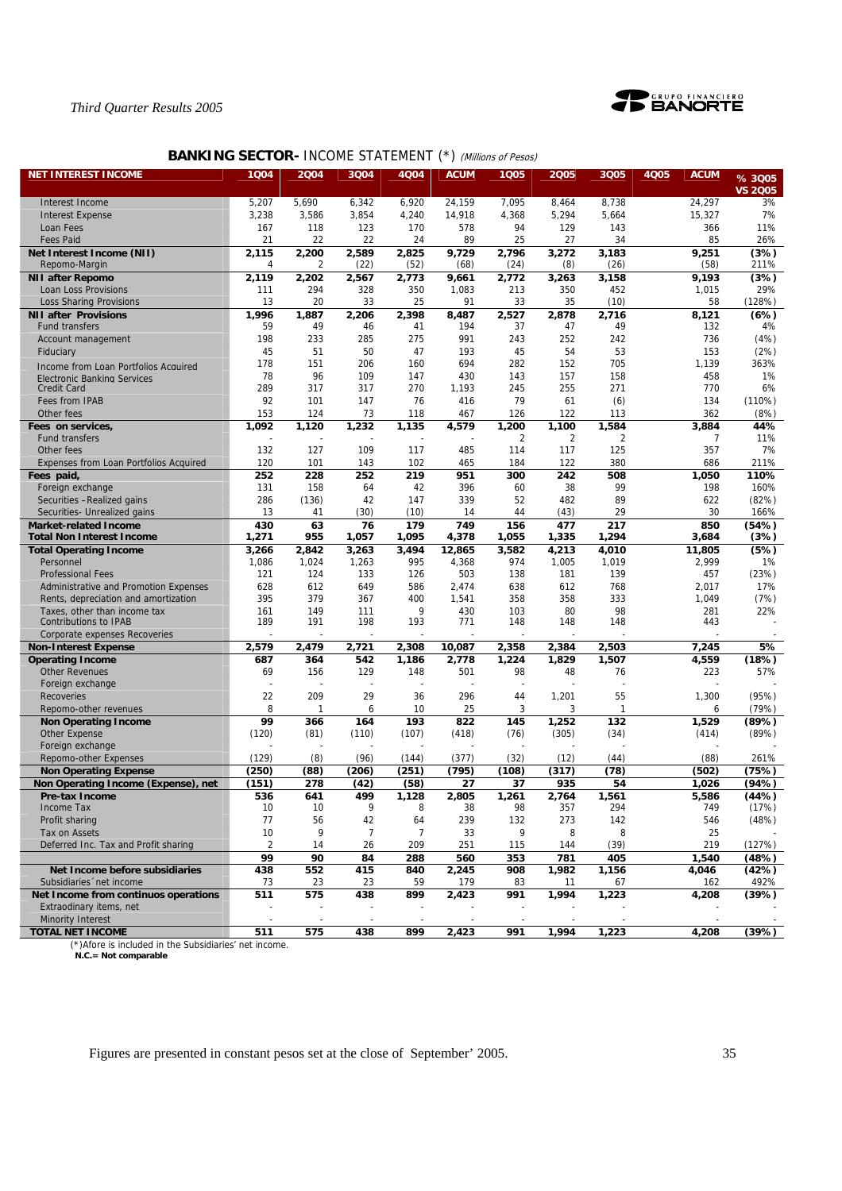

# **BANKING SECTOR- INCOME STATEMENT (\*) (Millions of Pesos)**

| <b>NET INTEREST INCOME</b>                                    | 1004           | 2004       | 3004           | 4Q04           | <b>ACUM</b>  | 1Q05        | 2005         | 3Q05        | <b>4Q05</b> | <b>ACUM</b>    | % 3005         |
|---------------------------------------------------------------|----------------|------------|----------------|----------------|--------------|-------------|--------------|-------------|-------------|----------------|----------------|
|                                                               |                |            |                |                |              |             |              |             |             |                | <b>VS 2005</b> |
| Interest Income                                               | 5,207          | 5,690      | 6,342          | 6,920          | 24,159       | 7,095       | 8,464        | 8,738       |             | 24,297         | 3%             |
| <b>Interest Expense</b>                                       | 3,238          | 3,586      | 3,854          | 4,240          | 14,918       | 4,368       | 5,294        | 5,664       |             | 15,327         | 7%             |
| Loan Fees                                                     | 167            | 118        | 123            | 170            | 578          | 94          | 129          | 143         |             | 366            | 11%            |
| <b>Fees Paid</b>                                              | 21             | 22         | 22             | 24             | 89           | 25          | 27           | 34          |             | 85             | 26%            |
| Net Interest Income (NII)                                     | 2,115          | 2,200      | 2,589          | 2,825          | 9,729        | 2,796       | 3,272        | 3,183       |             | 9,251          | (3%)           |
| Repomo-Margin                                                 | 4              | 2          | (22)           | (52)           | (68)         | (24)        | (8)          | (26)        |             | (58)           | 211%           |
| <b>NII after Repomo</b>                                       | 2,119          | 2,202      | 2,567          | 2,773          | 9,661        | 2,772       | 3,263        | 3,158       |             | 9,193          | (3%)           |
| Loan Loss Provisions                                          | 111<br>13      | 294<br>20  | 328<br>33      | 350<br>25      | 1,083<br>91  | 213<br>33   | 350<br>35    | 452<br>(10) |             | 1,015<br>58    | 29%<br>(128%)  |
| <b>Loss Sharing Provisions</b><br><b>NII after Provisions</b> | 1,996          | 1,887      | 2,206          | 2,398          |              | 2,527       | 2,878        | 2,716       |             | 8,121          | (6%)           |
| Fund transfers                                                | 59             | 49         | 46             | 41             | 8,487<br>194 | 37          | 47           | 49          |             | 132            | 4%             |
| Account management                                            | 198            | 233        | 285            | 275            | 991          | 243         | 252          | 242         |             | 736            | (4%)           |
| Fiduciary                                                     | 45             | 51         | 50             | 47             | 193          | 45          | 54           | 53          |             | 153            | (2%)           |
| Income from Loan Portfolios Acquired                          | 178            | 151        | 206            | 160            | 694          | 282         | 152          | 705         |             | 1,139          | 363%           |
| <b>Electronic Banking Services</b>                            | 78             | 96         | 109            | 147            | 430          | 143         | 157          | 158         |             | 458            | 1%             |
| <b>Credit Card</b>                                            | 289            | 317        | 317            | 270            | 1,193        | 245         | 255          | 271         |             | 770            | 6%             |
| Fees from IPAB                                                | 92             | 101        | 147            | 76             | 416          | 79          | 61           | (6)         |             | 134            | (110%)         |
| Other fees                                                    | 153            | 124        | 73             | 118            | 467          | 126         | 122          | 113         |             | 362            | (8%)           |
| Fees on services,                                             | 1,092          | 1,120      | 1,232          | 1,135          | 4,579        | 1,200       | 1,100        | 1,584       |             | 3,884          | 44%            |
| <b>Fund transfers</b>                                         |                |            |                |                |              | 2           | 2            | 2           |             | 7              | 11%            |
| Other fees                                                    | 132            | 127        | 109            | 117            | 485          | 114         | 117          | 125         |             | 357            | 7%             |
| <b>Expenses from Loan Portfolios Acquired</b>                 | 120            | 101        | 143            | 102            | 465          | 184         | 122          | 380         |             | 686            | 211%           |
| Fees paid,<br>Foreign exchange                                | 252<br>131     | 228<br>158 | 252<br>64      | 219<br>42      | 951<br>396   | 300<br>60   | 242<br>38    | 508<br>99   |             | 1,050<br>198   | 110%<br>160%   |
| Securities - Realized gains                                   | 286            | (136)      | 42             | 147            | 339          | 52          | 482          | 89          |             | 622            | (82%)          |
| Securities- Unrealized gains                                  | 13             | 41         | (30)           | (10)           | 14           | 44          | (43)         | 29          |             | 30             | 166%           |
| <b>Market-related Income</b>                                  | 430            | 63         | 76             | 179            | 749          | 156         | 477          | 217         |             | 850            | (54%)          |
| <b>Total Non Interest Income</b>                              | 1,271          | 955        | 1,057          | 1,095          | 4,378        | 1,055       | 1,335        | 1,294       |             | 3,684          | (3%)           |
| <b>Total Operating Income</b>                                 | 3,266          | 2,842      | 3,263          | 3,494          | 12.865       | 3,582       | 4,213        | 4,010       |             | 11,805         | (5%)           |
| Personnel                                                     | 1,086          | 1,024      | 1,263          | 995            | 4,368        | 974         | 1,005        | 1,019       |             | 2,999          | 1%             |
| <b>Professional Fees</b>                                      | 121            | 124        | 133            | 126            | 503          | 138         | 181          | 139         |             | 457            | (23%)          |
| Administrative and Promotion Expenses                         | 628            | 612        | 649            | 586            | 2,474        | 638         | 612          | 768         |             | 2,017          | 17%            |
| Rents, depreciation and amortization                          | 395            | 379        | 367            | 400            | 1,541        | 358         | 358          | 333         |             | 1,049          | (7%)           |
| Taxes, other than income tax                                  | 161<br>189     | 149<br>191 | 111<br>198     | 9<br>193       | 430<br>771   | 103<br>148  | 80           | 98<br>148   |             | 281<br>443     | 22%            |
| Contributions to IPAB<br>Corporate expenses Recoveries        |                |            |                |                |              |             | 148          |             |             |                |                |
| <b>Non-Interest Expense</b>                                   | 2,579          | 2,479      | 2,721          | 2,308          | 10,087       | 2,358       | 2,384        | 2,503       |             | 7,245          | 5%             |
| <b>Operating Income</b>                                       | 687            | 364        | 542            | 1,186          | 2,778        | 1,224       | 1,829        | 1,507       |             | 4,559          | (18%)          |
| <b>Other Revenues</b>                                         | 69             | 156        | 129            | 148            | 501          | 98          | 48           | 76          |             | 223            | 57%            |
| Foreign exchange                                              |                |            |                |                |              |             |              |             |             |                |                |
| <b>Recoveries</b>                                             | 22             | 209        | 29             | 36             | 296          | 44          | 1,201        | 55          |             | 1,300          | (95%)          |
| Repomo-other revenues                                         | 8              | 1          | 6              | 10             | 25           | 3           | 3            | 1           |             | 6              | (79%)          |
| <b>Non Operating Income</b>                                   | 99             | 366        | 164            | 193            | 822          | 145         | 1,252        | 132         |             | 1,529          | (89%)          |
| <b>Other Expense</b>                                          | (120)          | (81)       | (110)          | (107)          | (418)        | (76)        | (305)        | (34)        |             | (414)          | (89%)          |
| Foreign exchange                                              |                |            |                |                |              |             |              |             |             |                |                |
| Repomo-other Expenses                                         | (129)          | (8)        | (96)           | (144)          | (377)        | (32)        | (12)         | (44)        |             | (88)           | 261%           |
| <b>Non Operating Expense</b>                                  | (250)          | (88)       | (206)          | (251)          | (795)        | (108)       | (317)        | (78)        |             | (502)          | (75%)          |
| Non Operating Income (Expense), net                           | (151)<br>536   | 278<br>641 | (42)<br>499    | (58)<br>1,128  | 27<br>2,805  | 37<br>1,261 | 935<br>2,764 | 54<br>1,561 |             | 1,026<br>5,586 | (94%)<br>(44%) |
| Pre-tax Income<br>Income Tax                                  | 10             | 10         | 9              | 8              | 38           | 98          | 357          | 294         |             | 749            | (17%)          |
| Profit sharing                                                | 77             | 56         | 42             | 64             | 239          | 132         | 273          | 142         |             | 546            | (48%)          |
| Tax on Assets                                                 | 10             | 9          | $\overline{7}$ | $\overline{7}$ | 33           | 9           | 8            | 8           |             | 25             |                |
| Deferred Inc. Tax and Profit sharing                          | $\overline{2}$ | 14         | 26             | 209            | 251          | 115         | 144          | (39)        |             | 219            | (127%)         |
|                                                               | 99             | 90         | 84             | 288            | 560          | 353         | 781          | 405         |             | 1,540          | (48%)          |
| Net Income before subsidiaries                                | 438            | 552        | 415            | 840            | 2,245        | 908         | 1,982        | 1,156       |             | 4,046          | (42%)          |
| Subsidiaries 'net income                                      | 73             | 23         | 23             | 59             | 179          | 83          | 11           | 67          |             | 162            | 492%           |
| Net Income from continuos operations                          | 511            | 575        | 438            | 899            | 2,423        | 991         | 1,994        | 1,223       |             | 4,208          | (39%)          |
| Extraodinary items, net                                       |                |            |                |                |              |             |              |             |             |                |                |
| <b>Minority Interest</b>                                      |                |            |                |                |              |             |              |             |             |                |                |
| <b>TOTAL NET INCOME</b>                                       | 511            | 575        | 438            | 899            | 2,423        | 991         | 1,994        | 1,223       |             | 4,208          | (39%)          |

(\*)Afore is included in the Subsidiaries' net income.  **N.C.= Not comparable**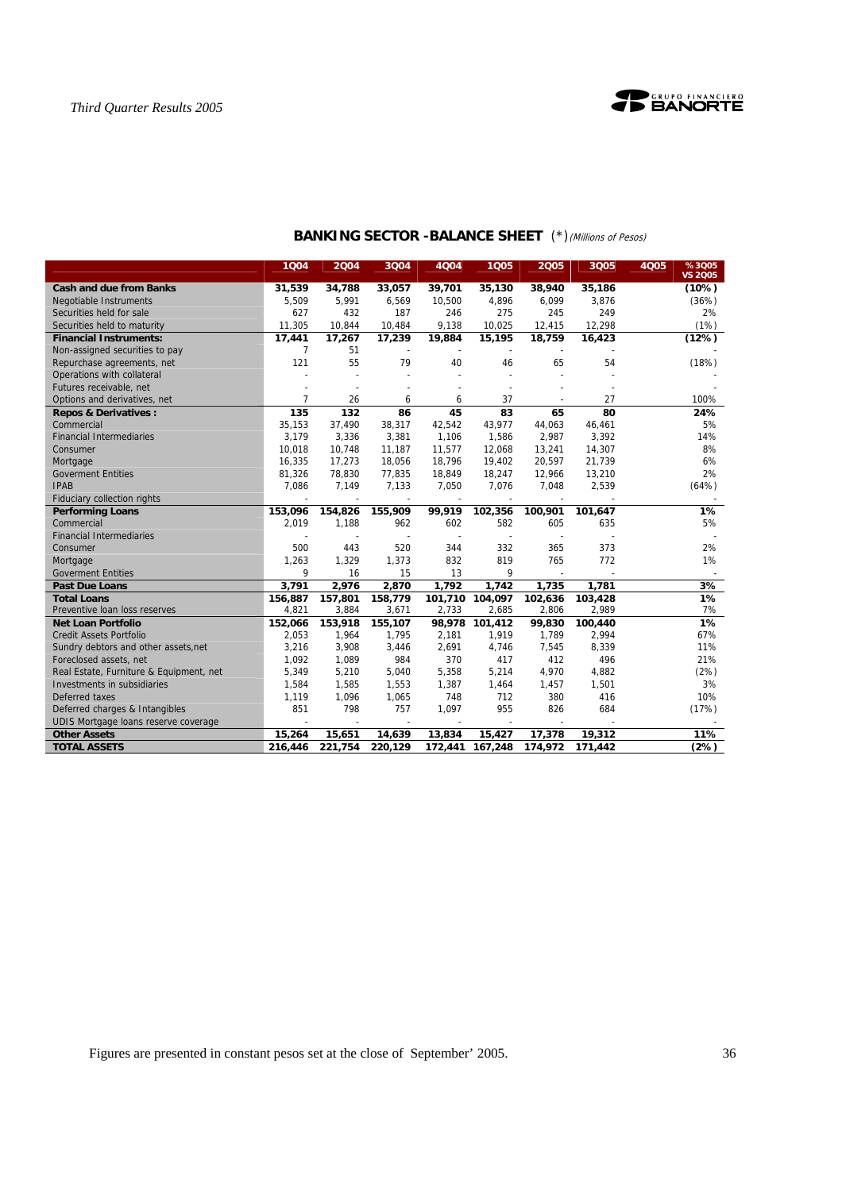

|                                                                        | 1Q04           | 2004           | 3Q04         | 4Q04           | 1Q05           | 2005           | 3Q05    | %3005<br>4Q05<br><b>VS 2005</b> |
|------------------------------------------------------------------------|----------------|----------------|--------------|----------------|----------------|----------------|---------|---------------------------------|
| <b>Cash and due from Banks</b>                                         | 31,539         | 34,788         | 33,057       | 39,701         | 35,130         | 38,940         | 35,186  | (10%)                           |
| <b>Negotiable Instruments</b>                                          | 5,509          | 5,991          | 6,569        | 10,500         | 4,896          | 6,099          | 3,876   | (36%)                           |
| Securities held for sale                                               | 627            | 432            | 187          | 246            | 275            | 245            | 249     | 2%                              |
| Securities held to maturity                                            | 11,305         | 10,844         | 10,484       | 9,138          | 10,025         | 12,415         | 12,298  | (1%)                            |
| <b>Financial Instruments:</b>                                          | 17,441         | 17,267         | 17,239       | 19,884         | 15,195         | 18,759         | 16,423  | (12%)                           |
| Non-assigned securities to pay                                         | 7              | 51             |              |                |                |                |         |                                 |
| Repurchase agreements, net                                             | 121            | 55             | 79           | 40             | 46             | 65             | 54      | (18%)                           |
| Operations with collateral                                             |                |                |              |                |                |                |         |                                 |
| Futures receivable, net                                                |                |                |              |                | $\overline{a}$ |                |         |                                 |
| Options and derivatives, net                                           | $\overline{7}$ | 26             | 6            | 6              | 37             |                | 27      | 100%                            |
| <b>Repos &amp; Derivatives:</b>                                        | 135            | 132            | 86           | 45             | 83             | 65             | 80      | 24%                             |
| Commercial                                                             | 35,153         | 37,490         | 38,317       | 42,542         | 43,977         | 44,063         | 46,461  | 5%                              |
| <b>Financial Intermediaries</b>                                        | 3,179          | 3,336          | 3,381        | 1,106          | 1,586          | 2,987          | 3,392   | 14%                             |
| Consumer                                                               | 10.018         | 10.748         | 11.187       | 11.577         | 12.068         | 13,241         | 14,307  | 8%                              |
| Mortgage                                                               | 16,335         | 17,273         | 18,056       | 18,796         | 19,402         | 20,597         | 21,739  | 6%                              |
| <b>Goverment Entities</b>                                              | 81,326         | 78,830         | 77,835       | 18,849         | 18,247         | 12,966         | 13,210  | 2%                              |
| <b>IPAB</b>                                                            | 7,086          | 7,149          | 7,133        | 7,050          | 7,076          | 7,048          | 2,539   | (64%)                           |
| Fiduciary collection rights                                            |                |                |              |                |                |                |         |                                 |
| <b>Performing Loans</b>                                                | 153,096        | 154,826        | 155,909      | 99,919         | 102,356        | 100,901        | 101,647 | 1%                              |
| Commercial                                                             | 2,019          | 1,188          | 962          | 602            | 582            | 605            | 635     | 5%                              |
| <b>Financial Intermediaries</b>                                        |                |                |              | $\sim$         | $\sim$         | ч.             |         |                                 |
| Consumer                                                               | 500            | 443            | 520          | 344            | 332            | 365            | 373     | 2%                              |
| Mortgage                                                               | 1,263          | 1,329          | 1,373        | 832            | 819            | 765            | 772     | 1%                              |
| <b>Goverment Entities</b>                                              | 9              | 16             | 15           | 13             | 9              |                |         |                                 |
| <b>Past Due Loans</b>                                                  | 3,791          | 2,976          | 2,870        | 1,792          | 1,742          | 1,735          | 1.781   | 3%                              |
| <b>Total Loans</b>                                                     | 156,887        | 157,801        | 158,779      | 101,710        | 104,097        | 102,636        | 103,428 | $1\%$                           |
| Preventive loan loss reserves                                          | 4,821          | 3,884          | 3,671        | 2,733          | 2.685          | 2,806          | 2,989   | 7%                              |
| <b>Net Loan Portfolio</b>                                              | 152,066        | 153,918        | 155,107      | 98,978         | 101.412        | 99,830         | 100,440 | 1%                              |
| <b>Credit Assets Portfolio</b>                                         | 2,053<br>3,216 | 1,964<br>3,908 | 1,795        | 2,181<br>2,691 | 1,919<br>4,746 | 1,789<br>7,545 | 2,994   | 67%<br>11%                      |
| Sundry debtors and other assets, net                                   |                |                | 3,446        |                |                |                | 8,339   |                                 |
| Foreclosed assets, net                                                 | 1,092          | 1,089          | 984          | 370            | 417            | 412            | 496     | 21%                             |
| Real Estate, Furniture & Equipment, net<br>Investments in subsidiaries | 5,349          | 5,210          | 5,040        | 5,358          | 5,214          | 4,970          | 4,882   | (2%)                            |
|                                                                        | 1,584          | 1,585          | 1,553        | 1,387          | 1,464          | 1,457          | 1,501   | 3%                              |
| Deferred taxes                                                         | 1,119<br>851   | 1,096<br>798   | 1,065<br>757 | 748            | 712            | 380<br>826     | 416     | 10%                             |
| Deferred charges & Intangibles                                         |                |                |              | 1,097          | 955            |                | 684     | (17%)                           |
| UDIS Mortgage loans reserve coverage                                   |                |                |              |                |                |                |         | 11%                             |
| <b>Other Assets</b>                                                    | 15,264         | 15,651         | 14,639       | 13,834         | 15,427         | 17,378         | 19,312  |                                 |
| <b>TOTAL ASSETS</b>                                                    | 216,446        | 221,754        | 220,129      | 172,441        | 167,248        | 174,972        | 171,442 | (2%)                            |

# **BANKING SECTOR -BALANCE SHEET** (\*)(Millions of Pesos)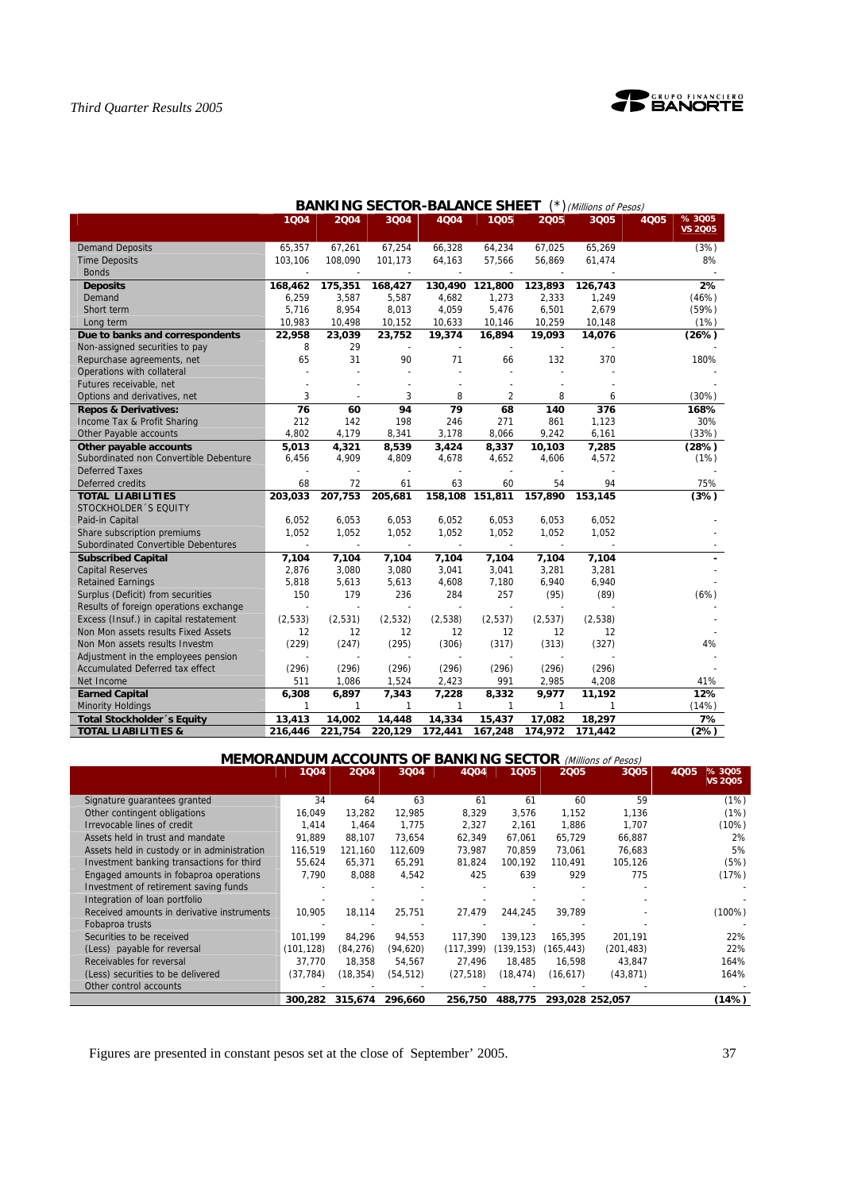

|                                        | 1Q04    | 2004           | 3Q04         | 4Q04                     | 1005                     | 2005                     | 3Q05    | %3005<br><b>4Q05</b> |
|----------------------------------------|---------|----------------|--------------|--------------------------|--------------------------|--------------------------|---------|----------------------|
|                                        |         |                |              |                          |                          |                          |         | <b>VS 2005</b>       |
| <b>Demand Deposits</b>                 | 65,357  | 67,261         | 67,254       | 66,328                   | 64,234                   | 67,025                   | 65,269  | (3%)                 |
| <b>Time Deposits</b>                   | 103,106 | 108,090        | 101,173      | 64,163                   | 57,566                   | 56,869                   | 61,474  | 8%                   |
| <b>Bonds</b>                           | L.      | $\blacksquare$ | $\sim$       | $\overline{\phantom{a}}$ | $\overline{\phantom{a}}$ | $\sim$                   |         |                      |
| <b>Deposits</b>                        | 168,462 | 175,351        | 168,427      | 130,490                  | 121,800                  | 123,893                  | 126,743 | 2%                   |
| Demand                                 | 6,259   | 3,587          | 5,587        | 4,682                    | 1,273                    | 2,333                    | 1,249   | (46%)                |
| Short term                             | 5,716   | 8,954          | 8,013        | 4,059                    | 5,476                    | 6,501                    | 2,679   | (59%)                |
| Long term                              | 10,983  | 10,498         | 10,152       | 10,633                   | 10,146                   | 10,259                   | 10,148  | (1%)                 |
| Due to banks and correspondents        | 22,958  | 23,039         | 23,752       | 19,374                   | 16,894                   | 19,093                   | 14,076  | (26%)                |
| Non-assigned securities to pay         | 8       | 29             |              |                          |                          |                          |         |                      |
| Repurchase agreements, net             | 65      | 31             | 90           | 71                       | 66                       | 132                      | 370     | 180%                 |
| Operations with collateral             |         |                |              |                          |                          |                          |         |                      |
| Futures receivable, net                |         |                |              |                          |                          |                          |         |                      |
| Options and derivatives, net           | 3       |                | 3            | 8                        | $\overline{2}$           | 8                        | 6       | (30%)                |
| <b>Repos &amp; Derivatives:</b>        | 76      | 60             | 94           | 79                       | 68                       | 140                      | 376     | 168%                 |
| Income Tax & Profit Sharing            | 212     | 142            | 198          | 246                      | 271                      | 861                      | 1,123   | 30%                  |
| Other Payable accounts                 | 4,802   | 4,179          | 8,341        | 3,178                    | 8,066                    | 9,242                    | 6,161   | (33%)                |
| Other payable accounts                 | 5,013   | 4,321          | 8,539        | 3,424                    | 8,337                    | 10,103                   | 7,285   | (28%)                |
| Subordinated non Convertible Debenture | 6,456   | 4,909          | 4,809        | 4,678                    | 4,652                    | 4,606                    | 4,572   | (1%)                 |
| <b>Deferred Taxes</b>                  |         |                |              |                          |                          |                          |         |                      |
| Deferred credits                       | 68      | 72             | 61           | 63                       | 60                       | 54                       | 94      | 75%                  |
| <b>TOTAL LIABILITIES</b>               | 203,033 | 207,753        | 205,681      |                          | 158,108 151,811          | 157,890                  | 153,145 | (3%)                 |
| STOCKHOLDER 'S EQUITY                  |         |                |              |                          |                          |                          |         |                      |
| Paid-in Capital                        | 6,052   | 6,053          | 6,053        | 6,052                    | 6,053                    | 6,053                    | 6,052   |                      |
| Share subscription premiums            | 1,052   | 1,052          | 1,052        | 1,052                    | 1,052                    | 1,052                    | 1,052   |                      |
| Subordinated Convertible Debentures    |         |                |              |                          |                          |                          |         |                      |
| <b>Subscribed Capital</b>              | 7,104   | 7,104          | 7,104        | 7,104                    | 7,104                    | 7,104                    | 7,104   |                      |
| <b>Capital Reserves</b>                | 2,876   | 3,080          | 3,080        | 3,041                    | 3,041                    | 3,281                    | 3,281   |                      |
| <b>Retained Earnings</b>               | 5,818   | 5,613          | 5,613        | 4,608                    | 7,180                    | 6,940                    | 6,940   |                      |
| Surplus (Deficit) from securities      | 150     | 179            | 236          | 284                      | 257                      | (95)                     | (89)    | (6%)                 |
| Results of foreign operations exchange | $\sim$  |                |              |                          |                          | $\overline{\phantom{a}}$ |         |                      |
| Excess (Insuf.) in capital restatement | (2,533) | (2,531)        | (2, 532)     | (2,538)                  | (2,537)                  | (2,537)                  | (2,538) |                      |
| Non Mon assets results Fixed Assets    | 12      | 12             | 12           | 12                       | 12                       | 12                       | 12      |                      |
| Non Mon assets results Investm         | (229)   | (247)          | (295)        | (306)                    | (317)                    | (313)                    | (327)   | 4%                   |
| Adjustment in the employees pension    |         |                |              |                          |                          |                          |         |                      |
| Accumulated Deferred tax effect        | (296)   | (296)          | (296)        | (296)                    | (296)                    | (296)                    | (296)   |                      |
| Net Income                             | 511     | 1,086          | 1,524        | 2,423                    | 991                      | 2,985                    | 4,208   | 41%                  |
| <b>Earned Capital</b>                  | 6,308   | 6,897          | 7,343        | 7,228                    | 8,332                    | 9,977                    | 11,192  | 12%                  |
| <b>Minority Holdings</b>               | 1       | 1              | $\mathbf{1}$ | 1                        | $\mathbf{1}$             | 1                        | 1       | (14%)                |
| Total Stockholder's Equity             | 13,413  | 14,002         | 14,448       | 14,334                   | 15,437                   | 17,082                   | 18,297  | 7%                   |
| <b>TOTAL LIABILITIES &amp;</b>         | 216,446 | 221,754        | 220,129      | 172,441                  | 167,248                  | 174,972                  | 171,442 | (2%)                 |

# **BANKING SECTOR-BALANCE SHEET** (\*)(Millions of Pesos)

**MEMORANDUM ACCOUNTS OF BANKING SECTOR** (Millions of Pesos)

|                                             | 1Q04      | 2004      | 3004      | 4004      | 1005      | 2005            | 3Q05       | % 3005<br>4005<br><b>VS 2005</b> |
|---------------------------------------------|-----------|-----------|-----------|-----------|-----------|-----------------|------------|----------------------------------|
| Signature quarantees granted                | 34        | 64        | 63        | 61        | 61        | 60              | 59         | (1%)                             |
| Other contingent obligations                | 16,049    | 13,282    | 12,985    | 8,329     | 3,576     | 1,152           | 1,136      | (1%)                             |
| Irrevocable lines of credit                 | 1.414     | 1,464     | 1.775     | 2,327     | 2,161     | 1,886           | 1,707      | (10%)                            |
| Assets held in trust and mandate            | 91.889    | 88,107    | 73,654    | 62,349    | 67,061    | 65,729          | 66,887     | 2%                               |
| Assets held in custody or in administration | 116,519   | 121,160   | 112,609   | 73,987    | 70.859    | 73,061          | 76,683     | 5%                               |
| Investment banking transactions for third   | 55,624    | 65,371    | 65,291    | 81,824    | 100.192   | 110.491         | 105,126    | (5%)                             |
| Engaged amounts in fobaproa operations      | 7,790     | 8,088     | 4,542     | 425       | 639       | 929             | 775        | (17%)                            |
| Investment of retirement saving funds       |           |           |           |           |           |                 |            |                                  |
| Integration of loan portfolio               |           |           |           |           |           |                 |            |                                  |
| Received amounts in derivative instruments  | 10.905    | 18.114    | 25,751    | 27,479    | 244.245   | 39.789          |            | $(100\%)$                        |
| Fobaproa trusts                             |           |           |           |           |           |                 |            |                                  |
| Securities to be received                   | 101.199   | 84.296    | 94,553    | 117.390   | 139,123   | 165.395         | 201,191    | 22%                              |
| (Less) payable for reversal                 | (101.128) | (84, 276) | (94, 620) | (117.399) | (139,153) | (165.443)       | (201, 483) | 22%                              |
| Receivables for reversal                    | 37.770    | 18.358    | 54,567    | 27.496    | 18.485    | 16,598          | 43,847     | 164%                             |
| (Less) securities to be delivered           | (37, 784) | (18, 354) | (54, 512) | (27, 518) | (18,474)  | (16, 617)       | (43, 871)  | 164%                             |
| Other control accounts                      |           |           |           |           |           |                 |            |                                  |
|                                             | 300,282   | 315,674   | 296.660   | 256,750   | 488,775   | 293,028 252,057 |            | (14%)                            |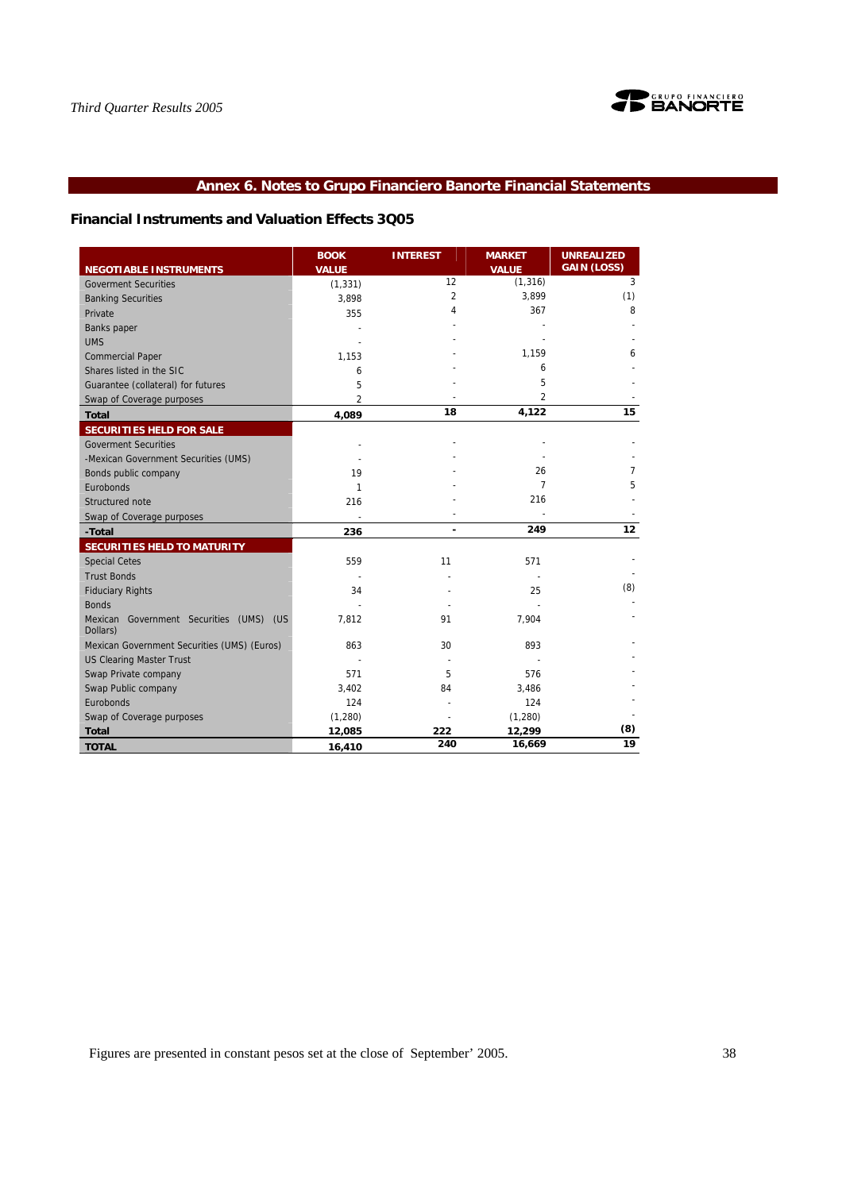

# **Annex 6. Notes to Grupo Financiero Banorte Financial Statements**

# **Financial Instruments and Valuation Effects 3Q05**

|                                                     | <b>BOOK</b>  | <b>INTEREST</b> | <b>MARKET</b>  | <b>UNREALIZED</b>  |
|-----------------------------------------------------|--------------|-----------------|----------------|--------------------|
| <b>NEGOTIABLE INSTRUMENTS</b>                       | <b>VALUE</b> |                 | <b>VALUE</b>   | <b>GAIN (LOSS)</b> |
| <b>Goverment Securities</b>                         | (1, 331)     | 12              | (1, 316)       | 3                  |
| <b>Banking Securities</b>                           | 3,898        | $\overline{2}$  | 3,899          | (1)                |
| Private                                             | 355          | 4               | 367            | 8                  |
| Banks paper                                         |              |                 |                |                    |
| <b>UMS</b>                                          |              |                 |                |                    |
| <b>Commercial Paper</b>                             | 1,153        |                 | 1,159          | 6                  |
| Shares listed in the SIC                            | 6            |                 | 6              |                    |
| Guarantee (collateral) for futures                  | 5            |                 | 5              |                    |
| Swap of Coverage purposes                           | 2            |                 | $\overline{2}$ |                    |
| <b>Total</b>                                        | 4,089        | 18              | 4,122          | 15                 |
| SECURITIES HELD FOR SALE                            |              |                 |                |                    |
| <b>Goverment Securities</b>                         |              |                 |                |                    |
| -Mexican Government Securities (UMS)                |              |                 |                |                    |
| Bonds public company                                | 19           |                 | 26             | 7                  |
| Eurobonds                                           | 1            |                 | $\overline{7}$ | 5                  |
| Structured note                                     | 216          |                 | 216            |                    |
| Swap of Coverage purposes                           |              |                 |                |                    |
| -Total                                              | 236          | $\blacksquare$  | 249            | 12                 |
| SECURITIES HELD TO MATURITY                         |              |                 |                |                    |
| <b>Special Cetes</b>                                | 559          | 11              | 571            |                    |
| <b>Trust Bonds</b>                                  |              |                 |                |                    |
| <b>Fiduciary Rights</b>                             | 34           |                 | 25             | (8)                |
| <b>Bonds</b>                                        |              |                 |                |                    |
| Mexican Government Securities (UMS) (US<br>Dollars) | 7,812        | 91              | 7,904          |                    |
| Mexican Government Securities (UMS) (Euros)         | 863          | 30              | 893            |                    |
| <b>US Clearing Master Trust</b>                     |              |                 |                |                    |
| Swap Private company                                | 571          | 5               | 576            |                    |
| Swap Public company                                 | 3,402        | 84              | 3,486          |                    |
| Eurobonds                                           | 124          |                 | 124            |                    |
| Swap of Coverage purposes                           | (1, 280)     |                 | (1, 280)       |                    |
| <b>Total</b>                                        | 12,085       | 222             | 12,299         | (8)                |
| <b>TOTAL</b>                                        | 16,410       | 240             | 16,669         | 19                 |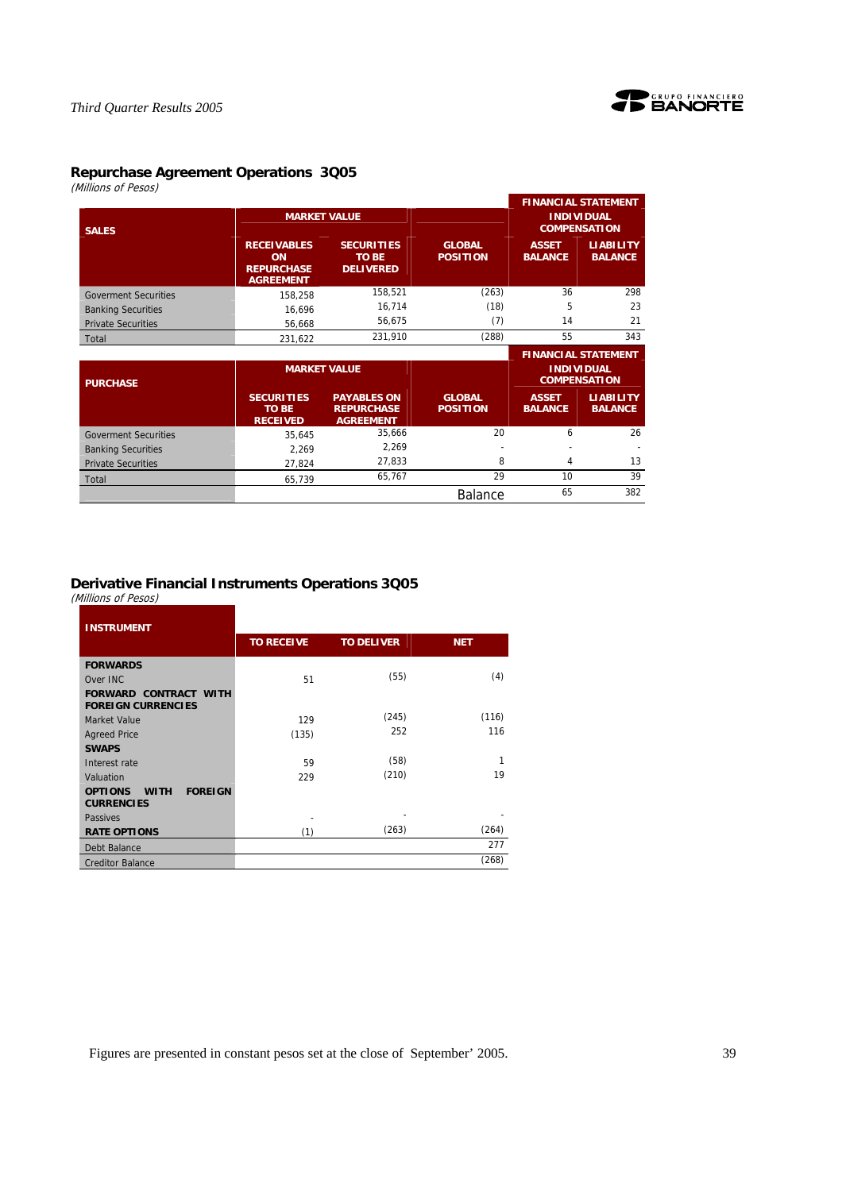

# **Repurchase Agreement Operations 3Q05**

(Millions of Pesos)

|                             |                                                                   |                                                             |                                  |                                | <b>FINANCIAL STATEMENT</b>               |
|-----------------------------|-------------------------------------------------------------------|-------------------------------------------------------------|----------------------------------|--------------------------------|------------------------------------------|
| <b>SALES</b>                |                                                                   | <b>MARKET VALUE</b>                                         |                                  |                                | <b>INDIVIDUAL</b><br><b>COMPENSATION</b> |
|                             | <b>RECEIVABLES</b><br>ON<br><b>REPURCHASE</b><br><b>AGREEMENT</b> | <b>SECURITIES</b><br><b>TO BE</b><br><b>DELIVERED</b>       | <b>GLOBAL</b><br><b>POSITION</b> | <b>ASSET</b><br><b>BALANCE</b> | <b>LIABILITY</b><br><b>BALANCE</b>       |
| <b>Goverment Securities</b> | 158,258                                                           | 158,521                                                     | (263)                            | 36                             | 298                                      |
| <b>Banking Securities</b>   | 16,696                                                            | 16,714                                                      | (18)                             | 5                              | 23                                       |
| <b>Private Securities</b>   | 56,668                                                            | 56,675                                                      | (7)                              | 14                             | 21                                       |
| Total                       | 231,622                                                           | 231,910                                                     | (288)                            | 55                             | 343                                      |
|                             |                                                                   |                                                             |                                  |                                |                                          |
|                             |                                                                   |                                                             |                                  |                                | <b>FINANCIAL STATEMENT</b>               |
| <b>PURCHASE</b>             |                                                                   | <b>MARKET VALUE</b>                                         |                                  |                                | <b>INDIVIDUAL</b><br><b>COMPENSATION</b> |
|                             | <b>SECURITIES</b><br><b>TO BE</b><br><b>RECEIVED</b>              | <b>PAYABLES ON</b><br><b>REPURCHASE</b><br><b>AGREEMENT</b> | <b>GLOBAL</b><br><b>POSITION</b> | <b>ASSET</b><br><b>BALANCE</b> | <b>LIABILITY</b><br><b>BALANCE</b>       |
| <b>Goverment Securities</b> | 35,645                                                            | 35,666                                                      | 20                               | 6                              | 26                                       |
| <b>Banking Securities</b>   | 2,269                                                             | 2,269                                                       |                                  |                                |                                          |
| <b>Private Securities</b>   | 27,824                                                            | 27,833                                                      | 8                                | 4                              | 13                                       |
| Total                       | 65,739                                                            | 65,767                                                      | 29                               | 10                             | 39                                       |

# **Derivative Financial Instruments Operations 3Q05**

(Millions of Pesos)

| <b>INSTRUMENT</b>                                                    |                   |                   |            |
|----------------------------------------------------------------------|-------------------|-------------------|------------|
|                                                                      | <b>TO RECEIVE</b> | <b>TO DELIVER</b> | <b>NET</b> |
| <b>FORWARDS</b>                                                      |                   |                   |            |
| Over INC                                                             | 51                | (55)              | (4)        |
| <b>FORWARD CONTRACT WITH</b><br><b>FOREIGN CURRENCIES</b>            |                   |                   |            |
| Market Value                                                         | 129               | (245)             | (116)      |
| <b>Agreed Price</b>                                                  | (135)             | 252               | 116        |
| <b>SWAPS</b>                                                         |                   |                   |            |
| Interest rate                                                        | 59                | (58)              | 1          |
| Valuation                                                            | 229               | (210)             | 19         |
| <b>FOREIGN</b><br><b>OPTIONS</b><br><b>WITH</b><br><b>CURRENCIES</b> |                   |                   |            |
| Passives                                                             |                   |                   |            |
| <b>RATE OPTIONS</b>                                                  | (1)               | (263)             | (264)      |
| Debt Balance                                                         |                   |                   | 277        |
| <b>Creditor Balance</b>                                              |                   |                   | (268)      |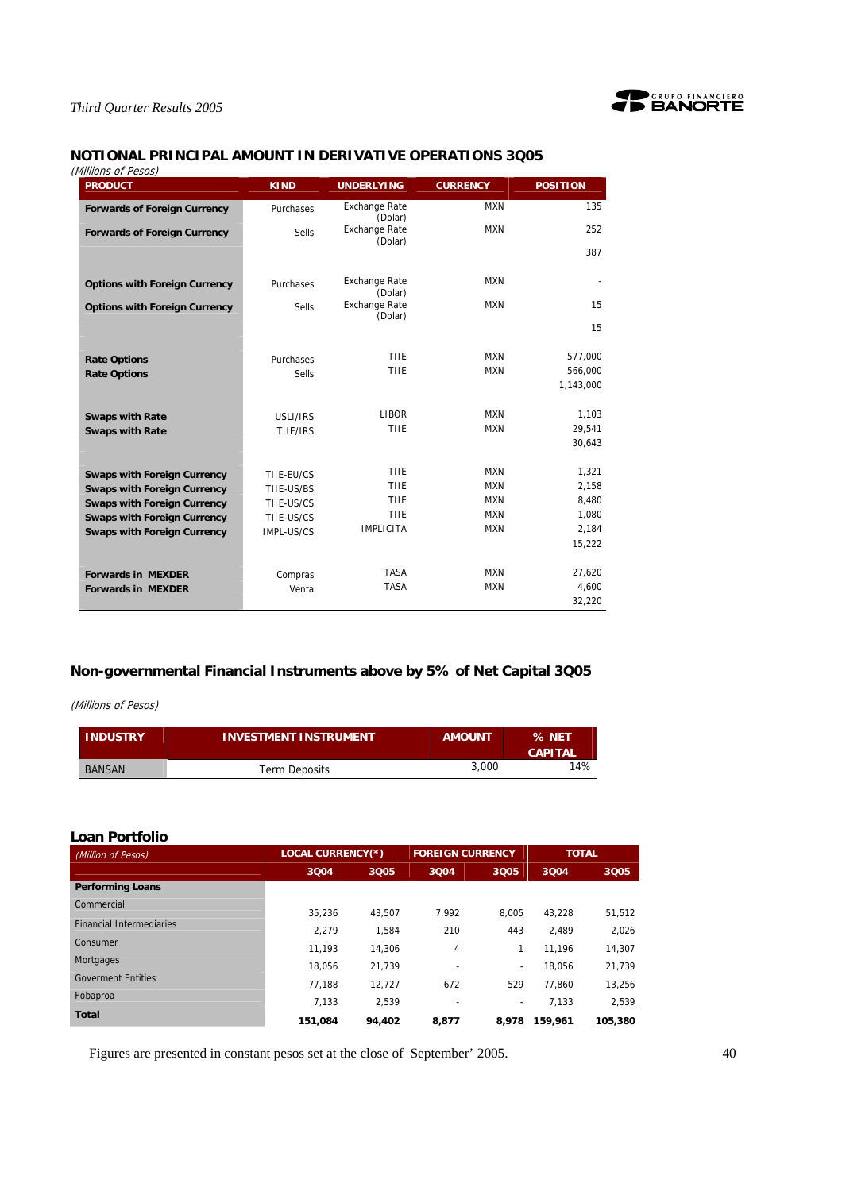

# **NOTIONAL PRINCIPAL AMOUNT IN DERIVATIVE OPERATIONS 3Q05**

| (Millions of Pesos)                  |             |                                 |                 |                 |
|--------------------------------------|-------------|---------------------------------|-----------------|-----------------|
| <b>PRODUCT</b>                       | <b>KIND</b> | <b>UNDERLYING</b>               | <b>CURRENCY</b> | <b>POSITION</b> |
| <b>Forwards of Foreign Currency</b>  | Purchases   | <b>Exchange Rate</b><br>(Dolar) | <b>MXN</b>      | 135             |
| <b>Forwards of Foreign Currency</b>  | Sells       | <b>Exchange Rate</b><br>(Dolar) | <b>MXN</b>      | 252             |
|                                      |             |                                 |                 | 387             |
| <b>Options with Foreign Currency</b> | Purchases   | <b>Exchange Rate</b><br>(Dolar) | <b>MXN</b>      |                 |
| <b>Options with Foreign Currency</b> | Sells       | <b>Exchange Rate</b><br>(Dolar) | <b>MXN</b>      | 15              |
|                                      |             |                                 |                 | 15              |
| <b>Rate Options</b>                  | Purchases   | <b>TIIE</b>                     | <b>MXN</b>      | 577,000         |
| <b>Rate Options</b>                  | Sells       | <b>TIIE</b>                     | <b>MXN</b>      | 566,000         |
|                                      |             |                                 |                 | 1,143,000       |
| <b>Swaps with Rate</b>               | USLI/IRS    | <b>LIBOR</b>                    | <b>MXN</b>      | 1,103           |
| <b>Swaps with Rate</b>               | TIIE/IRS    | TIIE                            | <b>MXN</b>      | 29,541          |
|                                      |             |                                 |                 | 30,643          |
| <b>Swaps with Foreign Currency</b>   | TIIE-EU/CS  | <b>TIIE</b>                     | <b>MXN</b>      | 1,321           |
| <b>Swaps with Foreign Currency</b>   | TIIE-US/BS  | <b>TIIE</b>                     | <b>MXN</b>      | 2,158           |
| <b>Swaps with Foreign Currency</b>   | TIIE-US/CS  | <b>TIIE</b>                     | <b>MXN</b>      | 8,480           |
| <b>Swaps with Foreign Currency</b>   | TIIE-US/CS  | <b>TIIE</b>                     | <b>MXN</b>      | 1,080           |
| <b>Swaps with Foreign Currency</b>   | IMPL-US/CS  | <b>IMPLICITA</b>                | <b>MXN</b>      | 2,184           |
|                                      |             |                                 |                 | 15,222          |
| <b>Forwards in MEXDER</b>            | Compras     | <b>TASA</b>                     | <b>MXN</b>      | 27,620          |
| <b>Forwards in MEXDER</b>            | Venta       | <b>TASA</b>                     | <b>MXN</b>      | 4,600           |
|                                      |             |                                 |                 | 32,220          |

# **Non-governmental Financial Instruments above by 5% of Net Capital 3Q05**

(Millions of Pesos)

| <b>INDUSTRY</b> | <b>INVESTMENT INSTRUMENT</b> | <b>AMOUNT</b> | % NET<br><b>CAPITAL</b> |
|-----------------|------------------------------|---------------|-------------------------|
| <b>BANSAN</b>   | <b>Term Deposits</b>         | 3,000         | 14%                     |

# **Loan Portfolio**

| (Million of Pesos)              | <b>LOCAL CURRENCY(*)</b> |        | <b>FOREIGN CURRENCY</b> |       | <b>TOTAL</b> |         |
|---------------------------------|--------------------------|--------|-------------------------|-------|--------------|---------|
|                                 | 3004                     | 3005   | 3004                    | 3005  | 3004         | 3Q05    |
| <b>Performing Loans</b>         |                          |        |                         |       |              |         |
| Commercial                      | 35.236                   | 43.507 | 7.992                   | 8.005 | 43.228       | 51,512  |
| <b>Financial Intermediaries</b> | 2.279                    | 1.584  | 210                     | 443   | 2.489        | 2,026   |
| Consumer                        | 11.193                   | 14.306 | 4                       |       | 11.196       | 14,307  |
| Mortgages                       | 18.056                   | 21.739 | ٠                       | ۰.    | 18.056       | 21,739  |
| <b>Goverment Entities</b>       | 77.188                   | 12.727 | 672                     | 529   | 77.860       | 13.256  |
| Fobaproa                        | 7,133                    | 2,539  |                         | ٠     | 7,133        | 2,539   |
| <b>Total</b>                    | 151.084                  | 94.402 | 8.877                   | 8.978 | 159.961      | 105,380 |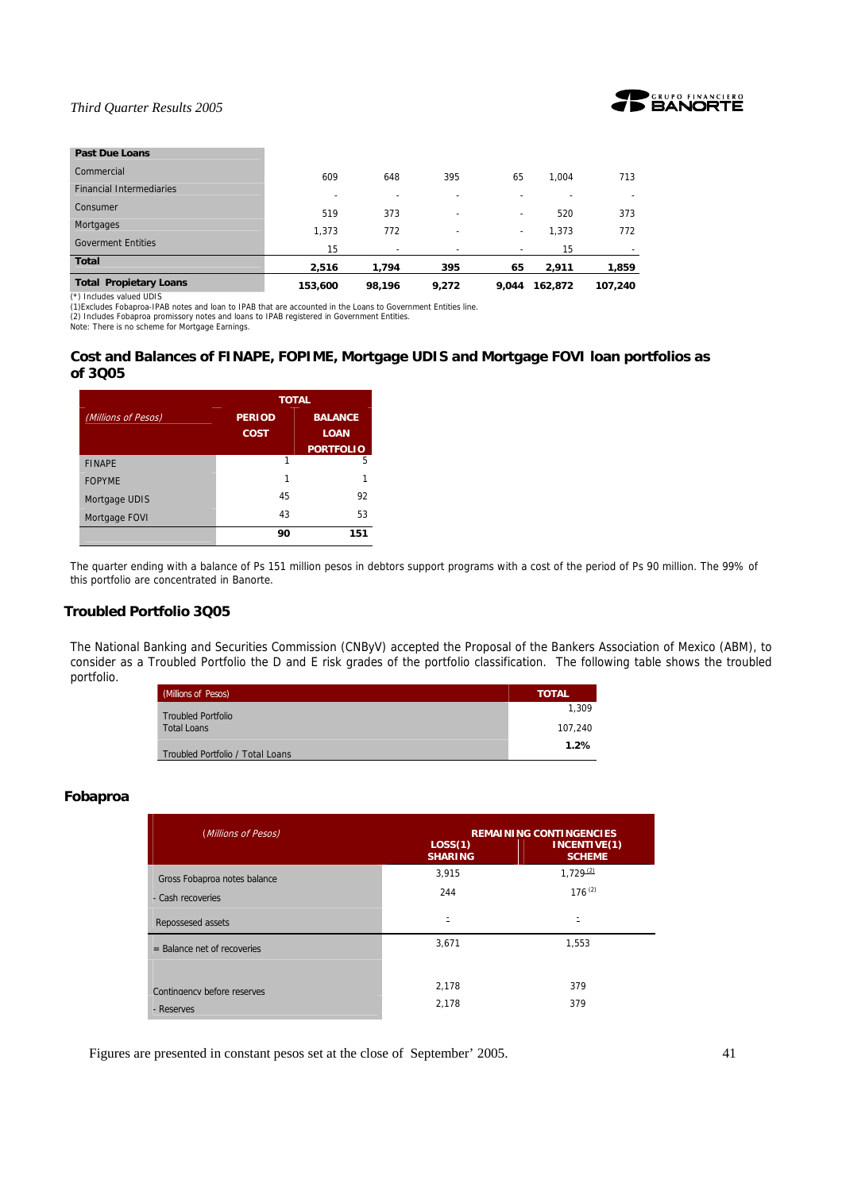

# **Past Due Loans**  Commercial 609 648 395 65 1,004 713 Financial Intermediaries - - - - - - Consumer 519 373 - - 520 373 Mortgages 1,373 772 - - 1,373 772 Goverment Entities 15 - - - 15 - **Total 2,516 1,794 395 65 2,911 1,859 Total Propietary Loans 153,600 98,196 9,272 9,044 162,872 107,240**

(\*) Includes valued UDIS (1)Excludes Fobaproa-IPAB notes and loan to IPAB that are accounted in the Loans to Government Entities line.

(2) Includes Fobaproa promissory notes and loans to IPAB registered in Government Entities. Note: There is no scheme for Mortgage Earnings.

# **Cost and Balances of FINAPE, FOPIME, Mortgage UDIS and Mortgage FOVI loan portfolios as of 3Q05**

|                     |                              | <b>TOTAL</b>                  |
|---------------------|------------------------------|-------------------------------|
| (Millions of Pesos) | <b>PERIOD</b><br><b>COST</b> | <b>BALANCE</b><br><b>LOAN</b> |
|                     |                              | <b>PORTFOLIO</b>              |
| <b>FINAPE</b>       | 1                            | 5                             |
| <b>FOPYME</b>       |                              | 1                             |
| Mortgage UDIS       | 45                           | 92                            |
| Mortgage FOVI       | 43                           | 53                            |
|                     | 90                           | 151                           |

The quarter ending with a balance of Ps 151 million pesos in debtors support programs with a cost of the period of Ps 90 million. The 99% of this portfolio are concentrated in Banorte.

# **Troubled Portfolio 3Q05**

The National Banking and Securities Commission (CNByV) accepted the Proposal of the Bankers Association of Mexico (ABM), to consider as a Troubled Portfolio the D and E risk grades of the portfolio classification. The following table shows the troubled portfolio.

| (Millions of Pesos)              | <b>TOTAL</b> |
|----------------------------------|--------------|
| <b>Troubled Portfolio</b>        | 1.309        |
| <b>Total Loans</b>               | 107.240      |
| Troubled Portfolio / Total Loans | 1.2%         |

# **Fobaproa**

| (Millions of Pesos)           | LOS(1)<br><b>SHARING</b> | <b>REMAINING CONTINGENCIES</b><br>INCENTIVE(1)<br><b>SCHEME</b> |
|-------------------------------|--------------------------|-----------------------------------------------------------------|
| Gross Fobaproa notes balance  | 3,915                    | 1.729(2)                                                        |
| - Cash recoveries             | 244                      | $176^{(2)}$                                                     |
| Repossesed assets             |                          |                                                                 |
| $=$ Balance net of recoveries | 3,671                    | 1,553                                                           |
|                               |                          |                                                                 |
| Contingency before reserves   | 2,178                    | 379                                                             |
| - Reserves                    | 2,178                    | 379                                                             |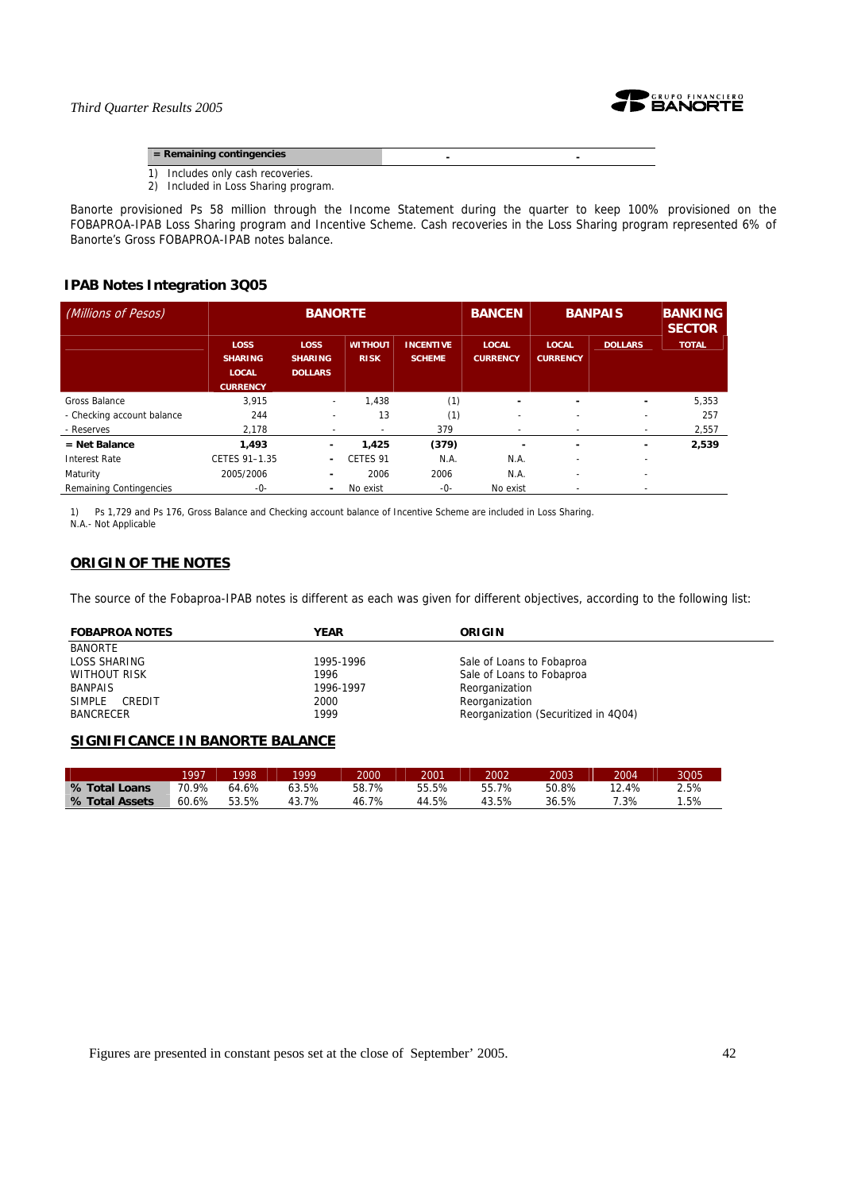

**EXECUTE:** Remaining contingencies **CONSIDERED ASSOCIATES** 

- 1) Includes only cash recoveries.
- 2) Included in Loss Sharing program.

Banorte provisioned Ps 58 million through the Income Statement during the quarter to keep 100% provisioned on the FOBAPROA-IPAB Loss Sharing program and Incentive Scheme. Cash recoveries in the Loss Sharing program represented 6% of Banorte's Gross FOBAPROA-IPAB notes balance.

# **IPAB Notes Integration 3Q05**

| (Millions of Pesos)        | <b>BANORTE</b>                                                   |                                                 |                               |                                   | <b>BANCEN</b>                   |                                 | <b>BANPAIS</b>           | <b>BANKING</b><br><b>SECTOR</b> |
|----------------------------|------------------------------------------------------------------|-------------------------------------------------|-------------------------------|-----------------------------------|---------------------------------|---------------------------------|--------------------------|---------------------------------|
|                            | <b>LOSS</b><br><b>SHARING</b><br><b>LOCAL</b><br><b>CURRENCY</b> | <b>LOSS</b><br><b>SHARING</b><br><b>DOLLARS</b> | <b>WITHOUT</b><br><b>RISK</b> | <b>INCENTIVE</b><br><b>SCHEME</b> | <b>LOCAL</b><br><b>CURRENCY</b> | <b>LOCAL</b><br><b>CURRENCY</b> | <b>DOLLARS</b>           | <b>TOTAL</b>                    |
| Gross Balance              | 3.915                                                            | $\overline{\phantom{a}}$                        | 1.438                         | (1)                               | -                               | ۰                               | $\overline{\phantom{0}}$ | 5,353                           |
| - Checking account balance | 244                                                              | ۰                                               | 13                            | (1)                               | ٠                               |                                 |                          | 257                             |
| - Reserves                 | 2,178                                                            |                                                 |                               | 379                               | ٠                               |                                 | $\overline{\phantom{a}}$ | 2,557                           |
| $=$ Net Balance            | 1.493                                                            | ٠                                               | 1,425                         | (379)                             |                                 | ۰                               | $\overline{\phantom{0}}$ | 2,539                           |
| <b>Interest Rate</b>       | CETES 91-1.35                                                    | ٠                                               | CETES <sub>91</sub>           | N.A.                              | N.A.                            |                                 | ٠                        |                                 |
| Maturity                   | 2005/2006                                                        | $\overline{\phantom{a}}$                        | 2006                          | 2006                              | N.A.                            | $\overline{\phantom{0}}$        | $\overline{\phantom{0}}$ |                                 |
| Remaining Contingencies    | -0-                                                              | ٠                                               | No exist                      | -0-                               | No exist                        |                                 | $\overline{\phantom{a}}$ |                                 |

1) Ps 1,729 and Ps 176, Gross Balance and Checking account balance of Incentive Scheme are included in Loss Sharing. N.A.- Not Applicable

# **ORIGIN OF THE NOTES**

The source of the Fobaproa-IPAB notes is different as each was given for different objectives, according to the following list:

| <b>FOBAPROA NOTES</b> | <b>YEAR</b> | ORIGIN                               |
|-----------------------|-------------|--------------------------------------|
| BANORTE               |             |                                      |
| LOSS SHARING          | 1995-1996   | Sale of Loans to Fobaproa            |
| WITHOUT RISK          | 1996        | Sale of Loans to Fobaproa            |
| <b>BANPAIS</b>        | 1996-1997   | Reorganization                       |
| SIMPLE CREDIT         | 2000        | Reorganization                       |
| <b>BANCRECER</b>      | 1999        | Reorganization (Securitized in 4Q04) |

# **SIGNIFICANCE IN BANORTE BALANCE**

|                | 1997  | 1998  | 1999  | 2000  | 2001  | 2002  | 2003  | 2004. | 3005 |
|----------------|-------|-------|-------|-------|-------|-------|-------|-------|------|
| % Total Loans  | 70.9% | 64.6% | 53.5% | 58.7% | 55.5% | 55.7% | 50.8% | 12.4% | 2.5% |
| % Total Assets | 60.6% | 53.5% | 43.7% | 46.7% | 44.5% | 43.5% | 36.5% | 7.3%  | .5%  |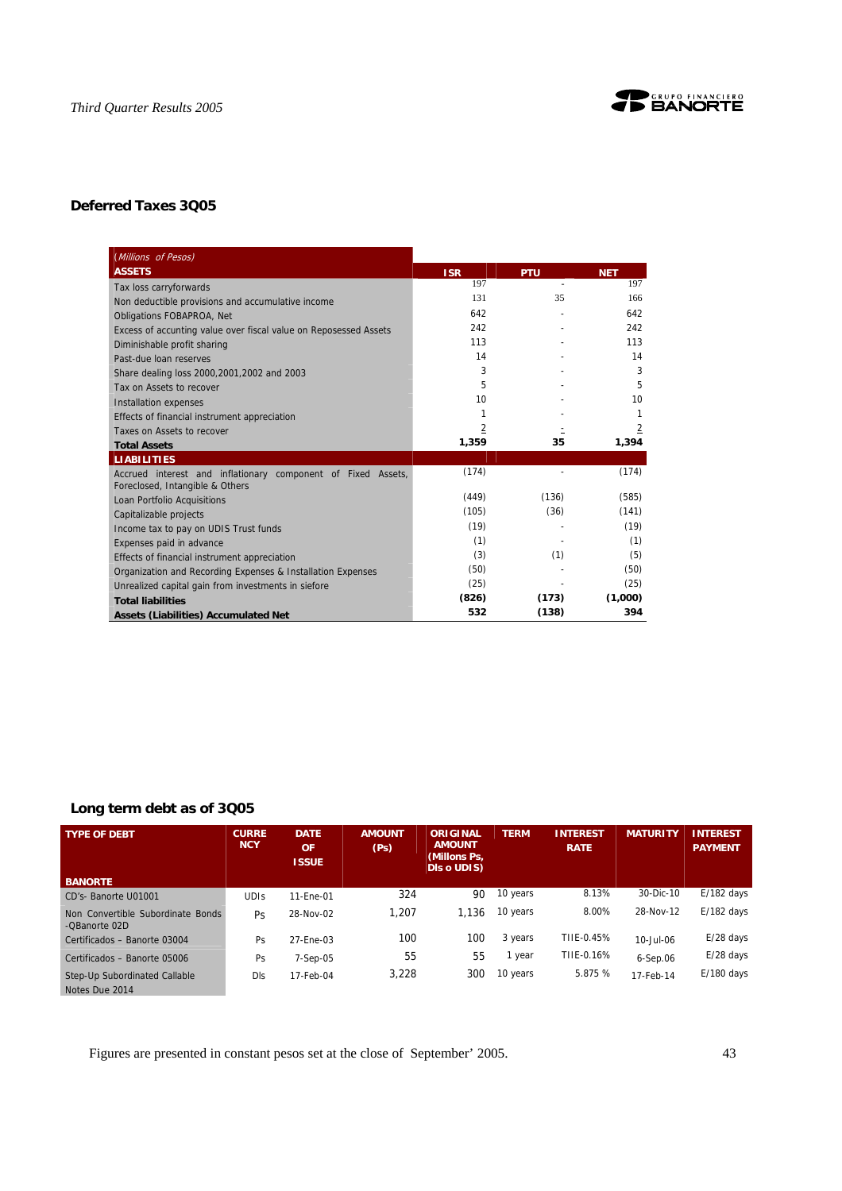

# **Deferred Taxes 3Q05**

| (Millions of Pesos)                                                                             |            |            |                |
|-------------------------------------------------------------------------------------------------|------------|------------|----------------|
| <b>ASSETS</b>                                                                                   | <b>ISR</b> | <b>PTU</b> | <b>NET</b>     |
| Tax loss carryforwards                                                                          | 197        | $\sim$     | 197            |
| Non deductible provisions and accumulative income                                               | 131        | 35         | 166            |
| <b>Obligations FOBAPROA, Net</b>                                                                | 642        |            | 642            |
| Excess of accunting value over fiscal value on Reposessed Assets                                | 242        |            | 242            |
| Diminishable profit sharing                                                                     | 113        |            | 113            |
| Past-due loan reserves                                                                          | 14         |            | 14             |
| Share dealing loss 2000, 2001, 2002 and 2003                                                    | 3          |            | 3              |
| Tax on Assets to recover                                                                        | 5          |            | 5              |
| <b>Installation expenses</b>                                                                    | 10         |            | 10             |
| Effects of financial instrument appreciation                                                    | 1          |            | 1              |
| Taxes on Assets to recover                                                                      | 2          |            | $\overline{2}$ |
| <b>Total Assets</b>                                                                             | 1,359      | 35         | 1,394          |
| <b>LIABILITIES</b>                                                                              |            |            |                |
|                                                                                                 |            |            |                |
| Accrued interest and inflationary component of Fixed Assets,<br>Foreclosed, Intangible & Others | (174)      |            | (174)          |
| Loan Portfolio Acquisitions                                                                     | (449)      | (136)      | (585)          |
| Capitalizable projects                                                                          | (105)      | (36)       | (141)          |
| Income tax to pay on UDIS Trust funds                                                           | (19)       |            | (19)           |
| Expenses paid in advance                                                                        | (1)        |            | (1)            |
| Effects of financial instrument appreciation                                                    | (3)        | (1)        | (5)            |
| Organization and Recording Expenses & Installation Expenses                                     | (50)       |            | (50)           |
| Unrealized capital gain from investments in siefore                                             | (25)       |            | (25)           |
| <b>Total liabilities</b>                                                                        | (826)      | (173)      | (1,000)        |

# **Long term debt as of 3Q05**

| <b>TYPE OF DEBT</b>                                | <b>CURRE</b><br><b>NCY</b> | <b>DATE</b><br><b>OF</b><br><b>ISSUE</b> | <b>AMOUNT</b><br>(P <sub>S</sub> ) | ORIGINAL<br><b>AMOUNT</b><br>(Millons Ps,<br><b>DIs o UDIS)</b> | <b>TERM</b> | <b>INTEREST</b><br><b>RATE</b> | <b>MATURITY</b> | <b>INTEREST</b><br><b>PAYMENT</b> |
|----------------------------------------------------|----------------------------|------------------------------------------|------------------------------------|-----------------------------------------------------------------|-------------|--------------------------------|-----------------|-----------------------------------|
| <b>BANORTE</b>                                     |                            |                                          |                                    |                                                                 |             |                                |                 |                                   |
| CD's- Banorte U01001                               | <b>UDIS</b>                | 11-Ene-01                                | 324                                | 90                                                              | 10 years    | 8.13%                          | 30-Dic-10       | $E/182$ days                      |
| Non Convertible Subordinate Bonds<br>-OBanorte 02D | <b>Ps</b>                  | 28-Nov-02                                | 1.207                              | 1.136                                                           | 10 years    | 8.00%                          | 28-Nov-12       | $E/182$ days                      |
| Certificados - Banorte 03004                       | Ps                         | 27-Ene-03                                | 100                                | 100                                                             | 3 years     | TIIE-0.45%                     | 10-Jul-06       | $E/28$ days                       |
| Certificados - Banorte 05006                       | Ps                         | $7-Sep-05$                               | 55                                 | 55                                                              | 1 year      | TIIE-0.16%                     | $6-Sep.06$      | $E/28$ days                       |
| Step-Up Subordinated Callable<br>Notes Due 2014    | <b>DIs</b>                 | 17-Feb-04                                | 3,228                              | 300                                                             | 10 years    | 5.875 %                        | 17-Feb-14       | $E/180$ days                      |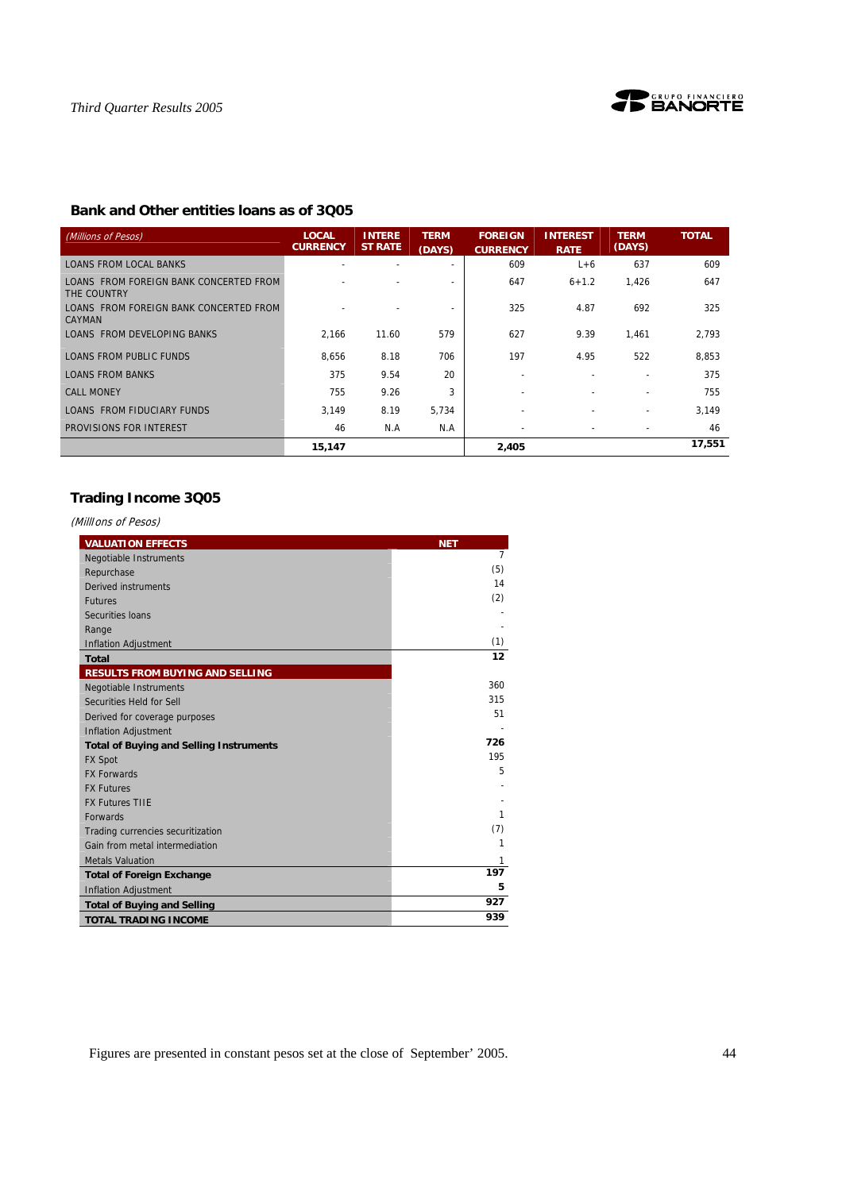

# **Bank and Other entities loans as of 3Q05**

| (Millions of Pesos)                                   | <b>LOCAL</b><br><b>CURRENCY</b> | <b>INTERE</b><br><b>ST RATE</b> | <b>TERM</b><br>(DAYS)    | <b>FOREIGN</b><br><b>CURRENCY</b> | <b>INTEREST</b><br><b>RATE</b> | <b>TERM</b><br>(DAYS)        | <b>TOTAL</b> |
|-------------------------------------------------------|---------------------------------|---------------------------------|--------------------------|-----------------------------------|--------------------------------|------------------------------|--------------|
| LOANS FROM LOCAL BANKS                                |                                 |                                 | $\overline{\phantom{0}}$ | 609                               | $L+6$                          | 637                          | 609          |
| LOANS FROM FOREIGN BANK CONCERTED FROM<br>THE COUNTRY |                                 |                                 | $\overline{\phantom{a}}$ | 647                               | $6 + 1.2$                      | 1.426                        | 647          |
| LOANS FROM FOREIGN BANK CONCERTED FROM<br>CAYMAN      |                                 |                                 |                          | 325                               | 4.87                           | 692                          | 325          |
| LOANS FROM DEVELOPING BANKS                           | 2.166                           | 11.60                           | 579                      | 627                               | 9.39                           | 1.461                        | 2,793        |
| LOANS FROM PUBLIC FUNDS                               | 8,656                           | 8.18                            | 706                      | 197                               | 4.95                           | 522                          | 8.853        |
| LOANS FROM BANKS                                      | 375                             | 9.54                            | 20                       |                                   |                                |                              | 375          |
| <b>CALL MONEY</b>                                     | 755                             | 9.26                            | 3                        |                                   |                                |                              | 755          |
| LOANS FROM FIDUCIARY FUNDS                            | 3.149                           | 8.19                            | 5.734                    |                                   |                                |                              | 3,149        |
| PROVISIONS FOR INTEREST                               | 46                              | N.A                             | N.A                      |                                   |                                | $\qquad \qquad \blacksquare$ | 46           |
|                                                       | 15,147                          |                                 |                          | 2,405                             |                                |                              | 17,551       |

# **Trading Income 3Q05**

(MillIons of Pesos)

| <b>VALUATION EFFECTS</b>                       | <b>NET</b>     |
|------------------------------------------------|----------------|
| <b>Negotiable Instruments</b>                  | $\overline{7}$ |
| Repurchase                                     | (5)            |
| Derived instruments                            | 14             |
| <b>Futures</b>                                 | (2)            |
| Securities Ioans                               |                |
| Range                                          |                |
| <b>Inflation Adjustment</b>                    | (1)            |
| <b>Total</b>                                   | 12             |
| <b>RESULTS FROM BUYING AND SELLING</b>         |                |
| <b>Negotiable Instruments</b>                  | 360            |
| Securities Held for Sell                       | 315            |
| Derived for coverage purposes                  | 51             |
| <b>Inflation Adjustment</b>                    |                |
| <b>Total of Buying and Selling Instruments</b> | 726            |
| <b>FX Spot</b>                                 | 195            |
| <b>FX Forwards</b>                             | 5              |
| <b>FX Futures</b>                              |                |
| <b>FX Futures TIIE</b>                         |                |
| <b>Forwards</b>                                | 1              |
| Trading currencies securitization              | (7)            |
| Gain from metal intermediation                 | 1              |
| <b>Metals Valuation</b>                        | 1              |
| <b>Total of Foreign Exchange</b>               | 197            |
| <b>Inflation Adjustment</b>                    | 5              |
| <b>Total of Buying and Selling</b>             | 927            |
| <b>TOTAL TRADING INCOME</b>                    | 939            |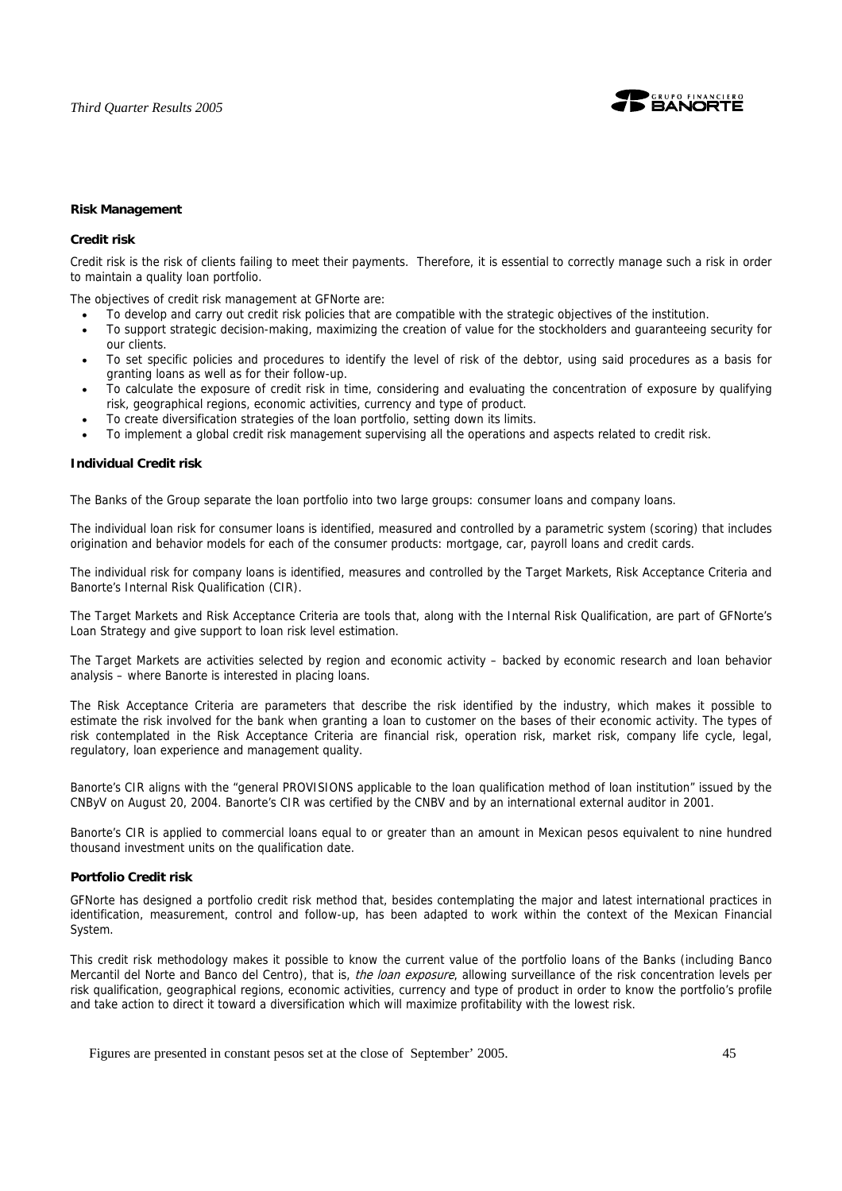

### **Risk Management**

# **Credit risk**

Credit risk is the risk of clients failing to meet their payments. Therefore, it is essential to correctly manage such a risk in order to maintain a quality loan portfolio.

The objectives of credit risk management at GFNorte are:

- To develop and carry out credit risk policies that are compatible with the strategic objectives of the institution.
- To support strategic decision-making, maximizing the creation of value for the stockholders and guaranteeing security for our clients.
- To set specific policies and procedures to identify the level of risk of the debtor, using said procedures as a basis for granting loans as well as for their follow-up.
- To calculate the exposure of credit risk in time, considering and evaluating the concentration of exposure by qualifying risk, geographical regions, economic activities, currency and type of product.
- To create diversification strategies of the loan portfolio, setting down its limits.
- To implement a global credit risk management supervising all the operations and aspects related to credit risk.

### **Individual Credit risk**

The Banks of the Group separate the loan portfolio into two large groups: consumer loans and company loans.

The individual loan risk for consumer loans is identified, measured and controlled by a parametric system (scoring) that includes origination and behavior models for each of the consumer products: mortgage, car, payroll loans and credit cards.

The individual risk for company loans is identified, measures and controlled by the Target Markets, Risk Acceptance Criteria and Banorte's Internal Risk Qualification (CIR).

The Target Markets and Risk Acceptance Criteria are tools that, along with the Internal Risk Qualification, are part of GFNorte's Loan Strategy and give support to loan risk level estimation.

The Target Markets are activities selected by region and economic activity – backed by economic research and loan behavior analysis – where Banorte is interested in placing loans.

The Risk Acceptance Criteria are parameters that describe the risk identified by the industry, which makes it possible to estimate the risk involved for the bank when granting a loan to customer on the bases of their economic activity. The types of risk contemplated in the Risk Acceptance Criteria are financial risk, operation risk, market risk, company life cycle, legal, regulatory, loan experience and management quality.

Banorte's CIR aligns with the "general PROVISIONS applicable to the loan qualification method of loan institution" issued by the CNByV on August 20, 2004. Banorte's CIR was certified by the CNBV and by an international external auditor in 2001.

Banorte's CIR is applied to commercial loans equal to or greater than an amount in Mexican pesos equivalent to nine hundred thousand investment units on the qualification date.

# **Portfolio Credit risk**

GFNorte has designed a portfolio credit risk method that, besides contemplating the major and latest international practices in identification, measurement, control and follow-up, has been adapted to work within the context of the Mexican Financial System.

This credit risk methodology makes it possible to know the current value of the portfolio loans of the Banks (including Banco Mercantil del Norte and Banco del Centro), that is, the loan exposure, allowing surveillance of the risk concentration levels per risk qualification, geographical regions, economic activities, currency and type of product in order to know the portfolio's profile and take action to direct it toward a diversification which will maximize profitability with the lowest risk.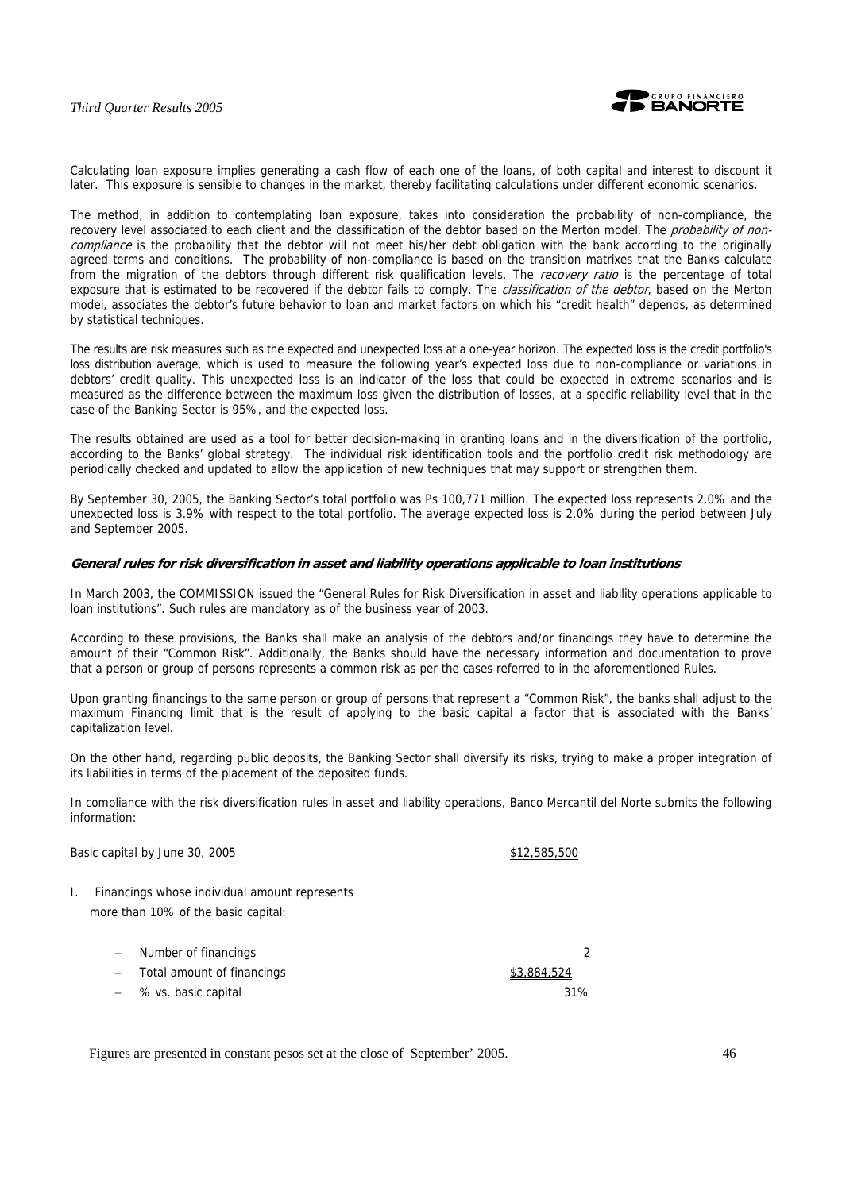

Calculating loan exposure implies generating a cash flow of each one of the loans, of both capital and interest to discount it later. This exposure is sensible to changes in the market, thereby facilitating calculations under different economic scenarios.

The method, in addition to contemplating loan exposure, takes into consideration the probability of non-compliance, the recovery level associated to each client and the classification of the debtor based on the Merton model. The *probability of non*compliance is the probability that the debtor will not meet his/her debt obligation with the bank according to the originally agreed terms and conditions. The probability of non-compliance is based on the transition matrixes that the Banks calculate from the migration of the debtors through different risk qualification levels. The recovery ratio is the percentage of total exposure that is estimated to be recovered if the debtor fails to comply. The *classification of the debtor*, based on the Merton model, associates the debtor's future behavior to loan and market factors on which his "credit health" depends, as determined by statistical techniques.

The results are risk measures such as the expected and unexpected loss at a one-year horizon. The expected loss is the credit portfolio's loss distribution average, which is used to measure the following year's expected loss due to non-compliance or variations in debtors' credit quality. This unexpected loss is an indicator of the loss that could be expected in extreme scenarios and is measured as the difference between the maximum loss given the distribution of losses, at a specific reliability level that in the case of the Banking Sector is 95%, and the expected loss.

The results obtained are used as a tool for better decision-making in granting loans and in the diversification of the portfolio, according to the Banks' global strategy. The individual risk identification tools and the portfolio credit risk methodology are periodically checked and updated to allow the application of new techniques that may support or strengthen them.

By September 30, 2005, the Banking Sector's total portfolio was Ps 100,771 million. The expected loss represents 2.0% and the unexpected loss is 3.9% with respect to the total portfolio. The average expected loss is 2.0% during the period between July and September 2005.

### **General rules for risk diversification in asset and liability operations applicable to loan institutions**

In March 2003, the COMMISSION issued the "General Rules for Risk Diversification in asset and liability operations applicable to loan institutions". Such rules are mandatory as of the business year of 2003.

According to these provisions, the Banks shall make an analysis of the debtors and/or financings they have to determine the amount of their "Common Risk". Additionally, the Banks should have the necessary information and documentation to prove that a person or group of persons represents a common risk as per the cases referred to in the aforementioned Rules.

Upon granting financings to the same person or group of persons that represent a "Common Risk", the banks shall adjust to the maximum Financing limit that is the result of applying to the basic capital a factor that is associated with the Banks' capitalization level.

On the other hand, regarding public deposits, the Banking Sector shall diversify its risks, trying to make a proper integration of its liabilities in terms of the placement of the deposited funds.

In compliance with the risk diversification rules in asset and liability operations, Banco Mercantil del Norte submits the following information:

Basic capital by June 30, 2005 **\$12,585,500** \$12,585,500

I. Financings whose individual amount represents more than 10% of the basic capital:

| Number of financings       |             |
|----------------------------|-------------|
| Total amount of financings | \$3,884,524 |
| % vs. basic capital        | 31%         |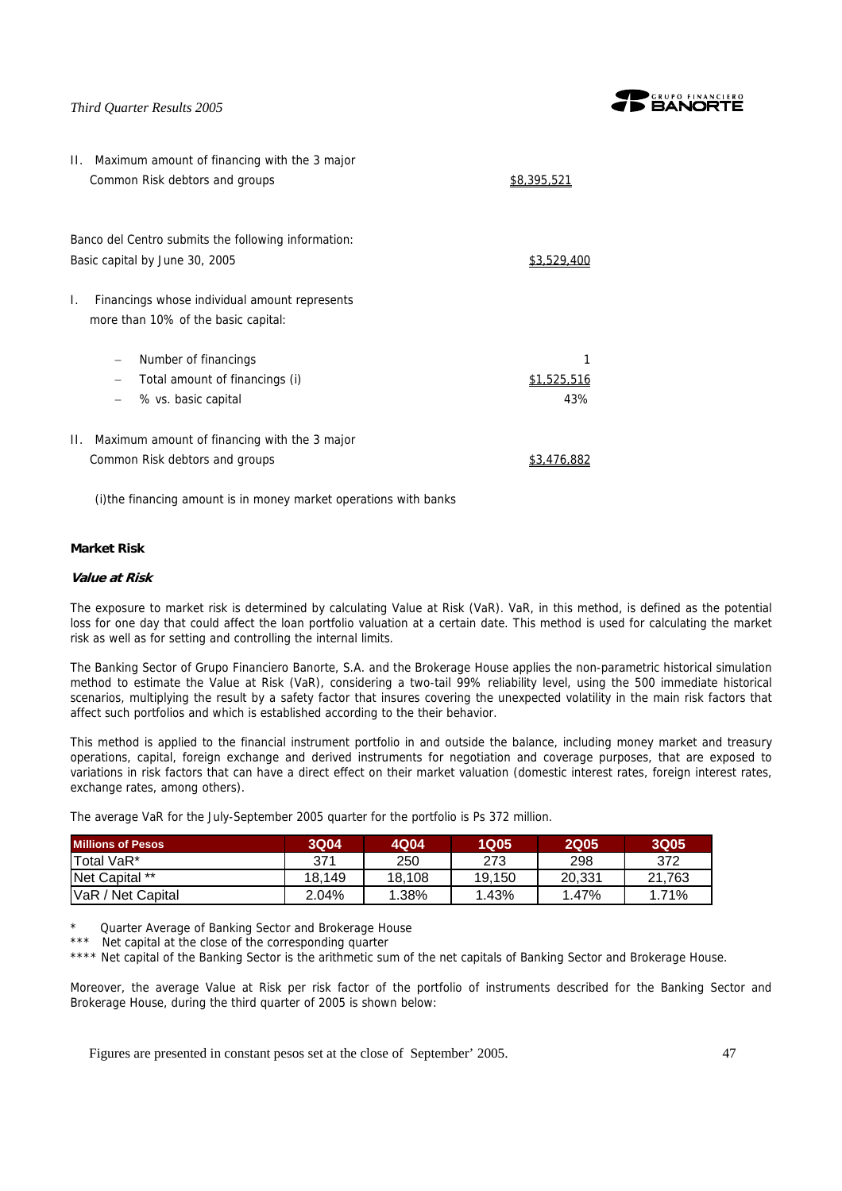$\overline{1}$ 



| II. Maximum amount of financing with the 3 major<br>Common Risk debtors and groups         | <u>\$8,395,521</u>        |
|--------------------------------------------------------------------------------------------|---------------------------|
| Banco del Centro submits the following information:<br>Basic capital by June 30, 2005      | \$3.529                   |
| I.<br>Financings whose individual amount represents<br>more than 10% of the basic capital: |                           |
| Number of financings<br>-<br>Total amount of financings (i)<br>% vs. basic capital         | <u>\$1,525,516</u><br>43% |
| Maximum amount of financing with the 3 major<br>Н.<br>Common Risk debtors and groups       | \$3.476.882               |

(i) the financing amount is in money market operations with banks

# **Market Risk**

### **Value at Risk**

The exposure to market risk is determined by calculating Value at Risk (VaR). VaR, in this method, is defined as the potential loss for one day that could affect the loan portfolio valuation at a certain date. This method is used for calculating the market risk as well as for setting and controlling the internal limits.

The Banking Sector of Grupo Financiero Banorte, S.A. and the Brokerage House applies the non-parametric historical simulation method to estimate the Value at Risk (VaR), considering a two-tail 99% reliability level, using the 500 immediate historical scenarios, multiplying the result by a safety factor that insures covering the unexpected volatility in the main risk factors that affect such portfolios and which is established according to the their behavior.

This method is applied to the financial instrument portfolio in and outside the balance, including money market and treasury operations, capital, foreign exchange and derived instruments for negotiation and coverage purposes, that are exposed to variations in risk factors that can have a direct effect on their market valuation (domestic interest rates, foreign interest rates, exchange rates, among others).

The average VaR for the July-September 2005 quarter for the portfolio is Ps 372 million.

| <b>Millions of Pesos</b> | 3Q04   | 4Q04   | 1Q05   | <b>2Q05</b> | <b>3Q05</b> |
|--------------------------|--------|--------|--------|-------------|-------------|
| <b>Total VaR*</b>        | 371    | 250    | 273    | 298         | 372         |
| Net Capital **           | 18.149 | 18.108 | 19.150 | 20.331      | 21.763      |
| VaR / Net Capital        | 2.04%  | 1.38%  | 1.43%  | 1.47%       | 1.71%       |

Quarter Average of Banking Sector and Brokerage House

\*\*\* Net capital at the close of the corresponding quarter

\*\*\*\* Net capital of the Banking Sector is the arithmetic sum of the net capitals of Banking Sector and Brokerage House.

Moreover, the average Value at Risk per risk factor of the portfolio of instruments described for the Banking Sector and Brokerage House, during the third quarter of 2005 is shown below: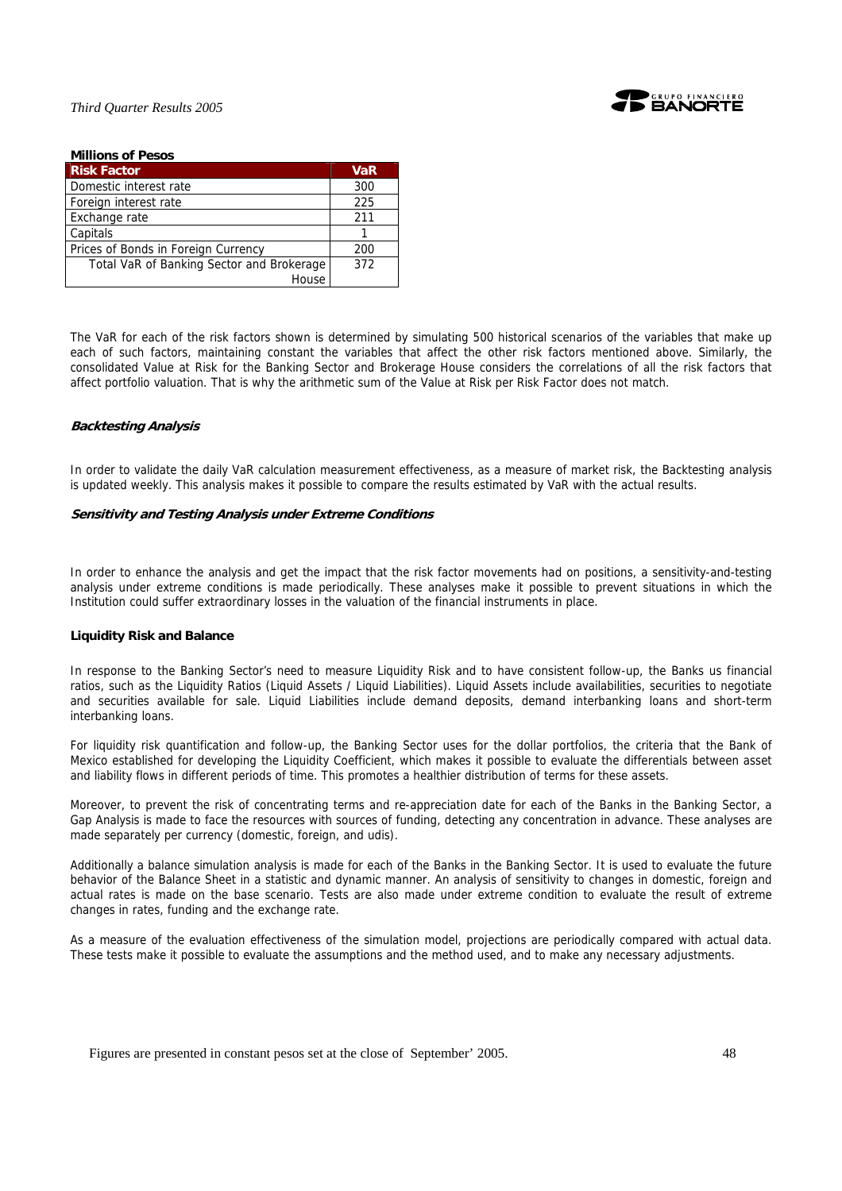

| <b>Millions of Pesos</b>                  |     |
|-------------------------------------------|-----|
| <b>Risk Factor</b>                        | VaR |
| Domestic interest rate                    | 300 |
| Foreign interest rate                     | 225 |
| Exchange rate                             | 211 |
| Capitals                                  |     |
| Prices of Bonds in Foreign Currency       | 200 |
| Total VaR of Banking Sector and Brokerage | 372 |
| House                                     |     |

The VaR for each of the risk factors shown is determined by simulating 500 historical scenarios of the variables that make up each of such factors, maintaining constant the variables that affect the other risk factors mentioned above. Similarly, the consolidated Value at Risk for the Banking Sector and Brokerage House considers the correlations of all the risk factors that affect portfolio valuation. That is why the arithmetic sum of the Value at Risk per Risk Factor does not match.

# **Backtesting Analysis**

In order to validate the daily VaR calculation measurement effectiveness, as a measure of market risk, the Backtesting analysis is updated weekly. This analysis makes it possible to compare the results estimated by VaR with the actual results.

### **Sensitivity and Testing Analysis under Extreme Conditions**

In order to enhance the analysis and get the impact that the risk factor movements had on positions, a sensitivity-and-testing analysis under extreme conditions is made periodically. These analyses make it possible to prevent situations in which the Institution could suffer extraordinary losses in the valuation of the financial instruments in place.

# **Liquidity Risk and Balance**

In response to the Banking Sector's need to measure Liquidity Risk and to have consistent follow-up, the Banks us financial ratios, such as the Liquidity Ratios (Liquid Assets / Liquid Liabilities). Liquid Assets include availabilities, securities to negotiate and securities available for sale. Liquid Liabilities include demand deposits, demand interbanking loans and short-term interbanking loans.

For liquidity risk quantification and follow-up, the Banking Sector uses for the dollar portfolios, the criteria that the Bank of Mexico established for developing the Liquidity Coefficient, which makes it possible to evaluate the differentials between asset and liability flows in different periods of time. This promotes a healthier distribution of terms for these assets.

Moreover, to prevent the risk of concentrating terms and re-appreciation date for each of the Banks in the Banking Sector, a Gap Analysis is made to face the resources with sources of funding, detecting any concentration in advance. These analyses are made separately per currency (domestic, foreign, and udis).

Additionally a balance simulation analysis is made for each of the Banks in the Banking Sector. It is used to evaluate the future behavior of the Balance Sheet in a statistic and dynamic manner. An analysis of sensitivity to changes in domestic, foreign and actual rates is made on the base scenario. Tests are also made under extreme condition to evaluate the result of extreme changes in rates, funding and the exchange rate.

As a measure of the evaluation effectiveness of the simulation model, projections are periodically compared with actual data. These tests make it possible to evaluate the assumptions and the method used, and to make any necessary adjustments.

Figures are presented in constant pesos set at the close of September' 2005. 48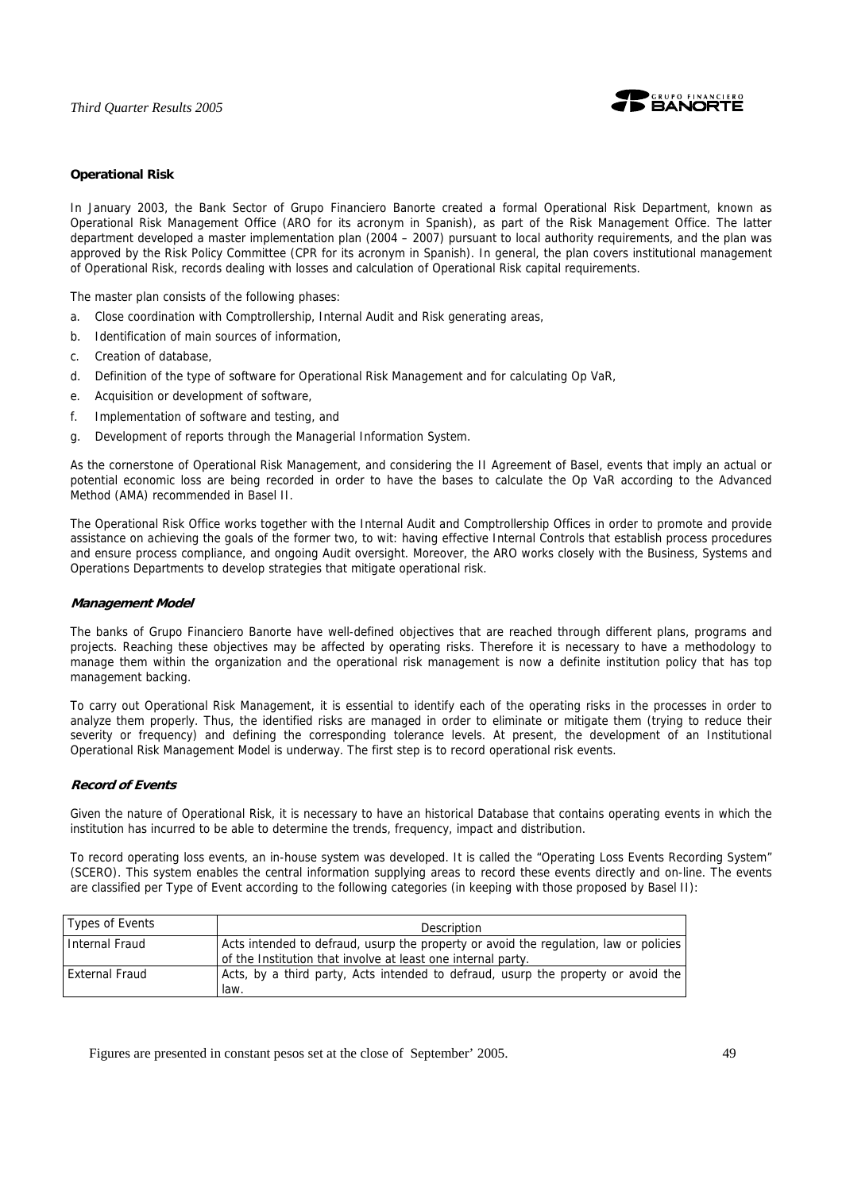

# **Operational Risk**

In January 2003, the Bank Sector of Grupo Financiero Banorte created a formal Operational Risk Department, known as Operational Risk Management Office (ARO for its acronym in Spanish), as part of the Risk Management Office. The latter department developed a master implementation plan (2004 – 2007) pursuant to local authority requirements, and the plan was approved by the Risk Policy Committee (CPR for its acronym in Spanish). In general, the plan covers institutional management of Operational Risk, records dealing with losses and calculation of Operational Risk capital requirements.

The master plan consists of the following phases:

- a. Close coordination with Comptrollership, Internal Audit and Risk generating areas,
- b. Identification of main sources of information,
- c. Creation of database,
- d. Definition of the type of software for Operational Risk Management and for calculating Op VaR,
- e. Acquisition or development of software,
- f. Implementation of software and testing, and
- g. Development of reports through the Managerial Information System.

As the cornerstone of Operational Risk Management, and considering the II Agreement of Basel, events that imply an actual or potential economic loss are being recorded in order to have the bases to calculate the Op VaR according to the Advanced Method (AMA) recommended in Basel II.

The Operational Risk Office works together with the Internal Audit and Comptrollership Offices in order to promote and provide assistance on achieving the goals of the former two, to wit: having effective Internal Controls that establish process procedures and ensure process compliance, and ongoing Audit oversight. Moreover, the ARO works closely with the Business, Systems and Operations Departments to develop strategies that mitigate operational risk.

### **Management Model**

The banks of Grupo Financiero Banorte have well-defined objectives that are reached through different plans, programs and projects. Reaching these objectives may be affected by operating risks. Therefore it is necessary to have a methodology to manage them within the organization and the operational risk management is now a definite institution policy that has top management backing.

To carry out Operational Risk Management, it is essential to identify each of the operating risks in the processes in order to analyze them properly. Thus, the identified risks are managed in order to eliminate or mitigate them (trying to reduce their severity or frequency) and defining the corresponding tolerance levels. At present, the development of an Institutional Operational Risk Management Model is underway. The first step is to record operational risk events.

# **Record of Events**

Given the nature of Operational Risk, it is necessary to have an historical Database that contains operating events in which the institution has incurred to be able to determine the trends, frequency, impact and distribution.

To record operating loss events, an in-house system was developed. It is called the "Operating Loss Events Recording System" (SCERO). This system enables the central information supplying areas to record these events directly and on-line. The events are classified per Type of Event according to the following categories (in keeping with those proposed by Basel II):

| Types of Events | Description                                                                                                                                           |
|-----------------|-------------------------------------------------------------------------------------------------------------------------------------------------------|
| Internal Fraud  | Acts intended to defraud, usurp the property or avoid the regulation, law or policies<br>of the Institution that involve at least one internal party. |
| External Fraud  | Acts, by a third party, Acts intended to defraud, usurp the property or avoid the<br>law.                                                             |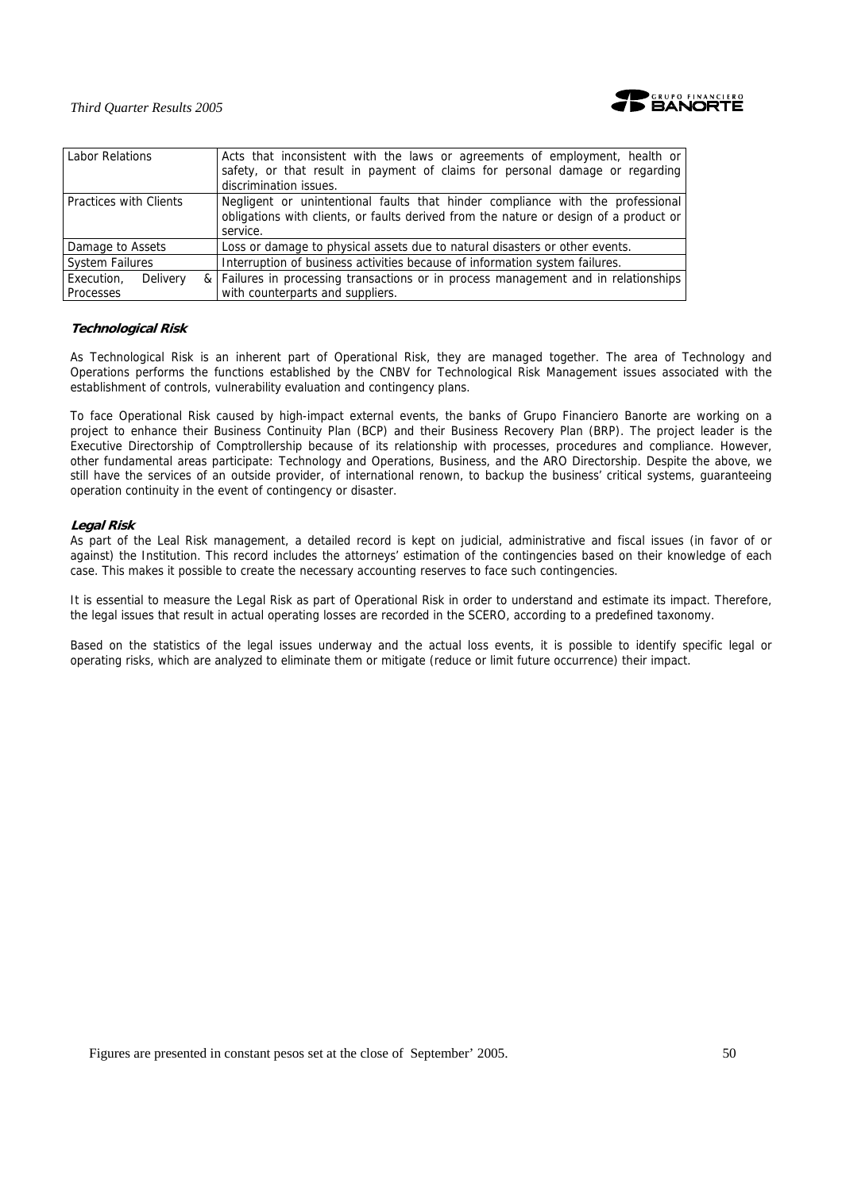

| Labor Relations               | Acts that inconsistent with the laws or agreements of employment, health or<br>safety, or that result in payment of claims for personal damage or regarding<br>discrimination issues. |  |  |  |  |  |
|-------------------------------|---------------------------------------------------------------------------------------------------------------------------------------------------------------------------------------|--|--|--|--|--|
| <b>Practices with Clients</b> | Negligent or unintentional faults that hinder compliance with the professional<br>obligations with clients, or faults derived from the nature or design of a product or<br>service.   |  |  |  |  |  |
| Damage to Assets              | Loss or damage to physical assets due to natural disasters or other events.                                                                                                           |  |  |  |  |  |
| <b>System Failures</b>        | Interruption of business activities because of information system failures.                                                                                                           |  |  |  |  |  |
| Execution.<br>Delivery        | & Failures in processing transactions or in process management and in relationships                                                                                                   |  |  |  |  |  |
| Processes                     | with counterparts and suppliers.                                                                                                                                                      |  |  |  |  |  |

# **Technological Risk**

As Technological Risk is an inherent part of Operational Risk, they are managed together. The area of Technology and Operations performs the functions established by the CNBV for Technological Risk Management issues associated with the establishment of controls, vulnerability evaluation and contingency plans.

To face Operational Risk caused by high-impact external events, the banks of Grupo Financiero Banorte are working on a project to enhance their Business Continuity Plan (BCP) and their Business Recovery Plan (BRP). The project leader is the Executive Directorship of Comptrollership because of its relationship with processes, procedures and compliance. However, other fundamental areas participate: Technology and Operations, Business, and the ARO Directorship. Despite the above, we still have the services of an outside provider, of international renown, to backup the business' critical systems, guaranteeing operation continuity in the event of contingency or disaster.

# **Legal Risk**

As part of the Leal Risk management, a detailed record is kept on judicial, administrative and fiscal issues (in favor of or against) the Institution. This record includes the attorneys' estimation of the contingencies based on their knowledge of each case. This makes it possible to create the necessary accounting reserves to face such contingencies.

It is essential to measure the Legal Risk as part of Operational Risk in order to understand and estimate its impact. Therefore, the legal issues that result in actual operating losses are recorded in the SCERO, according to a predefined taxonomy.

Based on the statistics of the legal issues underway and the actual loss events, it is possible to identify specific legal or operating risks, which are analyzed to eliminate them or mitigate (reduce or limit future occurrence) their impact.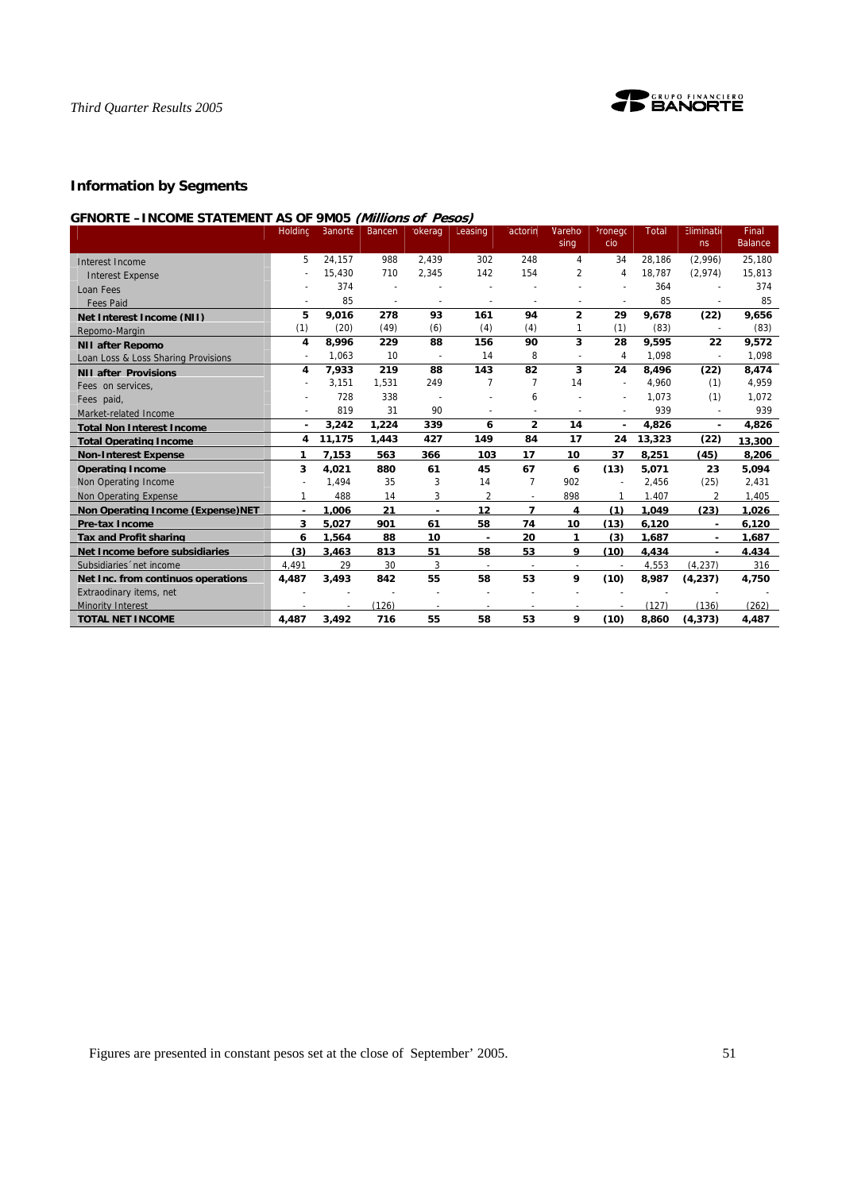

# **Information by Segments**

# **GFNORTE –INCOME STATEMENT AS OF 9M05 (Millions of Pesos)**

|                                          | Holdinc | Banorte | Bancen | okerag | Leasing                  | <sup>:</sup> actorin     | Vareho<br>sing           | <sup>2</sup> ronego<br>cio | Total  | Eliminatio<br>ns | Final<br><b>Balance</b> |
|------------------------------------------|---------|---------|--------|--------|--------------------------|--------------------------|--------------------------|----------------------------|--------|------------------|-------------------------|
| Interest Income                          | 5       | 24,157  | 988    | 2,439  | 302                      | 248                      | 4                        | 34                         | 28.186 | (2,996)          | 25,180                  |
| <b>Interest Expense</b>                  |         | 15,430  | 710    | 2,345  | 142                      | 154                      | $\overline{2}$           | 4                          | 18.787 | (2,974)          | 15,813                  |
| Loan Fees                                |         | 374     |        |        |                          |                          |                          |                            | 364    |                  | 374                     |
| <b>Fees Paid</b>                         |         | 85      |        |        |                          |                          |                          |                            | 85     |                  | 85                      |
| Net Interest Income (NII)                | 5       | 9.016   | 278    | 93     | 161                      | 94                       | $\overline{2}$           | 29                         | 9,678  | (22)             | 9,656                   |
| Repomo-Margin                            | (1)     | (20)    | (49)   | (6)    | (4)                      | (4)                      |                          | (1)                        | (83)   |                  | (83)                    |
| <b>NII after Repomo</b>                  | 4       | 8.996   | 229    | 88     | 156                      | 90                       | 3                        | 28                         | 9.595  | 22               | 9,572                   |
| Loan Loss & Loss Sharing Provisions      |         | 1,063   | 10     |        | 14                       | 8                        |                          | 4                          | 1,098  | $\overline{a}$   | 1,098                   |
| <b>NII after Provisions</b>              | 4       | 7,933   | 219    | 88     | 143                      | 82                       | 3                        | 24                         | 8,496  | (22)             | 8,474                   |
| Fees on services,                        |         | 3,151   | 1,531  | 249    | $\overline{7}$           | 7                        | 14                       |                            | 4,960  | (1)              | 4,959                   |
| Fees paid,                               |         | 728     | 338    |        |                          | 6                        |                          |                            | 1.073  | (1)              | 1,072                   |
| Market-related Income                    |         | 819     | 31     | 90     |                          |                          |                          | $\overline{\phantom{a}}$   | 939    | $\overline{a}$   | 939                     |
| <b>Total Non Interest Income</b>         | $\sim$  | 3.242   | 1,224  | 339    | 6                        | $\overline{2}$           | 14                       | ä,                         | 4.826  | ä,               | 4,826                   |
| <b>Total Operating Income</b>            | 4       | 11,175  | 1.443  | 427    | 149                      | 84                       | 17                       | 24                         | 13,323 | (22)             | 13,300                  |
| <b>Non-Interest Expense</b>              | 1       | 7.153   | 563    | 366    | 103                      | 17                       | 10                       | 37                         | 8.251  | (45)             | 8,206                   |
| <b>Operating Income</b>                  | 3       | 4,021   | 880    | 61     | 45                       | 67                       | 6                        | (13)                       | 5.071  | 23               | 5,094                   |
| Non Operating Income                     |         | 1.494   | 35     | 3      | 14                       | $\overline{7}$           | 902                      |                            | 2,456  | (25)             | 2,431                   |
| Non Operating Expense                    |         | 488     | 14     | 3      | $\overline{2}$           |                          | 898                      |                            | 1.407  | $\overline{2}$   | 1,405                   |
| <b>Non Operating Income (Expense)NET</b> |         | 1.006   | 21     | ٠      | 12                       | $\overline{\phantom{a}}$ | 4                        | (1)                        | 1.049  | (23)             | 1.026                   |
| <b>Pre-tax Income</b>                    | 3       | 5,027   | 901    | 61     | 58                       | 74                       | 10                       | (13)                       | 6.120  | ٠                | 6,120                   |
| <b>Tax and Profit sharing</b>            | 6       | 1.564   | 88     | 10     | $\blacksquare$           | 20                       | 1                        | (3)                        | 1.687  | ٠                | 1.687                   |
| Net Income before subsidiaries           | (3)     | 3.463   | 813    | 51     | 58                       | 53                       | 9                        | (10)                       | 4.434  | ٠                | 4.434                   |
| Subsidiaries 'net income                 | 4.491   | 29      | 30     | 3      | $\overline{\phantom{a}}$ | $\overline{\phantom{a}}$ | $\overline{\phantom{a}}$ |                            | 4.553  | (4.237)          | 316                     |
| Net Inc. from continuos operations       | 4.487   | 3,493   | 842    | 55     | 58                       | 53                       | 9                        | (10)                       | 8,987  | (4, 237)         | 4,750                   |
| Extraodinary items, net                  |         |         |        |        |                          |                          |                          |                            |        |                  |                         |
| <b>Minority Interest</b>                 |         |         | (126)  |        | $\overline{\phantom{a}}$ |                          |                          |                            | (127)  | (136)            | (262)                   |
| <b>TOTAL NET INCOME</b>                  | 4,487   | 3,492   | 716    | 55     | 58                       | 53                       | 9                        | (10)                       | 8,860  | (4, 373)         | 4,487                   |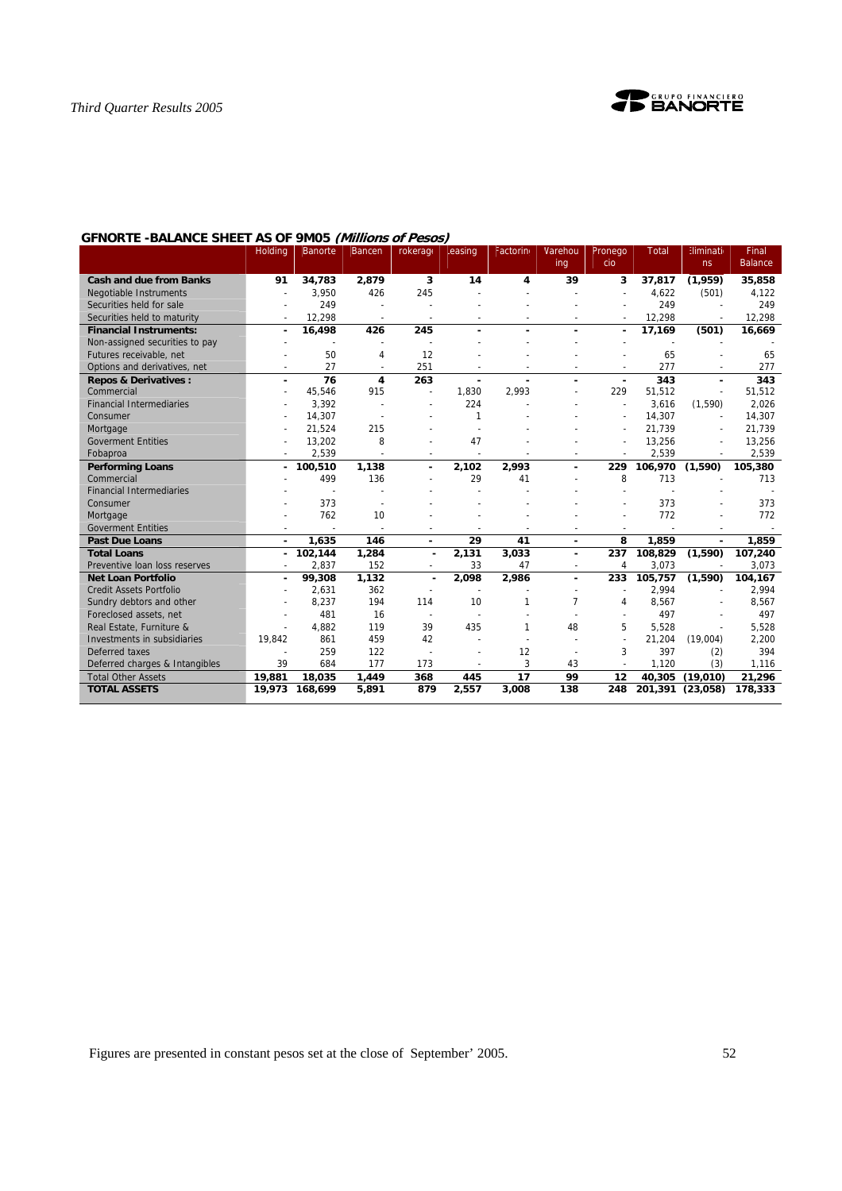

# **GFNORTE -BALANCE SHEET AS OF 9M05 (Millions of Pesos)**

| 3<br>35,858<br>91<br>34,783<br>2,879<br>14<br>4<br>39<br>3<br>37,817<br>(1,959)<br><b>Cash and due from Banks</b><br>245<br>426<br>4.622<br><b>Negotiable Instruments</b><br>3.950<br>(501)<br>4.122<br>249<br>249<br>249<br>Securities held for sale<br>12,298<br>12,298<br>12,298<br>Securities held to maturity<br>245<br>16,498<br>426<br>17,169<br>(501)<br>16,669<br><b>Financial Instruments:</b><br>٠<br>$\overline{a}$<br>۰<br>Non-assigned securities to pay<br>50<br>12<br>Futures receivable, net<br>65<br>65<br>4<br>27<br>277<br>251<br>277<br>Options and derivatives, net<br>$\overline{\phantom{a}}$<br>$\tilde{\phantom{a}}$<br>$\overline{\phantom{a}}$<br>٠<br>$\overline{76}$<br>$\overline{343}$<br>4<br>263<br>343<br><b>Repos &amp; Derivatives:</b><br>45,546<br>915<br>Commercial<br>1,830<br>2,993<br>229<br>51,512<br>51,512<br>$\overline{a}$<br><b>Financial Intermediaries</b><br>3,392<br>224<br>3,616<br>(1, 590)<br>2,026<br>14,307<br>14,307<br>14,307<br>1<br>Consumer<br>21,524<br>215<br>21,739<br>21,739<br>Mortgage<br>÷,<br>13,202<br>8<br>47<br>13,256<br><b>Goverment Entities</b><br>13,256<br>2,539<br>2,539<br>2,539<br>Fobaproa<br>$\overline{a}$<br>1,138<br>2,102<br>100,510<br>2,993<br>229<br>106,970<br>(1,590)<br>105,380<br><b>Performing Loans</b><br>٠<br>499<br>136<br>29<br>8<br>713<br>Commercial<br>41<br>713<br><b>Financial Intermediaries</b><br>373<br>373<br>373<br>Consumer<br>762<br>10<br>772<br>772<br>Mortgage<br><b>Goverment Entities</b> | <b>Holding</b> | <b>Banorte</b> | Bancen | rokerage | easing | Factorino | Varehou | Pronego | <b>Total</b> | Eliminatio | Final          |
|-------------------------------------------------------------------------------------------------------------------------------------------------------------------------------------------------------------------------------------------------------------------------------------------------------------------------------------------------------------------------------------------------------------------------------------------------------------------------------------------------------------------------------------------------------------------------------------------------------------------------------------------------------------------------------------------------------------------------------------------------------------------------------------------------------------------------------------------------------------------------------------------------------------------------------------------------------------------------------------------------------------------------------------------------------------------------------------------------------------------------------------------------------------------------------------------------------------------------------------------------------------------------------------------------------------------------------------------------------------------------------------------------------------------------------------------------------------------------------------------------------------------|----------------|----------------|--------|----------|--------|-----------|---------|---------|--------------|------------|----------------|
|                                                                                                                                                                                                                                                                                                                                                                                                                                                                                                                                                                                                                                                                                                                                                                                                                                                                                                                                                                                                                                                                                                                                                                                                                                                                                                                                                                                                                                                                                                                   |                |                |        |          |        |           | ing     | cio     |              | ns         | <b>Balance</b> |
|                                                                                                                                                                                                                                                                                                                                                                                                                                                                                                                                                                                                                                                                                                                                                                                                                                                                                                                                                                                                                                                                                                                                                                                                                                                                                                                                                                                                                                                                                                                   |                |                |        |          |        |           |         |         |              |            |                |
|                                                                                                                                                                                                                                                                                                                                                                                                                                                                                                                                                                                                                                                                                                                                                                                                                                                                                                                                                                                                                                                                                                                                                                                                                                                                                                                                                                                                                                                                                                                   |                |                |        |          |        |           |         |         |              |            |                |
|                                                                                                                                                                                                                                                                                                                                                                                                                                                                                                                                                                                                                                                                                                                                                                                                                                                                                                                                                                                                                                                                                                                                                                                                                                                                                                                                                                                                                                                                                                                   |                |                |        |          |        |           |         |         |              |            |                |
|                                                                                                                                                                                                                                                                                                                                                                                                                                                                                                                                                                                                                                                                                                                                                                                                                                                                                                                                                                                                                                                                                                                                                                                                                                                                                                                                                                                                                                                                                                                   |                |                |        |          |        |           |         |         |              |            |                |
|                                                                                                                                                                                                                                                                                                                                                                                                                                                                                                                                                                                                                                                                                                                                                                                                                                                                                                                                                                                                                                                                                                                                                                                                                                                                                                                                                                                                                                                                                                                   |                |                |        |          |        |           |         |         |              |            |                |
|                                                                                                                                                                                                                                                                                                                                                                                                                                                                                                                                                                                                                                                                                                                                                                                                                                                                                                                                                                                                                                                                                                                                                                                                                                                                                                                                                                                                                                                                                                                   |                |                |        |          |        |           |         |         |              |            |                |
|                                                                                                                                                                                                                                                                                                                                                                                                                                                                                                                                                                                                                                                                                                                                                                                                                                                                                                                                                                                                                                                                                                                                                                                                                                                                                                                                                                                                                                                                                                                   |                |                |        |          |        |           |         |         |              |            |                |
|                                                                                                                                                                                                                                                                                                                                                                                                                                                                                                                                                                                                                                                                                                                                                                                                                                                                                                                                                                                                                                                                                                                                                                                                                                                                                                                                                                                                                                                                                                                   |                |                |        |          |        |           |         |         |              |            |                |
|                                                                                                                                                                                                                                                                                                                                                                                                                                                                                                                                                                                                                                                                                                                                                                                                                                                                                                                                                                                                                                                                                                                                                                                                                                                                                                                                                                                                                                                                                                                   |                |                |        |          |        |           |         |         |              |            |                |
|                                                                                                                                                                                                                                                                                                                                                                                                                                                                                                                                                                                                                                                                                                                                                                                                                                                                                                                                                                                                                                                                                                                                                                                                                                                                                                                                                                                                                                                                                                                   |                |                |        |          |        |           |         |         |              |            |                |
|                                                                                                                                                                                                                                                                                                                                                                                                                                                                                                                                                                                                                                                                                                                                                                                                                                                                                                                                                                                                                                                                                                                                                                                                                                                                                                                                                                                                                                                                                                                   |                |                |        |          |        |           |         |         |              |            |                |
|                                                                                                                                                                                                                                                                                                                                                                                                                                                                                                                                                                                                                                                                                                                                                                                                                                                                                                                                                                                                                                                                                                                                                                                                                                                                                                                                                                                                                                                                                                                   |                |                |        |          |        |           |         |         |              |            |                |
|                                                                                                                                                                                                                                                                                                                                                                                                                                                                                                                                                                                                                                                                                                                                                                                                                                                                                                                                                                                                                                                                                                                                                                                                                                                                                                                                                                                                                                                                                                                   |                |                |        |          |        |           |         |         |              |            |                |
|                                                                                                                                                                                                                                                                                                                                                                                                                                                                                                                                                                                                                                                                                                                                                                                                                                                                                                                                                                                                                                                                                                                                                                                                                                                                                                                                                                                                                                                                                                                   |                |                |        |          |        |           |         |         |              |            |                |
|                                                                                                                                                                                                                                                                                                                                                                                                                                                                                                                                                                                                                                                                                                                                                                                                                                                                                                                                                                                                                                                                                                                                                                                                                                                                                                                                                                                                                                                                                                                   |                |                |        |          |        |           |         |         |              |            |                |
|                                                                                                                                                                                                                                                                                                                                                                                                                                                                                                                                                                                                                                                                                                                                                                                                                                                                                                                                                                                                                                                                                                                                                                                                                                                                                                                                                                                                                                                                                                                   |                |                |        |          |        |           |         |         |              |            |                |
|                                                                                                                                                                                                                                                                                                                                                                                                                                                                                                                                                                                                                                                                                                                                                                                                                                                                                                                                                                                                                                                                                                                                                                                                                                                                                                                                                                                                                                                                                                                   |                |                |        |          |        |           |         |         |              |            |                |
|                                                                                                                                                                                                                                                                                                                                                                                                                                                                                                                                                                                                                                                                                                                                                                                                                                                                                                                                                                                                                                                                                                                                                                                                                                                                                                                                                                                                                                                                                                                   |                |                |        |          |        |           |         |         |              |            |                |
|                                                                                                                                                                                                                                                                                                                                                                                                                                                                                                                                                                                                                                                                                                                                                                                                                                                                                                                                                                                                                                                                                                                                                                                                                                                                                                                                                                                                                                                                                                                   |                |                |        |          |        |           |         |         |              |            |                |
|                                                                                                                                                                                                                                                                                                                                                                                                                                                                                                                                                                                                                                                                                                                                                                                                                                                                                                                                                                                                                                                                                                                                                                                                                                                                                                                                                                                                                                                                                                                   |                |                |        |          |        |           |         |         |              |            |                |
|                                                                                                                                                                                                                                                                                                                                                                                                                                                                                                                                                                                                                                                                                                                                                                                                                                                                                                                                                                                                                                                                                                                                                                                                                                                                                                                                                                                                                                                                                                                   |                |                |        |          |        |           |         |         |              |            |                |
| 29<br>8<br>1,859<br>1,859<br><b>Past Due Loans</b><br>1.635<br>146<br>41<br>٠<br>۰<br>$\overline{\phantom{a}}$<br>٠                                                                                                                                                                                                                                                                                                                                                                                                                                                                                                                                                                                                                                                                                                                                                                                                                                                                                                                                                                                                                                                                                                                                                                                                                                                                                                                                                                                               |                |                |        |          |        |           |         |         |              |            |                |
| 102,144<br>237<br>108.829<br>107,240<br><b>Total Loans</b><br>1,284<br>2,131<br>3,033<br>(1,590)<br>$\overline{a}$<br>۰.<br>٠                                                                                                                                                                                                                                                                                                                                                                                                                                                                                                                                                                                                                                                                                                                                                                                                                                                                                                                                                                                                                                                                                                                                                                                                                                                                                                                                                                                     |                |                |        |          |        |           |         |         |              |            |                |
| 2,837<br>152<br>3,073<br>Preventive Ioan loss reserves<br>33<br>47<br>3,073<br>4<br>$\overline{\phantom{a}}$<br>$\overline{a}$<br>$\overline{\phantom{a}}$                                                                                                                                                                                                                                                                                                                                                                                                                                                                                                                                                                                                                                                                                                                                                                                                                                                                                                                                                                                                                                                                                                                                                                                                                                                                                                                                                        |                |                |        |          |        |           |         |         |              |            |                |
| <b>Net Loan Portfolio</b><br>99,308<br>1,132<br>2,098<br>233<br>105.757<br>104.167<br>2,986<br>(1,590)<br>$\blacksquare$<br>٠<br>٠                                                                                                                                                                                                                                                                                                                                                                                                                                                                                                                                                                                                                                                                                                                                                                                                                                                                                                                                                                                                                                                                                                                                                                                                                                                                                                                                                                                |                |                |        |          |        |           |         |         |              |            |                |
| 362<br><b>Credit Assets Portfolio</b><br>2,631<br>2,994<br>2,994<br>$\sim$<br>$\overline{\phantom{a}}$<br>$\overline{\phantom{a}}$<br>٠                                                                                                                                                                                                                                                                                                                                                                                                                                                                                                                                                                                                                                                                                                                                                                                                                                                                                                                                                                                                                                                                                                                                                                                                                                                                                                                                                                           |                |                |        |          |        |           |         |         |              |            |                |
| Sundry debtors and other<br>8,237<br>194<br>114<br>10<br>$\overline{7}$<br>8,567<br>8,567<br>4                                                                                                                                                                                                                                                                                                                                                                                                                                                                                                                                                                                                                                                                                                                                                                                                                                                                                                                                                                                                                                                                                                                                                                                                                                                                                                                                                                                                                    |                |                |        |          |        |           |         |         |              |            |                |
| 481<br>497<br>Foreclosed assets, net<br>16<br>497<br>$\sim$<br>$\overline{a}$                                                                                                                                                                                                                                                                                                                                                                                                                                                                                                                                                                                                                                                                                                                                                                                                                                                                                                                                                                                                                                                                                                                                                                                                                                                                                                                                                                                                                                     |                |                |        |          |        |           |         |         |              |            |                |
| 119<br>39<br>435<br>Real Estate, Furniture &<br>4.882<br>48<br>5<br>5.528<br>5,528<br>$\overline{\phantom{a}}$                                                                                                                                                                                                                                                                                                                                                                                                                                                                                                                                                                                                                                                                                                                                                                                                                                                                                                                                                                                                                                                                                                                                                                                                                                                                                                                                                                                                    |                |                |        |          |        |           |         |         |              |            |                |
| 861<br>459<br>Investments in subsidiaries<br>19.842<br>42<br>21,204<br>(19.004)<br>2,200                                                                                                                                                                                                                                                                                                                                                                                                                                                                                                                                                                                                                                                                                                                                                                                                                                                                                                                                                                                                                                                                                                                                                                                                                                                                                                                                                                                                                          |                |                |        |          |        |           |         |         |              |            |                |
| 259<br>397<br>Deferred taxes<br>122<br>12<br>3<br>(2)<br>394                                                                                                                                                                                                                                                                                                                                                                                                                                                                                                                                                                                                                                                                                                                                                                                                                                                                                                                                                                                                                                                                                                                                                                                                                                                                                                                                                                                                                                                      |                |                |        |          |        |           |         |         |              |            |                |
| 177<br>3<br>39<br>684<br>173<br>43<br>1.120<br>(3)<br>1,116<br>Deferred charges & Intangibles<br>$\overline{a}$<br>$\sim$                                                                                                                                                                                                                                                                                                                                                                                                                                                                                                                                                                                                                                                                                                                                                                                                                                                                                                                                                                                                                                                                                                                                                                                                                                                                                                                                                                                         |                |                |        |          |        |           |         |         |              |            |                |
| 17<br>19,881<br>18.035<br>1.449<br>99<br>12<br>40.305<br>(19.010)<br>21,296<br><b>Total Other Assets</b><br>368<br>445                                                                                                                                                                                                                                                                                                                                                                                                                                                                                                                                                                                                                                                                                                                                                                                                                                                                                                                                                                                                                                                                                                                                                                                                                                                                                                                                                                                            |                |                |        |          |        |           |         |         |              |            |                |
| 5,891<br>879<br>2,557<br>3,008<br>138<br>248<br>201,391 (23,058)<br><b>TOTAL ASSETS</b><br>19,973<br>168,699<br>178,333                                                                                                                                                                                                                                                                                                                                                                                                                                                                                                                                                                                                                                                                                                                                                                                                                                                                                                                                                                                                                                                                                                                                                                                                                                                                                                                                                                                           |                |                |        |          |        |           |         |         |              |            |                |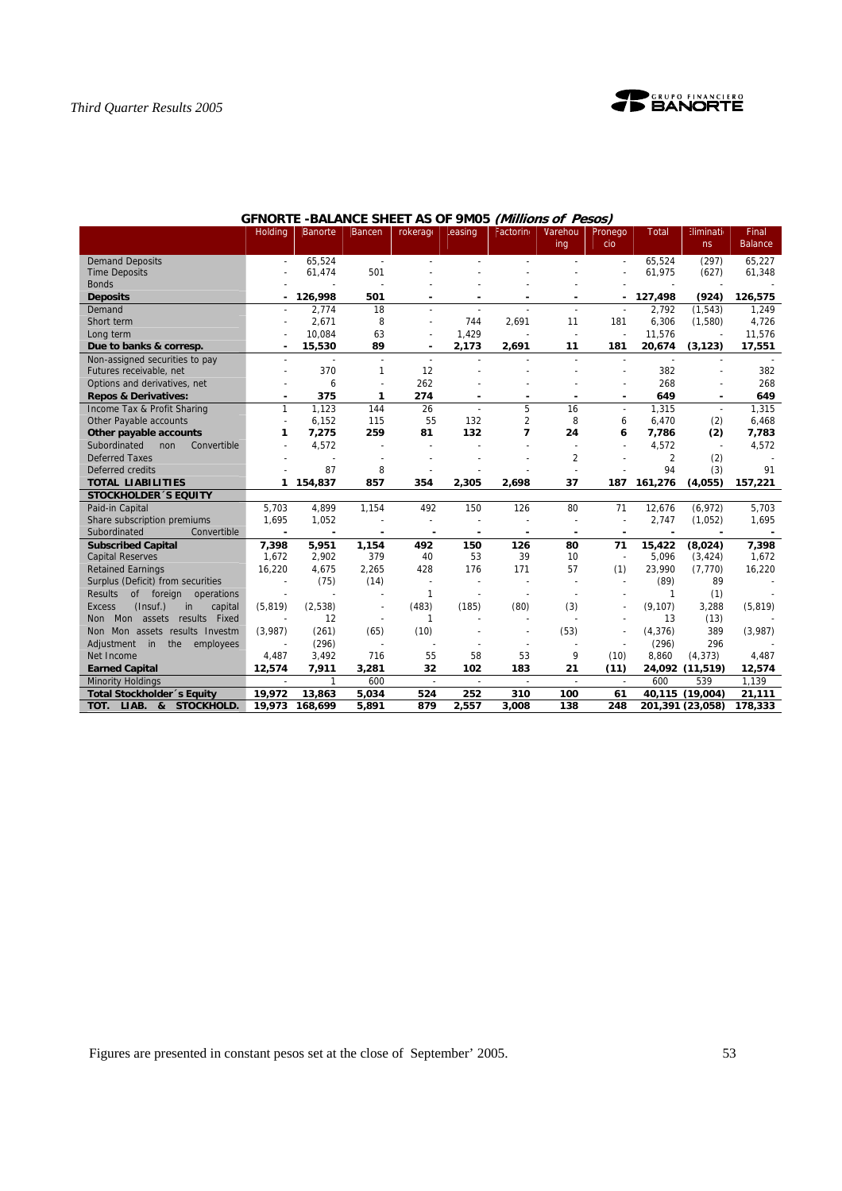

|                                            | <b>Holding</b>           | <b>Banorte</b> | Bancen         | rokerage                 | easing                   | Factorino      | Varehou<br>ing           | Pronego<br>cio | <b>Total</b> | <b>Eliminati</b><br>ns   | Final<br><b>Balance</b> |
|--------------------------------------------|--------------------------|----------------|----------------|--------------------------|--------------------------|----------------|--------------------------|----------------|--------------|--------------------------|-------------------------|
| <b>Demand Deposits</b>                     |                          | 65,524         | $\sim$         |                          |                          |                |                          |                | 65,524       | (297)                    | 65,227                  |
| <b>Time Deposits</b>                       |                          | 61,474         | 501            |                          |                          |                |                          |                | 61,975       | (627)                    | 61,348                  |
| <b>Bonds</b>                               |                          |                |                |                          |                          |                |                          |                |              |                          |                         |
| <b>Deposits</b>                            |                          | 126,998        | 501            |                          |                          |                |                          |                | 127,498      | (924)                    | 126,575                 |
| Demand                                     |                          | 2,774          | 18             | $\overline{a}$           |                          | $\overline{a}$ |                          | $\sim$         | 2,792        | (1, 543)                 | 1,249                   |
| Short term                                 |                          | 2,671          | 8              | $\overline{a}$           | 744                      | 2,691          | 11                       | 181            | 6,306        | (1,580)                  | 4,726                   |
| Long term                                  |                          | 10,084         | 63             | ÷,                       | 1,429                    |                |                          | $\overline{a}$ | 11,576       |                          | 11,576                  |
| Due to banks & corresp.                    |                          | 15,530         | 89             | ٠                        | 2,173                    | 2,691          | 11                       | 181            | 20,674       | (3, 123)                 | 17,551                  |
| Non-assigned securities to pay             | $\overline{a}$           |                | $\overline{a}$ | $\blacksquare$           |                          |                |                          |                |              |                          |                         |
| Futures receivable, net                    |                          | 370            | 1              | 12                       |                          |                |                          |                | 382          |                          | 382                     |
| Options and derivatives, net               |                          | 6              |                | 262                      |                          |                |                          |                | 268          |                          | 268                     |
| <b>Repos &amp; Derivatives:</b>            | ٠                        | 375            | $\mathbf{1}$   | 274                      |                          | ٠              | $\blacksquare$           |                | 649          | $\overline{\phantom{a}}$ | 649                     |
| Income Tax & Profit Sharing                | $\mathbf{1}$             | 1.123          | 144            | 26                       |                          | 5              | 16                       |                | 1.315        |                          | 1.315                   |
| Other Payable accounts                     | $\overline{a}$           | 6,152          | 115            | 55                       | 132                      | $\overline{2}$ | 8                        | 6              | 6,470        | (2)                      | 6,468                   |
| Other payable accounts                     | 1                        | 7,275          | 259            | 81                       | 132                      | $\overline{ }$ | 24                       | 6              | 7,786        | (2)                      | 7,783                   |
| Subordinated<br>non<br>Convertible         |                          | 4,572          |                |                          |                          |                |                          |                | 4,572        | $\overline{a}$           | 4,572                   |
| <b>Deferred Taxes</b>                      |                          |                |                |                          |                          |                | 2                        |                | 2            | (2)                      |                         |
| Deferred credits                           |                          | 87             | 8              |                          |                          |                |                          |                | 94           | (3)                      | 91                      |
| <b>TOTAL LIABILITIES</b>                   | 1                        | 154,837        | 857            | 354                      | 2,305                    | 2,698          | 37                       | 187            | 161,276      | (4,055)                  | 157,221                 |
| <b>STOCKHOLDER 'S EQUITY</b>               |                          |                |                |                          |                          |                |                          |                |              |                          |                         |
| Paid-in Capital                            | 5.703                    | 4,899          | 1,154          | 492                      | 150                      | 126            | 80                       | 71             | 12,676       | (6,972)                  | 5,703                   |
| Share subscription premiums                | 1,695                    | 1,052          |                | $\sim$                   |                          |                | $\tilde{\phantom{a}}$    | $\overline{a}$ | 2,747        | (1,052)                  | 1,695                   |
| Subordinated<br>Convertible                | $\overline{\phantom{a}}$ |                |                |                          |                          |                | $\overline{\phantom{a}}$ |                |              |                          |                         |
| <b>Subscribed Capital</b>                  | 7,398                    | 5,951          | 1,154          | 492                      | 150                      | 126            | 80                       | 71             | 15,422       | (8,024)                  | 7,398                   |
| <b>Capital Reserves</b>                    | 1.672                    | 2,902          | 379            | 40                       | 53                       | 39             | 10                       | $\sim$         | 5,096        | (3, 424)                 | 1,672                   |
| <b>Retained Earnings</b>                   | 16,220                   | 4,675          | 2,265          | 428                      | 176                      | 171            | 57                       | (1)            | 23,990       | (7, 770)                 | 16,220                  |
| Surplus (Deficit) from securities          |                          | (75)           | (14)           | $\overline{\phantom{a}}$ | ٠                        |                |                          |                | (89)         | 89                       |                         |
| <b>Results</b><br>of foreign<br>operations |                          |                |                | 1                        |                          |                |                          |                | 1            | (1)                      |                         |
| (Insuf.)<br>Excess<br>in<br>capital        | (5, 819)                 | (2,538)        |                | (483)                    | (185)                    | (80)           | (3)                      |                | (9, 107)     | 3,288                    | (5, 819)                |
| Mon<br>assets results<br>Fixed<br>Non      |                          | 12             |                | 1                        |                          |                |                          |                | 13           | (13)                     |                         |
| Non Mon assets results Investm             | (3,987)                  | (261)          | (65)           | (10)                     |                          |                | (53)                     |                | (4, 376)     | 389                      | (3,987)                 |
| in<br>the<br>Adjustment<br>employees       |                          | (296)          |                |                          |                          |                |                          |                | (296)        | 296                      |                         |
| Net Income                                 | 4,487                    | 3,492          | 716            | 55                       | 58                       | 53             | 9                        | (10)           | 8,860        | (4, 373)                 | 4,487                   |
| <b>Earned Capital</b>                      | 12,574                   | 7,911          | 3,281          | 32                       | 102                      | 183            | 21                       | (11)           |              | 24,092 (11,519)          | 12,574                  |
| <b>Minority Holdings</b>                   | $\overline{\phantom{a}}$ | $\mathbf{1}$   | 600            | $\overline{\phantom{a}}$ | $\overline{\phantom{a}}$ |                | $\overline{\phantom{a}}$ |                | 600          | 539                      | 1,139                   |
| Total Stockholder's Equity                 | 19,972                   | 13,863         | 5,034          | 524                      | 252                      | 310            | 100                      | 61             |              | 40,115 (19,004)          | 21,111                  |
| LIAB. & STOCKHOLD.<br>TOT.                 | 19,973                   | 168,699        | 5,891          | 879                      | 2,557                    | 3,008          | 138                      | 248            |              | 201,391 (23,058)         | 178,333                 |

# **GFNORTE -BALANCE SHEET AS OF 9M05 (Millions of Pesos)**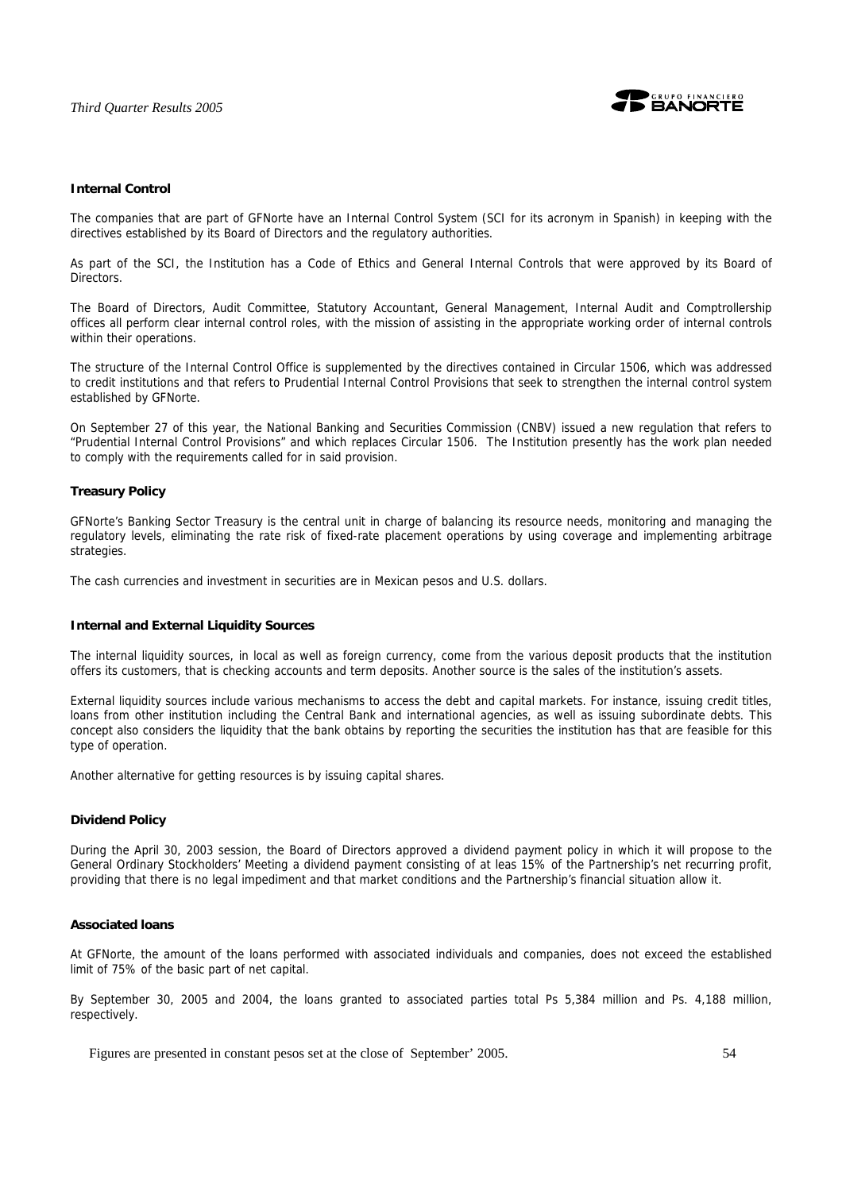

### **Internal Control**

The companies that are part of GFNorte have an Internal Control System (SCI for its acronym in Spanish) in keeping with the directives established by its Board of Directors and the regulatory authorities.

As part of the SCI, the Institution has a Code of Ethics and General Internal Controls that were approved by its Board of Directors.

The Board of Directors, Audit Committee, Statutory Accountant, General Management, Internal Audit and Comptrollership offices all perform clear internal control roles, with the mission of assisting in the appropriate working order of internal controls within their operations.

The structure of the Internal Control Office is supplemented by the directives contained in Circular 1506, which was addressed to credit institutions and that refers to Prudential Internal Control Provisions that seek to strengthen the internal control system established by GFNorte.

On September 27 of this year, the National Banking and Securities Commission (CNBV) issued a new regulation that refers to "Prudential Internal Control Provisions" and which replaces Circular 1506. The Institution presently has the work plan needed to comply with the requirements called for in said provision.

### **Treasury Policy**

GFNorte's Banking Sector Treasury is the central unit in charge of balancing its resource needs, monitoring and managing the regulatory levels, eliminating the rate risk of fixed-rate placement operations by using coverage and implementing arbitrage strategies.

The cash currencies and investment in securities are in Mexican pesos and U.S. dollars.

### **Internal and External Liquidity Sources**

The internal liquidity sources, in local as well as foreign currency, come from the various deposit products that the institution offers its customers, that is checking accounts and term deposits. Another source is the sales of the institution's assets.

External liquidity sources include various mechanisms to access the debt and capital markets. For instance, issuing credit titles, loans from other institution including the Central Bank and international agencies, as well as issuing subordinate debts. This concept also considers the liquidity that the bank obtains by reporting the securities the institution has that are feasible for this type of operation.

Another alternative for getting resources is by issuing capital shares.

### **Dividend Policy**

During the April 30, 2003 session, the Board of Directors approved a dividend payment policy in which it will propose to the General Ordinary Stockholders' Meeting a dividend payment consisting of at leas 15% of the Partnership's net recurring profit, providing that there is no legal impediment and that market conditions and the Partnership's financial situation allow it.

### **Associated loans**

At GFNorte, the amount of the loans performed with associated individuals and companies, does not exceed the established limit of 75% of the basic part of net capital.

By September 30, 2005 and 2004, the loans granted to associated parties total Ps 5,384 million and Ps. 4,188 million, respectively.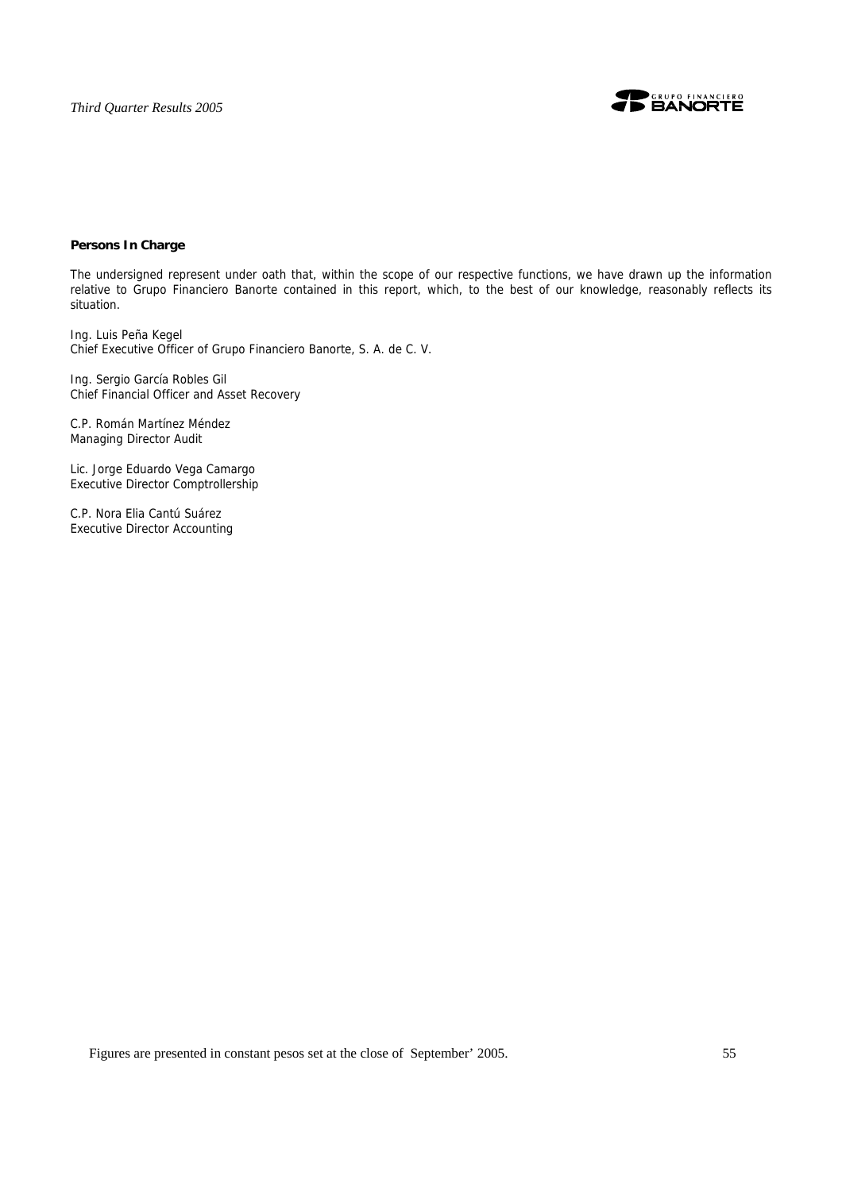

# **Persons In Charge**

The undersigned represent under oath that, within the scope of our respective functions, we have drawn up the information relative to Grupo Financiero Banorte contained in this report, which, to the best of our knowledge, reasonably reflects its situation.

Ing. Luis Peña Kegel Chief Executive Officer of Grupo Financiero Banorte, S. A. de C. V.

Ing. Sergio García Robles Gil Chief Financial Officer and Asset Recovery

C.P. Román Martínez Méndez Managing Director Audit

Lic. Jorge Eduardo Vega Camargo Executive Director Comptrollership

C.P. Nora Elia Cantú Suárez Executive Director Accounting